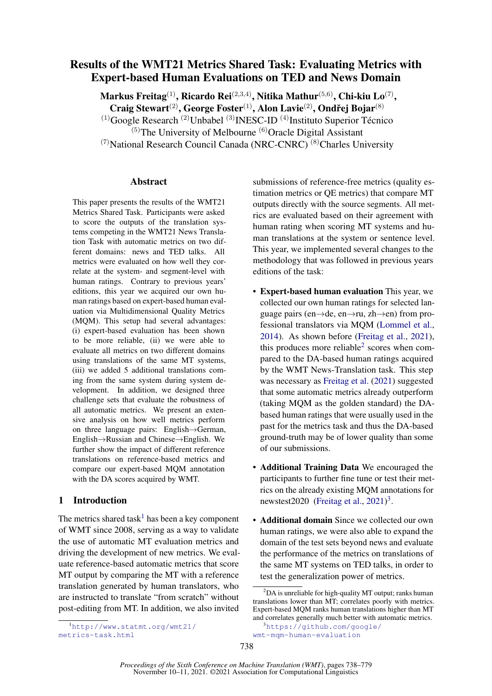# Results of the WMT21 Metrics Shared Task: Evaluating Metrics with Expert-based Human Evaluations on TED and News Domain

Markus Freitag $^{(1)}$ , Ricardo Rei $^{(2,3,4)}$ , Nitika Mathur $^{(5,6)}$ , Chi-kiu Lo $^{(7)},$ 

Craig Stewart<sup>(2)</sup>, George Foster<sup>(1)</sup>, Alon Lavie<sup>(2)</sup>, Ondřej Bojar<sup>(8)</sup>

(1)Google Research (2)Unbabel (3)INESC-ID (4)Instituto Superior Técnico

 $(5)$ The University of Melbourne  $(6)$ Oracle Digital Assistant

 $(7)$ National Research Council Canada (NRC-CNRC)  $(8)$ Charles University

# Abstract

This paper presents the results of the WMT21 Metrics Shared Task. Participants were asked to score the outputs of the translation systems competing in the WMT21 News Translation Task with automatic metrics on two different domains: news and TED talks. All metrics were evaluated on how well they correlate at the system- and segment-level with human ratings. Contrary to previous years' editions, this year we acquired our own human ratings based on expert-based human evaluation via Multidimensional Quality Metrics (MQM). This setup had several advantages: (i) expert-based evaluation has been shown to be more reliable, (ii) we were able to evaluate all metrics on two different domains using translations of the same MT systems, (iii) we added 5 additional translations coming from the same system during system development. In addition, we designed three challenge sets that evaluate the robustness of all automatic metrics. We present an extensive analysis on how well metrics perform on three language pairs: English→German, English→Russian and Chinese→English. We further show the impact of different reference translations on reference-based metrics and compare our expert-based MQM annotation with the DA scores acquired by WMT.

# <span id="page-0-3"></span>1 Introduction

The metrics shared task<sup>[1](#page-0-0)</sup> has been a key component of WMT since 2008, serving as a way to validate the use of automatic MT evaluation metrics and driving the development of new metrics. We evaluate reference-based automatic metrics that score MT output by comparing the MT with a reference translation generated by human translators, who are instructed to translate "from scratch" without post-editing from MT. In addition, we also invited submissions of reference-free metrics (quality estimation metrics or QE metrics) that compare MT outputs directly with the source segments. All metrics are evaluated based on their agreement with human rating when scoring MT systems and human translations at the system or sentence level. This year, we implemented several changes to the methodology that was followed in previous years editions of the task:

- Expert-based human evaluation This year, we collected our own human ratings for selected language pairs (en→de, en→ru, zh→en) from professional translators via MQM [\(Lommel et al.,](#page-21-0) [2014\)](#page-21-0). As shown before [\(Freitag et al.,](#page-20-0) [2021\)](#page-20-0), this produces more reliable $2$  scores when compared to the DA-based human ratings acquired by the WMT News-Translation task. This step was necessary as [Freitag et al.](#page-20-0) [\(2021\)](#page-20-0) suggested that some automatic metrics already outperform (taking MQM as the golden standard) the DAbased human ratings that were usually used in the past for the metrics task and thus the DA-based ground-truth may be of lower quality than some of our submissions.
- Additional Training Data We encouraged the participants to further fine tune or test their metrics on the already existing MQM annotations for newstest2020 [\(Freitag et al.,](#page-20-0)  $2021$ )<sup>[3](#page-0-2)</sup>.
- Additional domain Since we collected our own human ratings, we were also able to expand the domain of the test sets beyond news and evaluate the performance of the metrics on translations of the same MT systems on TED talks, in order to test the generalization power of metrics.

<span id="page-0-1"></span> ${}^{2}$ DA is unreliable for high-quality MT output; ranks human translations lower than MT; correlates poorly with metrics. Expert-based MQM ranks human translations higher than MT and correlates generally much better with automatic metrics.

<span id="page-0-0"></span><sup>1</sup>[http://www.statmt.org/wmt21/](http://www.statmt.org/wmt21/metrics-task.html) [metrics-task.html](http://www.statmt.org/wmt21/metrics-task.html)

<span id="page-0-2"></span><sup>&</sup>lt;sup>3</sup>[https://github.com/google/](https://github.com/google/wmt-mqm-human-evaluation) [wmt-mqm-human-evaluation](https://github.com/google/wmt-mqm-human-evaluation)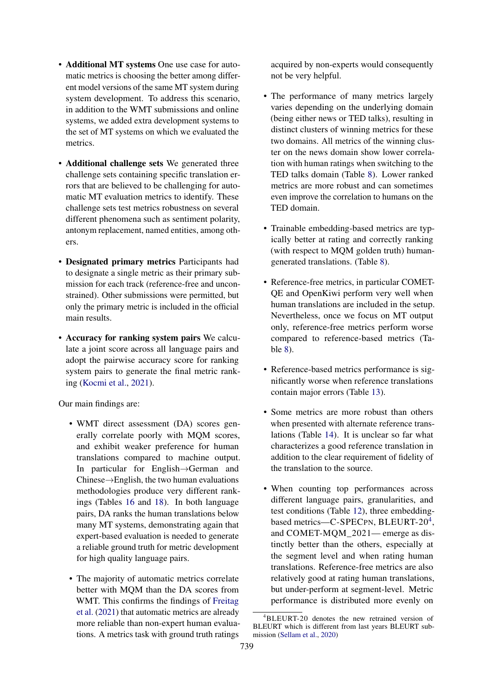- Additional MT systems One use case for automatic metrics is choosing the better among different model versions of the same MT system during system development. To address this scenario, in addition to the WMT submissions and online systems, we added extra development systems to the set of MT systems on which we evaluated the metrics.
- Additional challenge sets We generated three challenge sets containing specific translation errors that are believed to be challenging for automatic MT evaluation metrics to identify. These challenge sets test metrics robustness on several different phenomena such as sentiment polarity, antonym replacement, named entities, among others.
- Designated primary metrics Participants had to designate a single metric as their primary submission for each track (reference-free and unconstrained). Other submissions were permitted, but only the primary metric is included in the official main results.
- Accuracy for ranking system pairs We calculate a joint score across all language pairs and adopt the pairwise accuracy score for ranking system pairs to generate the final metric ranking [\(Kocmi et al.,](#page-21-1) [2021\)](#page-21-1).

Our main findings are:

- WMT direct assessment (DA) scores generally correlate poorly with MQM scores, and exhibit weaker preference for human translations compared to machine output. In particular for English→German and Chinese→English, the two human evaluations methodologies produce very different rankings (Tables [16](#page-18-0) and [18\)](#page-18-1). In both language pairs, DA ranks the human translations below many MT systems, demonstrating again that expert-based evaluation is needed to generate a reliable ground truth for metric development for high quality language pairs.
- The majority of automatic metrics correlate better with MQM than the DA scores from WMT. This confirms the findings of [Freitag](#page-20-0) [et al.](#page-20-0) [\(2021\)](#page-20-0) that automatic metrics are already more reliable than non-expert human evaluations. A metrics task with ground truth ratings

acquired by non-experts would consequently not be very helpful.

- The performance of many metrics largely varies depending on the underlying domain (being either news or TED talks), resulting in distinct clusters of winning metrics for these two domains. All metrics of the winning cluster on the news domain show lower correlation with human ratings when switching to the TED talks domain (Table [8\)](#page-9-0). Lower ranked metrics are more robust and can sometimes even improve the correlation to humans on the TED domain.
- Trainable embedding-based metrics are typically better at rating and correctly ranking (with respect to MQM golden truth) humangenerated translations. (Table [8\)](#page-9-0).
- Reference-free metrics, in particular COMET-QE and OpenKiwi perform very well when human translations are included in the setup. Nevertheless, once we focus on MT output only, reference-free metrics perform worse compared to reference-based metrics (Table [8\)](#page-9-0).
- Reference-based metrics performance is significantly worse when reference translations contain major errors (Table [13\)](#page-16-0).
- Some metrics are more robust than others when presented with alternate reference translations (Table [14\)](#page-16-1). It is unclear so far what characterizes a good reference translation in addition to the clear requirement of fidelity of the translation to the source.
- When counting top performances across different language pairs, granularities, and test conditions (Table [12\)](#page-14-0), three embedding-based metrics-C-SPECPN, BLEURT-20<sup>[4](#page-1-0)</sup>, and COMET-MQM\_2021— emerge as distinctly better than the others, especially at the segment level and when rating human translations. Reference-free metrics are also relatively good at rating human translations, but under-perform at segment-level. Metric performance is distributed more evenly on

<span id="page-1-0"></span><sup>4</sup>BLEURT-20 denotes the new retrained version of BLEURT which is different from last years BLEURT submission [\(Sellam et al.,](#page-22-0) [2020\)](#page-22-0)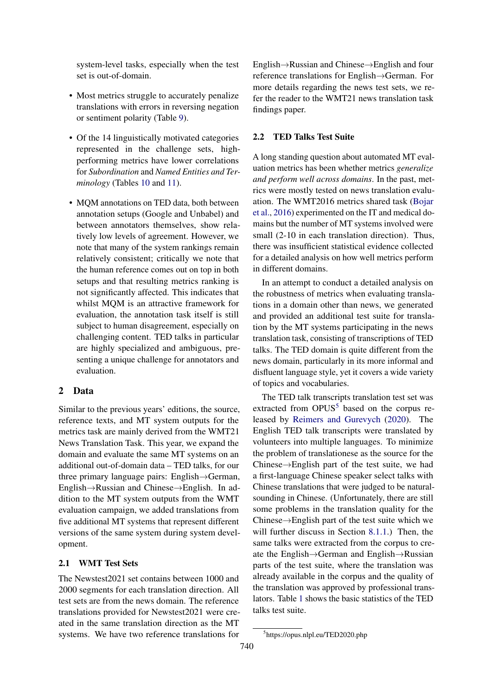system-level tasks, especially when the test set is out-of-domain.

- Most metrics struggle to accurately penalize translations with errors in reversing negation or sentiment polarity (Table [9\)](#page-12-0).
- Of the 14 linguistically motivated categories represented in the challenge sets, highperforming metrics have lower correlations for *Subordination* and *Named Entities and Terminology* (Tables [10](#page-13-0) and [11\)](#page-14-1).
- MQM annotations on TED data, both between annotation setups (Google and Unbabel) and between annotators themselves, show relatively low levels of agreement. However, we note that many of the system rankings remain relatively consistent; critically we note that the human reference comes out on top in both setups and that resulting metrics ranking is not significantly affected. This indicates that whilst MOM is an attractive framework for evaluation, the annotation task itself is still subject to human disagreement, especially on challenging content. TED talks in particular are highly specialized and ambiguous, presenting a unique challenge for annotators and evaluation.

# 2 Data

Similar to the previous years' editions, the source, reference texts, and MT system outputs for the metrics task are mainly derived from the WMT21 News Translation Task. This year, we expand the domain and evaluate the same MT systems on an additional out-of-domain data – TED talks, for our three primary language pairs: English→German, English→Russian and Chinese→English. In addition to the MT system outputs from the WMT evaluation campaign, we added translations from five additional MT systems that represent different versions of the same system during system development.

## 2.1 WMT Test Sets

The Newstest2021 set contains between 1000 and 2000 segments for each translation direction. All test sets are from the news domain. The reference translations provided for Newstest2021 were created in the same translation direction as the MT systems. We have two reference translations for

English→Russian and Chinese→English and four reference translations for English→German. For more details regarding the news test sets, we refer the reader to the WMT21 news translation task findings paper.

## 2.2 TED Talks Test Suite

A long standing question about automated MT evaluation metrics has been whether metrics *generalize and perform well across domains*. In the past, metrics were mostly tested on news translation evaluation. The WMT2016 metrics shared task [\(Bojar](#page-20-1) [et al.,](#page-20-1) [2016\)](#page-20-1) experimented on the IT and medical domains but the number of MT systems involved were small (2-10 in each translation direction). Thus, there was insufficient statistical evidence collected for a detailed analysis on how well metrics perform in different domains.

In an attempt to conduct a detailed analysis on the robustness of metrics when evaluating translations in a domain other than news, we generated and provided an additional test suite for translation by the MT systems participating in the news translation task, consisting of transcriptions of TED talks. The TED domain is quite different from the news domain, particularly in its more informal and disfluent language style, yet it covers a wide variety of topics and vocabularies.

The TED talk transcripts translation test set was extracted from  $OPUS<sup>5</sup>$  $OPUS<sup>5</sup>$  $OPUS<sup>5</sup>$  based on the corpus released by [Reimers and Gurevych](#page-22-1) [\(2020\)](#page-22-1). The English TED talk transcripts were translated by volunteers into multiple languages. To minimize the problem of translationese as the source for the Chinese→English part of the test suite, we had a first-language Chinese speaker select talks with Chinese translations that were judged to be naturalsounding in Chinese. (Unfortunately, there are still some problems in the translation quality for the Chinese→English part of the test suite which we will further discuss in Section [8.1.1.](#page-15-0)) Then, the same talks were extracted from the corpus to create the English→German and English→Russian parts of the test suite, where the translation was already available in the corpus and the quality of the translation was approved by professional translators. Table [1](#page-3-0) shows the basic statistics of the TED talks test suite.

<span id="page-2-0"></span><sup>5</sup> https://opus.nlpl.eu/TED2020.php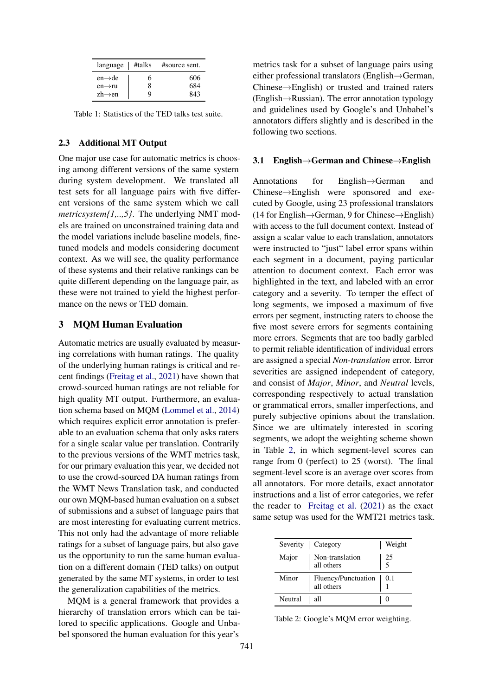<span id="page-3-0"></span>

| $language \mid \#talks$                                           |   | #source sent.     |
|-------------------------------------------------------------------|---|-------------------|
| $en \rightarrow de$<br>$en \rightarrow ru$<br>$zh \rightarrow en$ | 6 | 606<br>684<br>843 |

Table 1: Statistics of the TED talks test suite.

## 2.3 Additional MT Output

One major use case for automatic metrics is choosing among different versions of the same system during system development. We translated all test sets for all language pairs with five different versions of the same system which we call *metricsystem{1,..,5}*. The underlying NMT models are trained on unconstrained training data and the model variations include baseline models, finetuned models and models considering document context. As we will see, the quality performance of these systems and their relative rankings can be quite different depending on the language pair, as these were not trained to yield the highest performance on the news or TED domain.

## 3 MQM Human Evaluation

Automatic metrics are usually evaluated by measuring correlations with human ratings. The quality of the underlying human ratings is critical and recent findings [\(Freitag et al.,](#page-20-0) [2021\)](#page-20-0) have shown that crowd-sourced human ratings are not reliable for high quality MT output. Furthermore, an evaluation schema based on MQM [\(Lommel et al.,](#page-21-0) [2014\)](#page-21-0) which requires explicit error annotation is preferable to an evaluation schema that only asks raters for a single scalar value per translation. Contrarily to the previous versions of the WMT metrics task, for our primary evaluation this year, we decided not to use the crowd-sourced DA human ratings from the WMT News Translation task, and conducted our own MQM-based human evaluation on a subset of submissions and a subset of language pairs that are most interesting for evaluating current metrics. This not only had the advantage of more reliable ratings for a subset of language pairs, but also gave us the opportunity to run the same human evaluation on a different domain (TED talks) on output generated by the same MT systems, in order to test the generalization capabilities of the metrics.

MQM is a general framework that provides a hierarchy of translation errors which can be tailored to specific applications. Google and Unbabel sponsored the human evaluation for this year's

metrics task for a subset of language pairs using either professional translators (English→German, Chinese→English) or trusted and trained raters (English→Russian). The error annotation typology and guidelines used by Google's and Unbabel's annotators differs slightly and is described in the following two sections.

### <span id="page-3-2"></span>3.1 English→German and Chinese→English

Annotations for English→German and Chinese→English were sponsored and executed by Google, using 23 professional translators (14 for English→German, 9 for Chinese→English) with access to the full document context. Instead of assign a scalar value to each translation, annotators were instructed to "just" label error spans within each segment in a document, paying particular attention to document context. Each error was highlighted in the text, and labeled with an error category and a severity. To temper the effect of long segments, we imposed a maximum of five errors per segment, instructing raters to choose the five most severe errors for segments containing more errors. Segments that are too badly garbled to permit reliable identification of individual errors are assigned a special *Non-translation* error. Error severities are assigned independent of category, and consist of *Major*, *Minor*, and *Neutral* levels, corresponding respectively to actual translation or grammatical errors, smaller imperfections, and purely subjective opinions about the translation. Since we are ultimately interested in scoring segments, we adopt the weighting scheme shown in Table [2,](#page-3-1) in which segment-level scores can range from 0 (perfect) to 25 (worst). The final segment-level score is an average over scores from all annotators. For more details, exact annotator instructions and a list of error categories, we refer the reader to [Freitag et al.](#page-20-0) [\(2021\)](#page-20-0) as the exact same setup was used for the WMT21 metrics task.

<span id="page-3-1"></span>

|         | Severity   Category                     | Weight    |
|---------|-----------------------------------------|-----------|
| Major   | Non-translation<br>all others           | -25<br>.5 |
| Minor   | Fluency/Punctuation   0.1<br>all others |           |
| Neutral | all                                     |           |

Table 2: Google's MQM error weighting.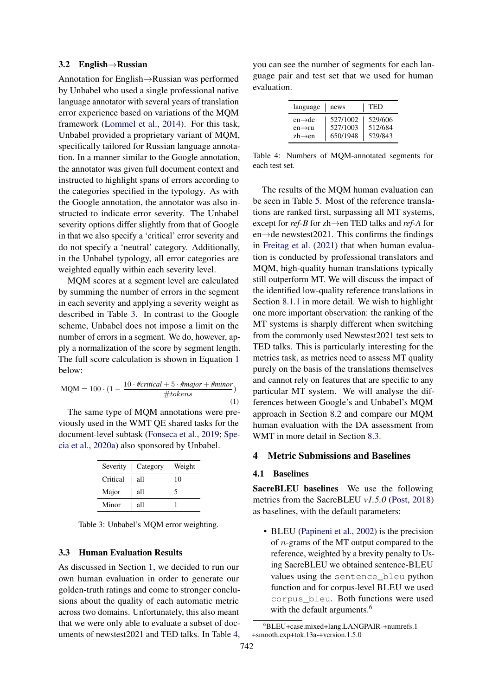#### 3.2 English→Russian

Annotation for English→Russian was performed by Unbabel who used a single professional native language annotator with several years of translation error experience based on variations of the MQM framework [\(Lommel et al.,](#page-21-0) [2014\)](#page-21-0). For this task, Unbabel provided a proprietary variant of MQM, specifically tailored for Russian language annotation. In a manner similar to the Google annotation, the annotator was given full document context and instructed to highlight spans of errors according to the categories specified in the typology. As with the Google annotation, the annotator was also instructed to indicate error severity. The Unbabel severity options differ slightly from that of Google in that we also specify a 'critical' error severity and do not specify a 'neutral' category. Additionally, in the Unbabel typology, all error categories are weighted equally within each severity level.

MQM scores at a segment level are calculated by summing the number of errors in the segment in each severity and applying a severity weight as described in Table [3.](#page-4-0) In contrast to the Google scheme, Unbabel does not impose a limit on the number of errors in a segment. We do, however, apply a normalization of the score by segment length. The full score calculation is shown in Equation [1](#page-4-1) below:

<span id="page-4-1"></span>
$$
MQM = 100 \cdot (1 - \frac{10 \cdot \#critical + 5 \cdot \# major + \#minor}{\# tokens})
$$
\n(1)

The same type of MQM annotations were previously used in the WMT QE shared tasks for the document-level subtask [\(Fonseca et al.,](#page-20-2) [2019;](#page-20-2) [Spe](#page-22-2)[cia et al.,](#page-22-2) [2020a\)](#page-22-2) also sponsored by Unbabel.

<span id="page-4-0"></span>

|          | Severity   Category   Weight |    |
|----------|------------------------------|----|
| Critical | all                          | 10 |
| Major    | all                          |    |
| Minor    | all                          |    |

Table 3: Unbabel's MQM error weighting.

## 3.3 Human Evaluation Results

As discussed in Section [1,](#page-0-3) we decided to run our own human evaluation in order to generate our golden-truth ratings and come to stronger conclusions about the quality of each automatic metric across two domains. Unfortunately, this also meant that we were only able to evaluate a subset of documents of newstest2021 and TED talks. In Table [4,](#page-4-2)

<span id="page-4-2"></span>you can see the number of segments for each language pair and test set that we used for human evaluation.

| language            | news     | TED     |
|---------------------|----------|---------|
| $en \rightarrow de$ | 527/1002 | 529/606 |
| $en \rightarrow ru$ | 527/1003 | 512/684 |
| $zh \rightarrow en$ | 650/1948 | 529/843 |

Table 4: Numbers of MQM-annotated segments for each test set.

The results of the MQM human evaluation can be seen in Table [5.](#page-5-0) Most of the reference translations are ranked first, surpassing all MT systems, except for *ref-B* for zh→en TED talks and *ref-A* for en $\rightarrow$ de newstest2021. This confirms the findings in [Freitag et al.](#page-20-0) [\(2021\)](#page-20-0) that when human evaluation is conducted by professional translators and MQM, high-quality human translations typically still outperform MT. We will discuss the impact of the identified low-quality reference translations in Section [8.1.1](#page-15-0) in more detail. We wish to highlight one more important observation: the ranking of the MT systems is sharply different when switching from the commonly used Newstest2021 test sets to TED talks. This is particularly interesting for the metrics task, as metrics need to assess MT quality purely on the basis of the translations themselves and cannot rely on features that are specific to any particular MT system. We will analyse the differences between Google's and Unbabel's MQM approach in Section [8.2](#page-16-2) and compare our MQM human evaluation with the DA assessment from WMT in more detail in Section [8.3.](#page-17-0)

# 4 Metric Submissions and Baselines

# 4.1 Baselines

SacreBLEU baselines We use the following metrics from the SacreBLEU *v1.5.0* [\(Post,](#page-22-3) [2018\)](#page-22-3) as baselines, with the default parameters:

• BLEU [\(Papineni et al.,](#page-21-2) [2002\)](#page-21-2) is the precision of n-grams of the MT output compared to the reference, weighted by a brevity penalty to Using SacreBLEU we obtained sentence-BLEU values using the sentence\_bleu python function and for corpus-level BLEU we used corpus\_bleu. Both functions were used with the default arguments.<sup>[6](#page-4-3)</sup>

<span id="page-4-3"></span><sup>6</sup>BLEU+case.mixed+lang.LANGPAIR-+numrefs.1 +smooth.exp+tok.13a-+version.1.5.0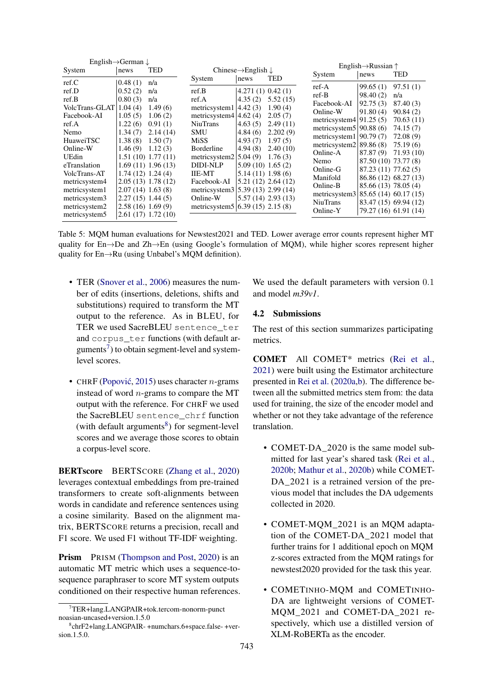<span id="page-5-0"></span>

|                | English $\rightarrow$ German $\downarrow$ |                        |                                    |                                            |                                            |                                     | English $\rightarrow$ Russian $\uparrow$ |                       |
|----------------|-------------------------------------------|------------------------|------------------------------------|--------------------------------------------|--------------------------------------------|-------------------------------------|------------------------------------------|-----------------------|
| System         | news                                      | TED                    |                                    | Chinese $\rightarrow$ English $\downarrow$ |                                            |                                     |                                          | <b>TED</b>            |
| ref.C          | 0.48(1)                                   | n/a                    | System                             | news                                       | TED                                        | System                              | news                                     |                       |
| ref.D          | 0.52(2)                                   | n/a                    | ref.B                              | 4.271(1) 0.42(1)                           |                                            | $ref-A$                             | 99.65(1)                                 | 97.51(1)              |
|                |                                           |                        |                                    |                                            |                                            | $ref-B$                             | 98.40(2)                                 | n/a                   |
| ref.B          | 0.80(3)                                   | n/a                    | ref.A                              | 4.35(2)                                    | 5.52(15)                                   | Facebook-AI                         | 92.75(3)                                 | 87.40 (3)             |
| VolcTrans-GLAT | 1.04(4)                                   | 1.49(6)                | metricsystem1                      | 4.42(3)                                    | 1.90(4)                                    | Online-W                            | 91.80(4)                                 | 90.84(2)              |
| Facebook-AI    | 1.05(5)                                   | 1.06(2)                | metricsystem4                      | 4.62(4)                                    | 2.05(7)                                    | metricsystem $4$   91.25 (5)        |                                          | 70.63 (11)            |
| ref.A          | 1.22(6)                                   | 0.91(1)                | <b>NiuTrans</b>                    | 4.63(5)                                    | 2.49(11)                                   | metricsystem $5 90.88(6)$           |                                          | 74.15 (7)             |
| Nemo           | 1.34(7)                                   | 2.14(14)               | SMU                                | 4.84(6)                                    | 2.202(9)                                   | metricsystem $1 90.79(7)$           |                                          | 72.08 (9)             |
| HuaweiTSC      | 1.38(8)                                   | 1.50(7)                | MiSS                               | 4.93(7)                                    | 1.97(5)                                    | metricsystem $2 89.86(8)$           |                                          | 75.19 (6)             |
| Online-W       | 1.46(9)                                   | 1.12(3)                | Borderline                         | 4.94(8)                                    | 2.40(10)                                   |                                     |                                          |                       |
| UEdin          |                                           | 1.51(10) 1.77(11)      | metricsystem2                      | 5.04(9)                                    | 1.76(3)                                    | Online-A                            | 87.87(9)                                 | 71.93(10)             |
| eTranslation   |                                           | 1.69(11) 1.96(13)      | <b>DIDI-NLP</b>                    | 5.09(10)1.65(2)                            |                                            | Nemo                                | 87.50 (10) 73.77 (8)                     |                       |
| VolcTrans-AT   | $1.74(12)$ 1.24(4)                        |                        | <b>IIE-MT</b>                      | $5.14(11)$ 1.98(6)                         |                                            | Online-G                            | 87.23 (11) 77.62 (5)                     |                       |
| metricsystem4  |                                           | 2.05(13) 1.78(12)      | Facebook-AI                        |                                            | $5.21(12)$ 2.64 $(12)$                     | Manifold                            |                                          | 86.86 (12) 68.27 (13) |
| metricsystem1  | 2.07(14)1.63(8)                           |                        | metricsystem3                      |                                            | $\vert 5.39 \, (13) \, 2.99 \, (14) \vert$ | Online-B                            | 85.66 (13) 78.05 (4)                     |                       |
|                | $2.27(15)$ 1.44(5)                        |                        | Online-W                           |                                            | $5.57(14)$ 2.93 $(13)$                     | metricsystem3 85.65 (14) 60.17 (15) |                                          |                       |
| metricsystem3  |                                           |                        |                                    |                                            |                                            | <b>NiuTrans</b>                     |                                          | 83.47 (15) 69.94 (12) |
| metricsystem2  | 2.58(16)1.69(9)                           |                        | metricsystem5 $(6.39(15) 2.15(8))$ |                                            |                                            | Online-Y                            |                                          | 79.27 (16) 61.91 (14) |
| metricsystem5  |                                           | $2.61(17)$ 1.72 $(10)$ |                                    |                                            |                                            |                                     |                                          |                       |

Table 5: MQM human evaluations for Newstest2021 and TED. Lower average error counts represent higher MT quality for En→De and Zh→En (using Google's formulation of MQM), while higher scores represent higher quality for En→Ru (using Unbabel's MQM definition).

- TER [\(Snover et al.,](#page-22-4) [2006\)](#page-22-4) measures the number of edits (insertions, deletions, shifts and substitutions) required to transform the MT output to the reference. As in BLEU, for TER we used SacreBLEU sentence\_ter and corpus\_ter functions (with default arguments $\frac{7}{1}$  $\frac{7}{1}$  $\frac{7}{1}$  to obtain segment-level and systemlevel scores.
- CHRF (Popović, [2015\)](#page-22-5) uses character  $n$ -grams instead of word  $n$ -grams to compare the MT output with the reference. For CHRF we used the SacreBLEU sentence\_chrf function (with default arguments $8$ ) for segment-level scores and we average those scores to obtain a corpus-level score.

BERTscore BERTSCORE [\(Zhang et al.,](#page-22-6) [2020\)](#page-22-6) leverages contextual embeddings from pre-trained transformers to create soft-alignments between words in candidate and reference sentences using a cosine similarity. Based on the alignment matrix, BERTSCORE returns a precision, recall and F1 score. We used F1 without TF-IDF weighting.

Prism PRISM [\(Thompson and Post,](#page-22-7) [2020\)](#page-22-7) is an automatic MT metric which uses a sequence-tosequence paraphraser to score MT system outputs conditioned on their respective human references. We used the default parameters with version 0.1 and model *m39v1*.

## 4.2 Submissions

The rest of this section summarizes participating metrics.

COMET All COMET\* metrics [\(Rei et al.,](#page-22-8) [2021\)](#page-22-8) were built using the Estimator architecture presented in [Rei et al.](#page-22-9) [\(2020a](#page-22-9)[,b\)](#page-22-10). The difference between all the submitted metrics stem from: the data used for training, the size of the encoder model and whether or not they take advantage of the reference translation.

- COMET-DA 2020 is the same model submitted for last year's shared task [\(Rei et al.,](#page-22-10) [2020b;](#page-22-10) [Mathur et al.,](#page-21-3) [2020b\)](#page-21-3) while COMET-DA\_2021 is a retrained version of the previous model that includes the DA udgements collected in 2020.
- COMET-MQM\_2021 is an MQM adaptation of the COMET-DA\_2021 model that further trains for 1 additional epoch on MQM z-scores extracted from the MQM ratings for newstest2020 provided for the task this year.
- COMETINHO-MQM and COMETINHO-DA are lightweight versions of COMET-MQM\_2021 and COMET-DA\_2021 respectively, which use a distilled version of XLM-RoBERTa as the encoder.

<span id="page-5-1"></span><sup>7</sup>TER+lang.LANGPAIR+tok.tercom-nonorm-punct noasian-uncased+version.1.5.0

<span id="page-5-2"></span><sup>8</sup> chrF2+lang.LANGPAIR- +numchars.6+space.false- +version.1.5.0.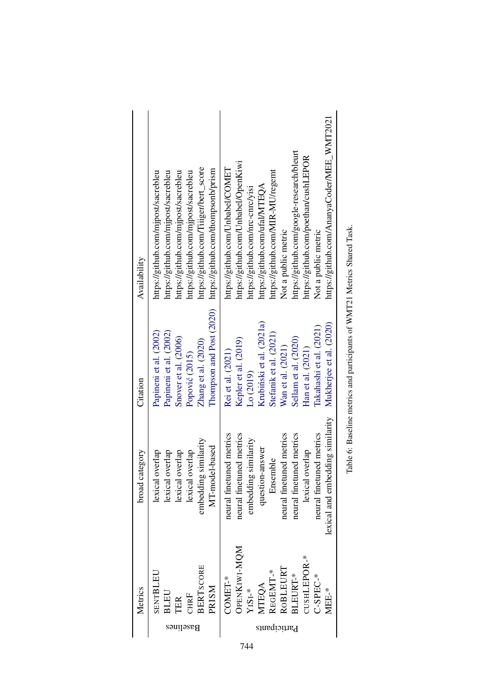| Availability      | https://github.com/Tiiiger/bert_score<br>https://github.com/thompsonb/prism<br>https://github.com/mjpost/sacrebleu<br>https://github.com/mjpost/sacrebleu<br>https://github.com/mjpost/sacrebleu<br>https://github.com/mjpost/sacrebleu | https://github.com/AnanyaCoder/MEE_WMT2021<br>https://github.com/google-research/bleurt<br>https://github.com/poethan/cushLEPOR<br>https://github.com/Unbabel/OpenKiwi<br>https://github.com/Unbabel/COMET<br>https://github.com/MIR-MU/regemt<br>https://github.com/ufal/MTEQA<br>https://github.com/nrc-cnrc/visi<br>Not a public metric<br>Not a public metric |
|-------------------|-----------------------------------------------------------------------------------------------------------------------------------------------------------------------------------------------------------------------------------------|-------------------------------------------------------------------------------------------------------------------------------------------------------------------------------------------------------------------------------------------------------------------------------------------------------------------------------------------------------------------|
| Citation          | Thompson and Post (2020)<br>Papineni et al. (2002)<br>Papineni et al. (2002)<br>Snover et al. (2006)<br>Zhang et al. (2020)<br>Popović (2015)                                                                                           | Krubiński et al. (2021a)<br>Mukherjee et al. (2020)<br>Takahashi et al. (2021)<br>Stefanik et al. (2021)<br>Sellam et al. (2020)<br>Kepler et al. (2019)<br>Wan et al. (2021)<br>Han et al. (2021)<br>Rei et al. (2021)<br>Lo (2019)                                                                                                                              |
| category<br>broad | g similarity<br>MT-model-based<br>lexical overlap<br>lexical overlap<br>lexical overlap<br>lexical overlap<br>embeddin                                                                                                                  | lexical and embedding similarity<br>neural finetuned metrics<br>neural finetuned metrics<br>neural finetuned metrics<br>neural finetuned metrics<br>neural finetuned metrics<br>embedding similarity<br>question-answer<br>lexical overlap<br>Ensemble                                                                                                            |
| Metrics           | <b>BERTSCORE</b><br>SENTBLEU<br><b>PRISM</b><br><b>BLEU</b><br>$\mathbb C\mathbb H\mathbb R F$<br><b>TER</b><br>Baselines                                                                                                               | OPENKIWI-MQM<br>CUSHLEPOR-*<br>ROBLEURT<br>REGEMT-*<br>BLEURT-*<br>$C-SPEC-*$<br>COMET-*<br><b>MTEQA</b><br>$YISI-*$<br>MEE-*<br>Participants                                                                                                                                                                                                                     |

| i                  |
|--------------------|
|                    |
| <br> <br>          |
| I<br>j<br>l        |
| l<br>j             |
| l<br>$\frac{1}{2}$ |
|                    |
| ļ<br>ĺ             |

 $\cdot$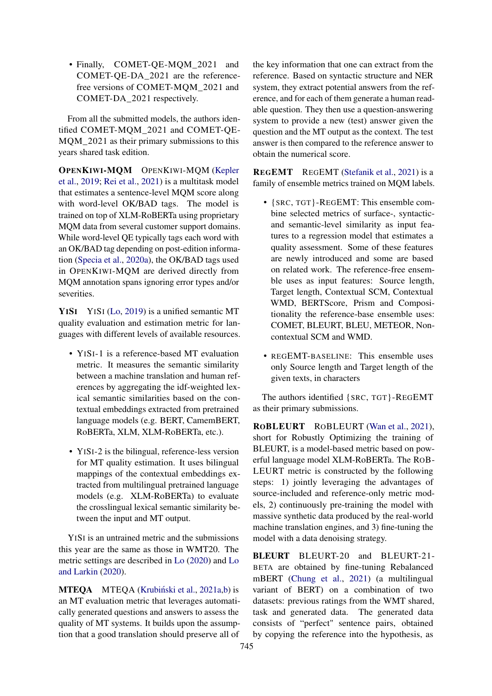• Finally, COMET-QE-MQM\_2021 and COMET-QE-DA\_2021 are the referencefree versions of COMET-MQM\_2021 and COMET-DA\_2021 respectively.

From all the submitted models, the authors identified COMET-MQM\_2021 and COMET-QE-MQM 2021 as their primary submissions to this years shared task edition.

OPENKIWI-MQM OPENKIWI-MQM [\(Kepler](#page-21-4) [et al.,](#page-21-4) [2019;](#page-21-4) [Rei et al.,](#page-22-8) [2021\)](#page-22-8) is a multitask model that estimates a sentence-level MQM score along with word-level OK/BAD tags. The model is trained on top of XLM-RoBERTa using proprietary MQM data from several customer support domains. While word-level QE typically tags each word with an OK/BAD tag depending on post-edition information [\(Specia et al.,](#page-22-2) [2020a\)](#page-22-2), the OK/BAD tags used in OPENKIWI-MQM are derived directly from MQM annotation spans ignoring error types and/or severities.

YISI YISI [\(Lo,](#page-21-5) [2019\)](#page-21-5) is a unified semantic MT quality evaluation and estimation metric for languages with different levels of available resources.

- YISI-1 is a reference-based MT evaluation metric. It measures the semantic similarity between a machine translation and human references by aggregating the idf-weighted lexical semantic similarities based on the contextual embeddings extracted from pretrained language models (e.g. BERT, CamemBERT, RoBERTa, XLM, XLM-RoBERTa, etc.).
- YISI-2 is the bilingual, reference-less version for MT quality estimation. It uses bilingual mappings of the contextual embeddings extracted from multilingual pretrained language models (e.g. XLM-RoBERTa) to evaluate the crosslingual lexical semantic similarity between the input and MT output.

YISI is an untrained metric and the submissions this year are the same as those in WMT20. The metric settings are described in [Lo](#page-21-8) [\(2020\)](#page-21-8) and [Lo](#page-21-9) [and Larkin](#page-21-9) [\(2020\)](#page-21-9).

MTEQA MTEQA (Krubiński et al., [2021a](#page-21-6)[,b\)](#page-21-10) is an MT evaluation metric that leverages automatically generated questions and answers to assess the quality of MT systems. It builds upon the assumption that a good translation should preserve all of

the key information that one can extract from the reference. Based on syntactic structure and NER system, they extract potential answers from the reference, and for each of them generate a human readable question. They then use a question-answering system to provide a new (test) answer given the question and the MT output as the context. The test answer is then compared to the reference answer to obtain the numerical score.

REGEMT REGEMT [\(Stefanik et al.,](#page-22-11) [2021\)](#page-22-11) is a family of ensemble metrics trained on MQM labels.

- {SRC, TGT}-REGEMT: This ensemble combine selected metrics of surface-, syntacticand semantic-level similarity as input features to a regression model that estimates a quality assessment. Some of these features are newly introduced and some are based on related work. The reference-free ensemble uses as input features: Source length, Target length, Contextual SCM, Contextual WMD, BERTScore, Prism and Compositionality the reference-base ensemble uses: COMET, BLEURT, BLEU, METEOR, Noncontextual SCM and WMD.
- REGEMT-BASELINE: This ensemble uses only Source length and Target length of the given texts, in characters

The authors identified {SRC, TGT}-REGEMT as their primary submissions.

ROBLEURT ROBLEURT [\(Wan et al.,](#page-22-12) [2021\)](#page-22-12), short for Robustly Optimizing the training of BLEURT, is a model-based metric based on powerful language model XLM-RoBERTa. The ROB-LEURT metric is constructed by the following steps: 1) jointly leveraging the advantages of source-included and reference-only metric models, 2) continuously pre-training the model with massive synthetic data produced by the real-world machine translation engines, and 3) fine-tuning the model with a data denoising strategy.

BLEURT BLEURT-20 and BLEURT-21- BETA are obtained by fine-tuning Rebalanced mBERT [\(Chung et al.,](#page-20-4) [2021\)](#page-20-4) (a multilingual variant of BERT) on a combination of two datasets: previous ratings from the WMT shared, task and generated data. The generated data consists of "perfect" sentence pairs, obtained by copying the reference into the hypothesis, as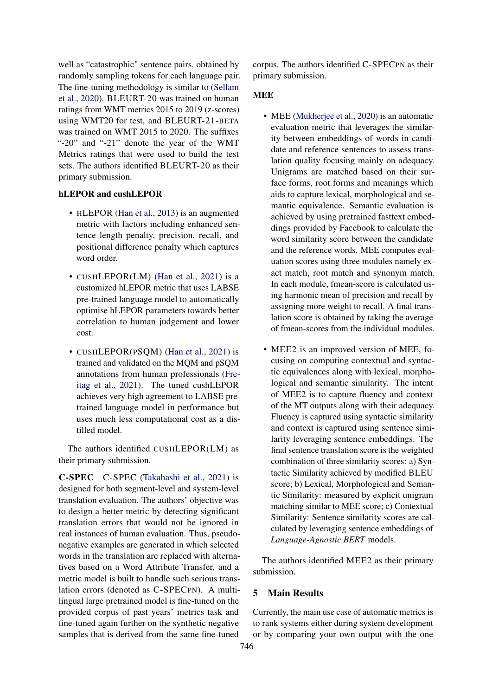well as "catastrophic" sentence pairs, obtained by randomly sampling tokens for each language pair. The fine-tuning methodology is similar to [\(Sellam](#page-22-0) [et al.,](#page-22-0) [2020\)](#page-22-0). BLEURT-20 was trained on human ratings from WMT metrics 2015 to 2019 (z-scores) using WMT20 for test, and BLEURT-21-BETA was trained on WMT 2015 to 2020. The suffixes "-20" and "-21" denote the year of the WMT Metrics ratings that were used to build the test sets. The authors identified BLEURT-20 as their primary submission.

# hLEPOR and cushLEPOR

- HLEPOR [\(Han et al.,](#page-21-11) [2013\)](#page-21-11) is an augmented metric with factors including enhanced sentence length penalty, precision, recall, and positional difference penalty which captures word order.
- CUSHLEPOR(LM) [\(Han et al.,](#page-20-3) [2021\)](#page-20-3) is a customized hLEPOR metric that uses LABSE pre-trained language model to automatically optimise hLEPOR parameters towards better correlation to human judgement and lower cost.
- CUSHLEPOR(PSQM) [\(Han et al.,](#page-20-3) [2021\)](#page-20-3) is trained and validated on the MQM and pSQM annotations from human professionals [\(Fre](#page-20-0)[itag et al.,](#page-20-0) [2021\)](#page-20-0). The tuned cushLEPOR achieves very high agreement to LABSE pretrained language model in performance but uses much less computational cost as a distilled model.

The authors identified CUSHLEPOR(LM) as their primary submission.

C-SPEC C-SPEC [\(Takahashi et al.,](#page-22-13) [2021\)](#page-22-13) is designed for both segment-level and system-level translation evaluation. The authors' objective was to design a better metric by detecting significant translation errors that would not be ignored in real instances of human evaluation. Thus, pseudonegative examples are generated in which selected words in the translation are replaced with alternatives based on a Word Attribute Transfer, and a metric model is built to handle such serious translation errors (denoted as C-SPECPN). A multilingual large pretrained model is fine-tuned on the provided corpus of past years' metrics task and fine-tuned again further on the synthetic negative samples that is derived from the same fine-tuned

corpus. The authors identified C-SPECPN as their primary submission.

### MEE

- MEE [\(Mukherjee et al.,](#page-21-7) [2020\)](#page-21-7) is an automatic evaluation metric that leverages the similarity between embeddings of words in candidate and reference sentences to assess translation quality focusing mainly on adequacy. Unigrams are matched based on their surface forms, root forms and meanings which aids to capture lexical, morphological and semantic equivalence. Semantic evaluation is achieved by using pretrained fasttext embeddings provided by Facebook to calculate the word similarity score between the candidate and the reference words. MEE computes evaluation scores using three modules namely exact match, root match and synonym match. In each module, fmean-score is calculated using harmonic mean of precision and recall by assigning more weight to recall. A final translation score is obtained by taking the average of fmean-scores from the individual modules.
- MEE2 is an improved version of MEE, focusing on computing contextual and syntactic equivalences along with lexical, morphological and semantic similarity. The intent of MEE2 is to capture fluency and context of the MT outputs along with their adequacy. Fluency is captured using syntactic similarity and context is captured using sentence similarity leveraging sentence embeddings. The final sentence translation score is the weighted combination of three similarity scores: a) Syntactic Similarity achieved by modified BLEU score; b) Lexical, Morphological and Semantic Similarity: measured by explicit unigram matching similar to MEE score; c) Contextual Similarity: Sentence similarity scores are calculated by leveraging sentence embeddings of *Language-Agnostic BERT* models.

The authors identified MEE2 as their primary submission.

# <span id="page-8-0"></span>5 Main Results

Currently, the main use case of automatic metrics is to rank systems either during system development or by comparing your own output with the one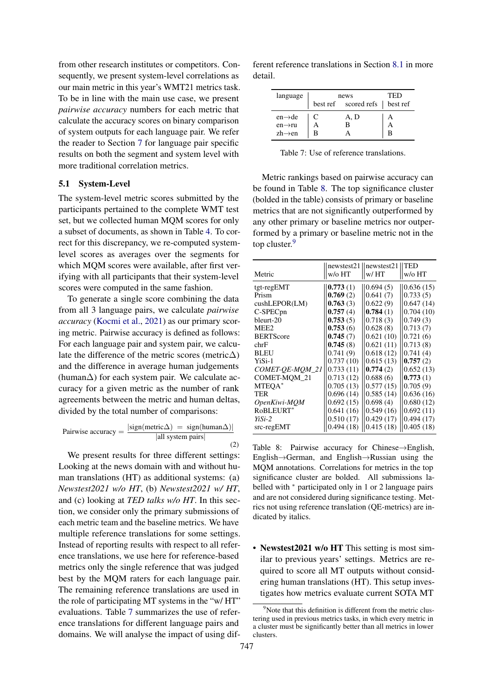from other research institutes or competitors. Consequently, we present system-level correlations as our main metric in this year's WMT21 metrics task. To be in line with the main use case, we present *pairwise accuracy* numbers for each metric that calculate the accuracy scores on binary comparison of system outputs for each language pair. We refer the reader to Section [7](#page-13-1) for language pair specific results on both the segment and system level with more traditional correlation metrics.

#### 5.1 System-Level

The system-level metric scores submitted by the participants pertained to the complete WMT test set, but we collected human MQM scores for only a subset of documents, as shown in Table [4.](#page-4-2) To correct for this discrepancy, we re-computed systemlevel scores as averages over the segments for which MQM scores were available, after first verifying with all participants that their system-level scores were computed in the same fashion.

To generate a single score combining the data from all 3 language pairs, we calculate *pairwise accuracy* [\(Kocmi et al.,](#page-21-1) [2021\)](#page-21-1) as our primary scoring metric. Pairwise accuracy is defined as follows: For each language pair and system pair, we calculate the difference of the metric scores (metric $\Delta$ ) and the difference in average human judgements (human∆) for each system pair. We calculate accuracy for a given metric as the number of rank agreements between the metric and human deltas, divided by the total number of comparisons:

Pairwise accuracy = 
$$
\frac{|\text{sign}(\text{metric}\Delta) = \text{sign}(\text{human}\Delta)|}{|\text{all system pairs}|}
$$
 (2)

We present results for three different settings: Looking at the news domain with and without human translations (HT) as additional systems: (a) *Newstest2021 w/o HT*, (b) *Newstest2021 w/ HT*, and (c) looking at *TED talks w/o HT*. In this section, we consider only the primary submissions of each metric team and the baseline metrics. We have multiple reference translations for some settings. Instead of reporting results with respect to all reference translations, we use here for reference-based metrics only the single reference that was judged best by the MQM raters for each language pair. The remaining reference translations are used in the role of participating MT systems in the "w/ HT" evaluations. Table [7](#page-9-1) summarizes the use of reference translations for different language pairs and domains. We will analyse the impact of using dif-

ferent reference translations in Section [8.1](#page-15-1) in more detail.

<span id="page-9-1"></span>

| language                                                          | news<br>best ref scored refs   best ref | TED         |
|-------------------------------------------------------------------|-----------------------------------------|-------------|
| $en \rightarrow de$<br>$en \rightarrow ru$<br>$zh \rightarrow en$ | A, D<br>в                               | А<br>А<br>R |

Table 7: Use of reference translations.

Metric rankings based on pairwise accuracy can be found in Table [8.](#page-9-0) The top significance cluster (bolded in the table) consists of primary or baseline metrics that are not significantly outperformed by any other primary or baseline metrics nor outperformed by a primary or baseline metric not in the top cluster.<sup>[9](#page-9-2)</sup>

<span id="page-9-0"></span>

| Metric               | newstest21<br>w/o HT | newstest21<br>w/HT | TED<br>w/o HT |
|----------------------|----------------------|--------------------|---------------|
| tgt-regEMT           | 0.773(1)             | 0.694(5)           | 0.636(15)     |
| Prism                | 0.769(2)             | 0.641(7)           | 0.733(5)      |
| cushLEPORT(LM)       | 0.763(3)             | 0.622(9)           | 0.647(14)     |
| C-SPEC <sub>pn</sub> | 0.757(4)             | 0.784(1)           | 0.704(10)     |
| bleurt-20            | 0.753(5)             | 0.718(3)           | 0.749(3)      |
| MEE <sub>2</sub>     | 0.753(6)             | 0.628(8)           | 0.713(7)      |
| <b>BERTScore</b>     | 0.745(7)             | 0.621(10)          | 0.721(6)      |
| chrF                 | 0.745(8)             | 0.621(11)          | 0.713(8)      |
| <b>BLEU</b>          | 0.741(9)             | 0.618(12)          | 0.741(4)      |
| YiSi-1               | 0.737(10)            | 0.615(13)          | 0.757(2)      |
| COMET-QE-MOM_21      | 0.733(11)            | 0.774(2)           | 0.652(13)     |
| <b>COMET-MOM 21</b>  | 0.713(12)            | 0.688(6)           | 0.773(1)      |
| MTEQA*               | 0.705(13)            | 0.577(15)          | 0.705(9)      |
| TER                  | 0.696(14)            | 0.585(14)          | 0.636(16)     |
| OpenKiwi-MQM         | 0.692(15)            | 0.698(4)           | 0.680(12)     |
| RoBLEURT*            | 0.641(16)            | 0.549(16)          | 0.692(11)     |
| $Y_i$ Si-2           | 0.510(17)            | 0.429(17)          | 0.494(17)     |
| $src-regEMT$         | 0.494(18)            | 0.415(18)          | 0.405(18)     |

Table 8: Pairwise accuracy for Chinese→English, English→German, and English→Russian using the MQM annotations. Correlations for metrics in the top significance cluster are bolded. All submissions labelled with <sup>∗</sup> participated only in 1 or 2 language pairs and are not considered during significance testing. Metrics not using reference translation (QE-metrics) are indicated by italics.

• Newstest 2021 w/o HT This setting is most similar to previous years' settings. Metrics are required to score all MT outputs without considering human translations (HT). This setup investigates how metrics evaluate current SOTA MT

<span id="page-9-2"></span> $9^9$ Note that this definition is different from the metric clustering used in previous metrics tasks, in which every metric in a cluster must be significantly better than all metrics in lower clusters.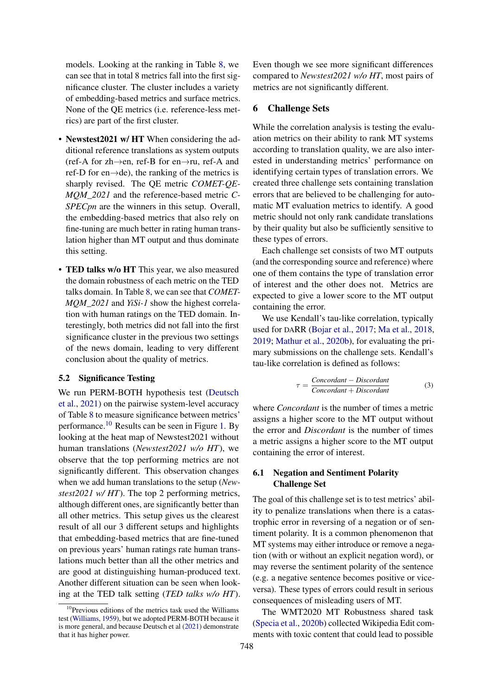models. Looking at the ranking in Table [8,](#page-9-0) we can see that in total 8 metrics fall into the first significance cluster. The cluster includes a variety of embedding-based metrics and surface metrics. None of the QE metrics (i.e. reference-less metrics) are part of the first cluster.

- Newstest2021 w/HT When considering the additional reference translations as system outputs (ref-A for zh→en, ref-B for en→ru, ref-A and ref-D for en→de), the ranking of the metrics is sharply revised. The QE metric *COMET-QE-MQM\_2021* and the reference-based metric *C-SPECpn* are the winners in this setup. Overall, the embedding-based metrics that also rely on fine-tuning are much better in rating human translation higher than MT output and thus dominate this setting.
- TED talks w/o HT This year, we also measured the domain robustness of each metric on the TED talks domain. In Table [8,](#page-9-0) we can see that *COMET-MQM\_2021* and *YiSi-1* show the highest correlation with human ratings on the TED domain. Interestingly, both metrics did not fall into the first significance cluster in the previous two settings of the news domain, leading to very different conclusion about the quality of metrics.

# 5.2 Significance Testing

We run PERM-BOTH hypothesis test [\(Deutsch](#page-20-5) [et al.,](#page-20-5) [2021\)](#page-20-5) on the pairwise system-level accuracy of Table [8](#page-9-0) to measure significance between metrics' performance.[10](#page-10-0) Results can be seen in Figure [1.](#page-11-0) By looking at the heat map of Newstest2021 without human translations (*Newstest2021 w/o HT*), we observe that the top performing metrics are not significantly different. This observation changes when we add human translations to the setup (*Newstest2021 w/ HT*). The top 2 performing metrics, although different ones, are significantly better than all other metrics. This setup gives us the clearest result of all our 3 different setups and highlights that embedding-based metrics that are fine-tuned on previous years' human ratings rate human translations much better than all the other metrics and are good at distinguishing human-produced text. Another different situation can be seen when looking at the TED talk setting (*TED talks w/o HT*). Even though we see more significant differences compared to *Newstest2021 w/o HT*, most pairs of metrics are not significantly different.

### 6 Challenge Sets

While the correlation analysis is testing the evaluation metrics on their ability to rank MT systems according to translation quality, we are also interested in understanding metrics' performance on identifying certain types of translation errors. We created three challenge sets containing translation errors that are believed to be challenging for automatic MT evaluation metrics to identify. A good metric should not only rank candidate translations by their quality but also be sufficiently sensitive to these types of errors.

Each challenge set consists of two MT outputs (and the corresponding source and reference) where one of them contains the type of translation error of interest and the other does not. Metrics are expected to give a lower score to the MT output containing the error.

We use Kendall's tau-like correlation, typically used for DARR [\(Bojar et al.,](#page-20-6) [2017;](#page-20-6) [Ma et al.,](#page-21-12) [2018,](#page-21-12) [2019;](#page-21-13) [Mathur et al.,](#page-21-3) [2020b\)](#page-21-3), for evaluating the primary submissions on the challenge sets. Kendall's tau-like correlation is defined as follows:

$$
\tau = \frac{Concordant - Discountant}{Concordant + Discountant}
$$
 (3)

where *Concordant* is the number of times a metric assigns a higher score to the MT output without the error and *Discordant* is the number of times a metric assigns a higher score to the MT output containing the error of interest.

## 6.1 Negation and Sentiment Polarity Challenge Set

The goal of this challenge set is to test metrics' ability to penalize translations when there is a catastrophic error in reversing of a negation or of sentiment polarity. It is a common phenomenon that MT systems may either introduce or remove a negation (with or without an explicit negation word), or may reverse the sentiment polarity of the sentence (e.g. a negative sentence becomes positive or viceversa). These types of errors could result in serious consequences of misleading users of MT.

The WMT2020 MT Robustness shared task [\(Specia et al.,](#page-22-15) [2020b\)](#page-22-15) collected Wikipedia Edit comments with toxic content that could lead to possible

<span id="page-10-0"></span> $10$ Previous editions of the metrics task used the Williams test [\(Williams,](#page-22-14) [1959\)](#page-22-14), but we adopted PERM-BOTH because it is more general, and because Deutsch et al [\(2021\)](#page-20-5) demonstrate that it has higher power.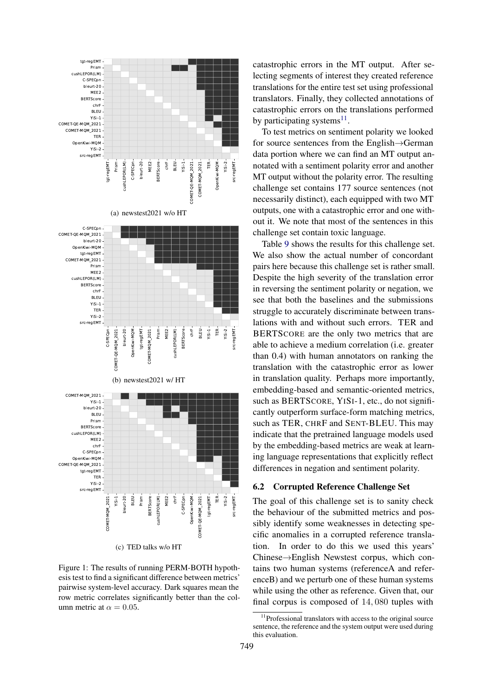<span id="page-11-0"></span>

(c) TED talks w/o HT

Figure 1: The results of running PERM-BOTH hypothesis test to find a significant difference between metrics' pairwise system-level accuracy. Dark squares mean the row metric correlates significantly better than the column metric at  $\alpha = 0.05$ .

catastrophic errors in the MT output. After selecting segments of interest they created reference translations for the entire test set using professional translators. Finally, they collected annotations of catastrophic errors on the translations performed by participating systems $^{11}$  $^{11}$  $^{11}$ .

To test metrics on sentiment polarity we looked for source sentences from the English→German data portion where we can find an MT output annotated with a sentiment polarity error and another MT output without the polarity error. The resulting challenge set contains 177 source sentences (not necessarily distinct), each equipped with two MT outputs, one with a catastrophic error and one without it. We note that most of the sentences in this challenge set contain toxic language.

Table [9](#page-12-0) shows the results for this challenge set. We also show the actual number of concordant pairs here because this challenge set is rather small. Despite the high severity of the translation error in reversing the sentiment polarity or negation, we see that both the baselines and the submissions struggle to accurately discriminate between translations with and without such errors. TER and BERTSCORE are the only two metrics that are able to achieve a medium correlation (i.e. greater than 0.4) with human annotators on ranking the translation with the catastrophic error as lower in translation quality. Perhaps more importantly, embedding-based and semantic-oriented metrics, such as BERTSCORE, YISI-1, etc., do not significantly outperform surface-form matching metrics, such as TER, CHRF and SENT-BLEU. This may indicate that the pretrained language models used by the embedding-based metrics are weak at learning language representations that explicitly reflect differences in negation and sentiment polarity.

#### <span id="page-11-2"></span>6.2 Corrupted Reference Challenge Set

The goal of this challenge set is to sanity check the behaviour of the submitted metrics and possibly identify some weaknesses in detecting specific anomalies in a corrupted reference translation. In order to do this we used this years' Chinese→English Newstest corpus, which contains two human systems (referenceA and referenceB) and we perturb one of these human systems while using the other as reference. Given that, our final corpus is composed of 14, 080 tuples with

<span id="page-11-1"></span><sup>&</sup>lt;sup>11</sup>Professional translators with access to the original source sentence, the reference and the system output were used during this evaluation.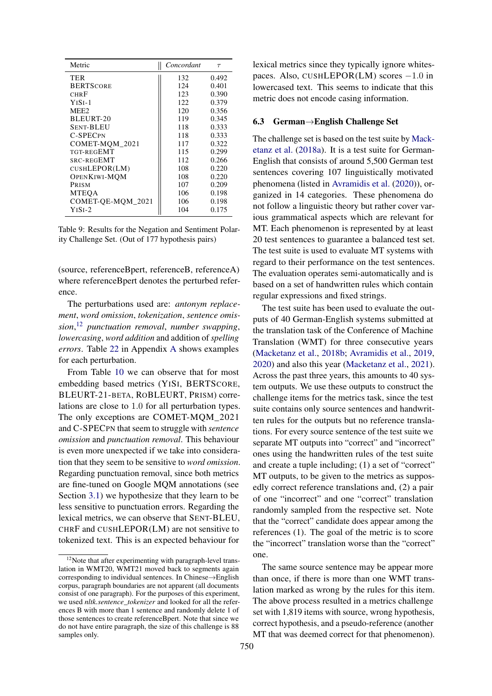<span id="page-12-0"></span>

| Metric              | Concordant | $\tau$ |
|---------------------|------------|--------|
| TER                 | 132        | 0.492  |
| <b>BERTSCORE</b>    | 124        | 0.401  |
| CHR F               | 123        | 0.390  |
| $YISI-1$            | 122        | 0.379  |
| MEE <sub>2</sub>    | 120        | 0.356  |
| BLEURT-20           | 119        | 0.345  |
| Sent-BLEU           | 118        | 0.333  |
| C-SPECPN            | 118        | 0.333  |
| COMET-MOM 2021      | 117        | 0.322  |
| TGT-REGEMT          | 115        | 0.299  |
| SRC-REGEMT          | 112        | 0.266  |
| CUSHLEPOR(LM)       | 108        | 0.220  |
| <b>OPENKIWI-MOM</b> | 108        | 0.220  |
| PRISM               | 107        | 0.209  |
| <b>MTEQA</b>        | 106        | 0.198  |
| COMET-OE-MOM 2021   | 106        | 0.198  |
| $YISI-2$            | 104        | 0.175  |

Table 9: Results for the Negation and Sentiment Polarity Challenge Set. (Out of 177 hypothesis pairs)

(source, referenceBpert, referenceB, referenceA) where referenceBpert denotes the perturbed reference.

The perturbations used are: *antonym replacement*, *word omission*, *tokenization*, *sentence omission*, [12](#page-12-1) *punctuation removal*, *number swapping*, *lowercasing*, *word addition* and addition of *spelling errors*. Table [22](#page-23-0) in Appendix [A](#page-23-1) shows examples for each perturbation.

From Table [10](#page-13-0) we can observe that for most embedding based metrics (YISI, BERTSCORE, BLEURT-21-BETA, ROBLEURT, PRISM) correlations are close to 1.0 for all perturbation types. The only exceptions are COMET-MQM\_2021 and C-SPECPN that seem to struggle with *sentence omission* and *punctuation removal*. This behaviour is even more unexpected if we take into consideration that they seem to be sensitive to *word omission*. Regarding punctuation removal, since both metrics are fine-tuned on Google MQM annotations (see Section [3.1\)](#page-3-2) we hypothesize that they learn to be less sensitive to punctuation errors. Regarding the lexical metrics, we can observe that SENT-BLEU, CHRF and CUSHLEPOR(LM) are not sensitive to tokenized text. This is an expected behaviour for

lexical metrics since they typically ignore whitespaces. Also, CUSHLEPOR(LM) scores −1.0 in lowercased text. This seems to indicate that this metric does not encode casing information.

### <span id="page-12-2"></span>6.3 German→English Challenge Set

The challenge set is based on the test suite by [Mack](#page-21-14)[etanz et al.](#page-21-14) [\(2018a\)](#page-21-14). It is a test suite for German-English that consists of around 5,500 German test sentences covering 107 linguistically motivated phenomena (listed in [Avramidis et al.](#page-20-7) [\(2020\)](#page-20-7)), organized in 14 categories. These phenomena do not follow a linguistic theory but rather cover various grammatical aspects which are relevant for MT. Each phenomenon is represented by at least 20 test sentences to guarantee a balanced test set. The test suite is used to evaluate MT systems with regard to their performance on the test sentences. The evaluation operates semi-automatically and is based on a set of handwritten rules which contain regular expressions and fixed strings.

The test suite has been used to evaluate the outputs of 40 German-English systems submitted at the translation task of the Conference of Machine Translation (WMT) for three consecutive years [\(Macketanz et al.,](#page-21-15) [2018b;](#page-21-15) [Avramidis et al.,](#page-20-8) [2019,](#page-20-8) [2020\)](#page-20-7) and also this year [\(Macketanz et al.,](#page-21-16) [2021\)](#page-21-16). Across the past three years, this amounts to 40 system outputs. We use these outputs to construct the challenge items for the metrics task, since the test suite contains only source sentences and handwritten rules for the outputs but no reference translations. For every source sentence of the test suite we separate MT outputs into "correct" and "incorrect" ones using the handwritten rules of the test suite and create a tuple including; (1) a set of "correct" MT outputs, to be given to the metrics as supposedly correct reference translations and, (2) a pair of one "incorrect" and one "correct" translation randomly sampled from the respective set. Note that the "correct" candidate does appear among the references (1). The goal of the metric is to score the "incorrect" translation worse than the "correct" one.

The same source sentence may be appear more than once, if there is more than one WMT translation marked as wrong by the rules for this item. The above process resulted in a metrics challenge set with 1,819 items with source, wrong hypothesis, correct hypothesis, and a pseudo-reference (another MT that was deemed correct for that phenomenon).

<span id="page-12-1"></span><sup>&</sup>lt;sup>12</sup>Note that after experimenting with paragraph-level translation in WMT20, WMT21 moved back to segments again corresponding to individual sentences. In Chinese→English corpus, paragraph boundaries are not apparent (all documents consist of one paragraph). For the purposes of this experiment, we used *nltk.sentence\_tokenizer* and looked for all the references B with more than 1 sentence and randomly delete 1 of those sentences to create referenceBpert. Note that since we do not have entire paragraph, the size of this challenge is 88 samples only.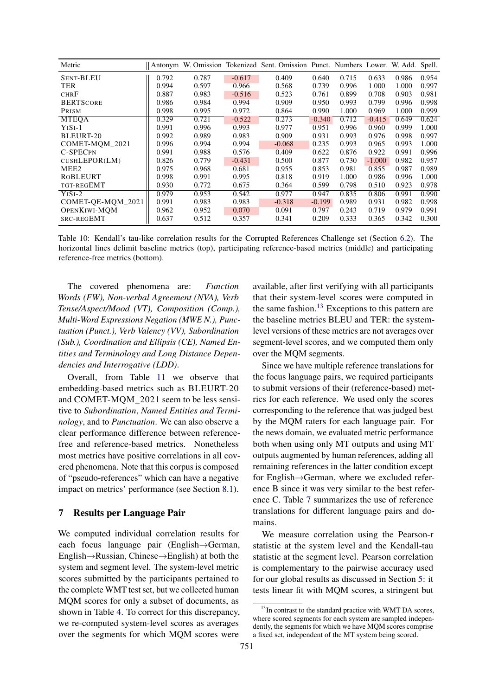<span id="page-13-0"></span>

| Metric            | Antonym |       |          | W. Omission Tokenized Sent. Omission Punct. Numbers Lower. W. Add. Spell. |          |       |          |       |       |
|-------------------|---------|-------|----------|---------------------------------------------------------------------------|----------|-------|----------|-------|-------|
| <b>SENT-BLEU</b>  | 0.792   | 0.787 | $-0.617$ | 0.409                                                                     | 0.640    | 0.715 | 0.633    | 0.986 | 0.954 |
| TER               | 0.994   | 0.597 | 0.966    | 0.568                                                                     | 0.739    | 0.996 | 1.000    | 1.000 | 0.997 |
| <b>CHRF</b>       | 0.887   | 0.983 | $-0.516$ | 0.523                                                                     | 0.761    | 0.899 | 0.708    | 0.903 | 0.981 |
| <b>BERTSCORE</b>  | 0.986   | 0.984 | 0.994    | 0.909                                                                     | 0.950    | 0.993 | 0.799    | 0.996 | 0.998 |
| PRISM             | 0.998   | 0.995 | 0.972    | 0.864                                                                     | 0.990    | 1.000 | 0.969    | 1.000 | 0.999 |
| <b>MTEOA</b>      | 0.329   | 0.721 | $-0.522$ | 0.273                                                                     | $-0.340$ | 0.712 | $-0.415$ | 0.649 | 0.624 |
| $YISI-1$          | 0.991   | 0.996 | 0.993    | 0.977                                                                     | 0.951    | 0.996 | 0.960    | 0.999 | 1.000 |
| BLEURT-20         | 0.992   | 0.989 | 0.983    | 0.909                                                                     | 0.931    | 0.993 | 0.976    | 0.998 | 0.997 |
| COMET-MOM 2021    | 0.996   | 0.994 | 0.994    | $-0.068$                                                                  | 0.235    | 0.993 | 0.965    | 0.993 | 1.000 |
| C-SPECPN          | 0.991   | 0.988 | 0.576    | 0.409                                                                     | 0.622    | 0.876 | 0.922    | 0.991 | 0.996 |
| CUSHLEPOR(LM)     | 0.826   | 0.779 | $-0.431$ | 0.500                                                                     | 0.877    | 0.730 | $-1.000$ | 0.982 | 0.957 |
| MEE <sub>2</sub>  | 0.975   | 0.968 | 0.681    | 0.955                                                                     | 0.853    | 0.981 | 0.855    | 0.987 | 0.989 |
| ROBLEURT          | 0.998   | 0.991 | 0.995    | 0.818                                                                     | 0.919    | 1.000 | 0.986    | 0.996 | 1.000 |
| TGT-REGEMT        | 0.930   | 0.772 | 0.675    | 0.364                                                                     | 0.599    | 0.798 | 0.510    | 0.923 | 0.978 |
| $YISI-2$          | 0.979   | 0.953 | 0.542    | 0.977                                                                     | 0.947    | 0.835 | 0.806    | 0.991 | 0.990 |
| COMET-QE-MQM_2021 | 0.991   | 0.983 | 0.983    | $-0.318$                                                                  | $-0.199$ | 0.989 | 0.931    | 0.982 | 0.998 |
| OPENKIWI-MOM      | 0.962   | 0.952 | 0.070    | 0.091                                                                     | 0.797    | 0.243 | 0.719    | 0.979 | 0.991 |
| SRC-REGEMT        | 0.637   | 0.512 | 0.357    | 0.341                                                                     | 0.209    | 0.333 | 0.365    | 0.342 | 0.300 |

Table 10: Kendall's tau-like correlation results for the Corrupted References Challenge set (Section [6.2\)](#page-11-2). The horizontal lines delimit baseline metrics (top), participating reference-based metrics (middle) and participating reference-free metrics (bottom).

The covered phenomena are: *Function Words (FW), Non-verbal Agreement (NVA), Verb Tense/Aspect/Mood (VT), Composition (Comp.), Multi-Word Expressions Negation (MWE N.), Punctuation (Punct.), Verb Valency (VV), Subordination (Sub.), Coordination and Ellipsis (CE), Named Entities and Terminology and Long Distance Dependencies and Interrogative (LDD)*.

Overall, from Table [11](#page-14-1) we observe that embedding-based metrics such as BLEURT-20 and COMET-MQM\_2021 seem to be less sensitive to *Subordination*, *Named Entities and Terminology*, and to *Punctuation*. We can also observe a clear performance difference between referencefree and reference-based metrics. Nonetheless most metrics have positive correlations in all covered phenomena. Note that this corpus is composed of "pseudo-references" which can have a negative impact on metrics' performance (see Section [8.1\)](#page-15-1).

## <span id="page-13-1"></span>7 Results per Language Pair

We computed individual correlation results for each focus language pair (English→German, English→Russian, Chinese→English) at both the system and segment level. The system-level metric scores submitted by the participants pertained to the complete WMT test set, but we collected human MQM scores for only a subset of documents, as shown in Table [4.](#page-4-2) To correct for this discrepancy, we re-computed system-level scores as averages over the segments for which MQM scores were

available, after first verifying with all participants that their system-level scores were computed in the same fashion.<sup>[13](#page-13-2)</sup> Exceptions to this pattern are the baseline metrics BLEU and TER: the systemlevel versions of these metrics are not averages over segment-level scores, and we computed them only over the MQM segments.

Since we have multiple reference translations for the focus language pairs, we required participants to submit versions of their (reference-based) metrics for each reference. We used only the scores corresponding to the reference that was judged best by the MQM raters for each language pair. For the news domain, we evaluated metric performance both when using only MT outputs and using MT outputs augmented by human references, adding all remaining references in the latter condition except for English→German, where we excluded reference B since it was very similar to the best reference C. Table [7](#page-9-1) summarizes the use of reference translations for different language pairs and domains.

We measure correlation using the Pearson-r statistic at the system level and the Kendall-tau statistic at the segment level. Pearson correlation is complementary to the pairwise accuracy used for our global results as discussed in Section [5:](#page-8-0) it tests linear fit with MQM scores, a stringent but

<span id="page-13-2"></span><sup>&</sup>lt;sup>13</sup>In contrast to the standard practice with WMT DA scores, where scored segments for each system are sampled independently, the segments for which we have MQM scores comprise a fixed set, independent of the MT system being scored.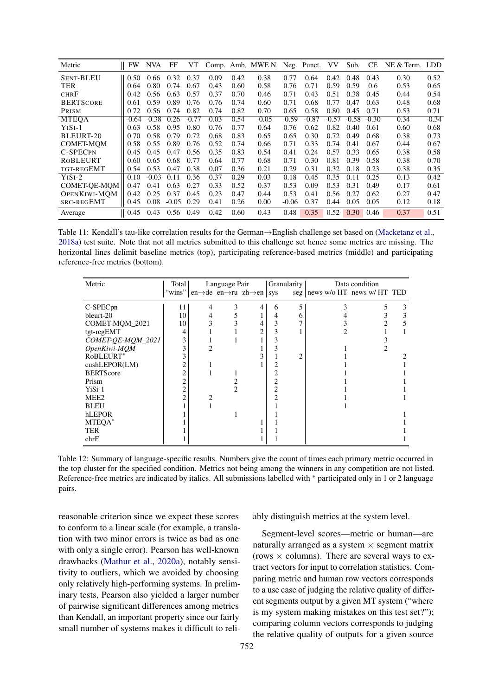<span id="page-14-1"></span>

| Metric              | <b>FW</b> | <b>NVA</b> | FF      | VT      |      |      | Comp. Amb. MWE N. Neg. Punct. VV |         |         |         | Sub.    | <b>CE</b>     | NE & Term. LDD |         |
|---------------------|-----------|------------|---------|---------|------|------|----------------------------------|---------|---------|---------|---------|---------------|----------------|---------|
| <b>SENT-BLEU</b>    | 0.50      | 0.66       | 0.32    | 0.37    | 0.09 | 0.42 | 0.38                             | 0.77    | 0.64    | 0.42    | 0.48    | 0.43          | 0.30           | 0.52    |
| <b>TER</b>          | 0.64      | 0.80       | 0.74    | 0.67    | 0.43 | 0.60 | 0.58                             | 0.76    | 0.71    | 0.59    | 0.59    | $0.6^{\circ}$ | 0.53           | 0.65    |
| <b>CHRF</b>         | 0.42      | 0.56       | 0.63    | 0.57    | 0.37 | 0.70 | 0.46                             | 0.71    | 0.43    | 0.51    | 0.38    | 0.45          | 0.44           | 0.54    |
| <b>BERTSCORE</b>    | 0.61      | 0.59       | 0.89    | 0.76    | 0.76 | 0.74 | 0.60                             | 0.71    | 0.68    | 0.77    | 0.47    | 0.63          | 0.48           | 0.68    |
| PRISM               | 0.72      | 0.56       | 0.74    | 0.82    | 0.74 | 0.82 | 0.70                             | 0.65    | 0.58    | 0.80    | 0.45    | 0.71          | 0.53           | 0.71    |
| <b>MTEOA</b>        | $-0.64$   | $-0.38$    | 0.26    | $-0.77$ | 0.03 | 0.54 | $-0.05$                          | $-0.59$ | $-0.87$ | $-0.57$ | $-0.58$ | $-0.30$       | 0.34           | $-0.34$ |
| $YISI-1$            | 0.63      | 0.58       | 0.95    | 0.80    | 0.76 | 0.77 | 0.64                             | 0.76    | 0.62    | 0.82    | 0.40    | 0.61          | 0.60           | 0.68    |
| BLEURT-20           | 0.70      | 0.58       | 0.79    | 0.72    | 0.68 | 0.83 | 0.65                             | 0.65    | 0.30    | 0.72    | 0.49    | 0.68          | 0.38           | 0.73    |
| <b>COMET-MOM</b>    | 0.58      | 0.55       | 0.89    | 0.76    | 0.52 | 0.74 | 0.66                             | 0.71    | 0.33    | 0.74    | 0.41    | 0.67          | 0.44           | 0.67    |
| C-SPECPN            | 0.45      | 0.45       | 0.47    | 0.56    | 0.35 | 0.83 | 0.54                             | 0.41    | 0.24    | 0.57    | 0.33    | 0.65          | 0.38           | 0.58    |
| ROBLEURT            | 0.60      | 0.65       | 0.68    | 0.77    | 0.64 | 0.77 | 0.68                             | 0.71    | 0.30    | 0.81    | 0.39    | 0.58          | 0.38           | 0.70    |
| TGT-REGEMT          | 0.54      | 0.53       | 0.47    | 0.38    | 0.07 | 0.36 | 0.21                             | 0.29    | 0.31    | 0.32    | 0.18    | 0.23          | 0.38           | 0.35    |
| $YISI-2$            | 0.10      | $-0.03$    | 0.11    | 0.36    | 0.37 | 0.29 | 0.03                             | 0.18    | 0.45    | 0.35    | 0.11    | 0.25          | 0.13           | 0.42    |
| COMET-OE-MOM        | 0.47      | 0.41       | 0.63    | 0.27    | 0.33 | 0.52 | 0.37                             | 0.53    | 0.09    | 0.53    | 0.31    | 0.49          | 0.17           | 0.61    |
| <b>OPENKIWI-MOM</b> | 0.42      | 0.25       | 0.37    | 0.45    | 0.23 | 0.47 | 0.44                             | 0.53    | 0.41    | 0.56    | 0.27    | 0.62          | 0.27           | 0.47    |
| SRC-REGEMT          | 0.45      | 0.08       | $-0.05$ | 0.29    | 0.41 | 0.26 | 0.00                             | $-0.06$ | 0.37    | 0.44    | 0.05    | 0.05          | 0.12           | 0.18    |
| Average             | 0.45      | 0.43       | 0.56    | 0.49    | 0.42 | 0.60 | 0.43                             | 0.48    | 0.35    | 0.52    | 0.30    | 0.46          | 0.37           | 0.51    |

Table 11: Kendall's tau-like correlation results for the German→English challenge set based on [\(Macketanz et al.,](#page-21-14) [2018a\)](#page-21-14) test suite. Note that not all metrics submitted to this challenge set hence some metrics are missing. The horizontal lines delimit baseline metrics (top), participating reference-based metrics (middle) and participating reference-free metrics (bottom).

<span id="page-14-0"></span>

| Metric               | Total  |   | Language Pair |                                                             |            | Granularity |                                  | Data condition |  |
|----------------------|--------|---|---------------|-------------------------------------------------------------|------------|-------------|----------------------------------|----------------|--|
|                      | "wins" |   |               | en $\rightarrow$ de en $\rightarrow$ ru zh $\rightarrow$ en | <b>SVS</b> |             | seg   news w/o HT news w/ HT TED |                |  |
| C-SPEC <sub>pn</sub> | 11     | 4 | 3             | 4                                                           | 6          |             |                                  |                |  |
| bleurt-20            | 10     |   |               |                                                             | 4          |             |                                  |                |  |
| COMET-MQM_2021       | 10     |   |               |                                                             |            |             |                                  |                |  |
| tgt-regEMT           | 4      |   |               |                                                             |            |             |                                  |                |  |
| COMET-QE-MQM_2021    | 3      |   |               |                                                             |            |             |                                  |                |  |
| OpenKiwi-MQM         | 3      |   |               |                                                             |            |             |                                  |                |  |
| RoBLEURT*            | 3      |   |               |                                                             |            |             |                                  |                |  |
| cushLEPOR(LM)        | 2      |   |               |                                                             |            |             |                                  |                |  |
| <b>BERTScore</b>     | 2      |   |               |                                                             |            |             |                                  |                |  |
| Prism                | 2      |   |               |                                                             |            |             |                                  |                |  |
| $Y_i$ Si-1           | 2      |   |               |                                                             |            |             |                                  |                |  |
| MEE <sub>2</sub>     | 2      |   |               |                                                             |            |             |                                  |                |  |
| <b>BLEU</b>          |        |   |               |                                                             |            |             |                                  |                |  |
| hLEPOR               |        |   |               |                                                             |            |             |                                  |                |  |
| MTEQA*               |        |   |               |                                                             |            |             |                                  |                |  |
| <b>TER</b>           |        |   |               |                                                             |            |             |                                  |                |  |
| chrF                 |        |   |               |                                                             |            |             |                                  |                |  |

Table 12: Summary of language-specific results. Numbers give the count of times each primary metric occurred in the top cluster for the specified condition. Metrics not being among the winners in any competition are not listed. Reference-free metrics are indicated by italics. All submissions labelled with <sup>∗</sup> participated only in 1 or 2 language pairs.

reasonable criterion since we expect these scores to conform to a linear scale (for example, a translation with two minor errors is twice as bad as one with only a single error). Pearson has well-known drawbacks [\(Mathur et al.,](#page-21-17) [2020a\)](#page-21-17), notably sensitivity to outliers, which we avoided by choosing only relatively high-performing systems. In preliminary tests, Pearson also yielded a larger number of pairwise significant differences among metrics than Kendall, an important property since our fairly small number of systems makes it difficult to reliably distinguish metrics at the system level.

Segment-level scores—metric or human—are naturally arranged as a system  $\times$  segment matrix (rows  $\times$  columns). There are several ways to extract vectors for input to correlation statistics. Comparing metric and human row vectors corresponds to a use case of judging the relative quality of different segments output by a given MT system ("where is my system making mistakes on this test set?"); comparing column vectors corresponds to judging the relative quality of outputs for a given source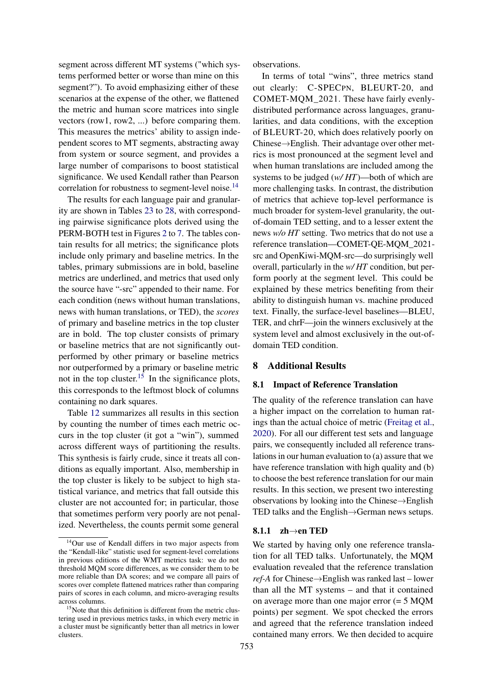segment across different MT systems ("which systems performed better or worse than mine on this segment?"). To avoid emphasizing either of these scenarios at the expense of the other, we flattened the metric and human score matrices into single vectors (row1, row2, ...) before comparing them. This measures the metrics' ability to assign independent scores to MT segments, abstracting away from system or source segment, and provides a large number of comparisons to boost statistical significance. We used Kendall rather than Pearson correlation for robustness to segment-level noise.<sup>[14](#page-15-2)</sup>

The results for each language pair and granularity are shown in Tables [23](#page-24-0) to [28,](#page-29-0) with corresponding pairwise significance plots derived using the PERM-BOTH test in Figures [2](#page-25-0) to [7.](#page-30-0) The tables contain results for all metrics; the significance plots include only primary and baseline metrics. In the tables, primary submissions are in bold, baseline metrics are underlined, and metrics that used only the source have "-src" appended to their name. For each condition (news without human translations, news with human translations, or TED), the *scores* of primary and baseline metrics in the top cluster are in bold. The top cluster consists of primary or baseline metrics that are not significantly outperformed by other primary or baseline metrics nor outperformed by a primary or baseline metric not in the top cluster.<sup>[15](#page-15-3)</sup> In the significance plots, this corresponds to the leftmost block of columns containing no dark squares.

Table [12](#page-14-0) summarizes all results in this section by counting the number of times each metric occurs in the top cluster (it got a "win"), summed across different ways of partitioning the results. This synthesis is fairly crude, since it treats all conditions as equally important. Also, membership in the top cluster is likely to be subject to high statistical variance, and metrics that fall outside this cluster are not accounted for; in particular, those that sometimes perform very poorly are not penalized. Nevertheless, the counts permit some general

observations.

In terms of total "wins", three metrics stand out clearly: C-SPECPN, BLEURT-20, and COMET-MQM\_2021. These have fairly evenlydistributed performance across languages, granularities, and data conditions, with the exception of BLEURT-20, which does relatively poorly on Chinese→English. Their advantage over other metrics is most pronounced at the segment level and when human translations are included among the systems to be judged (*w/ HT*)—both of which are more challenging tasks. In contrast, the distribution of metrics that achieve top-level performance is much broader for system-level granularity, the outof-domain TED setting, and to a lesser extent the news *w/o HT* setting. Two metrics that do not use a reference translation—COMET-QE-MQM\_2021 src and OpenKiwi-MQM-src—do surprisingly well overall, particularly in the *w/ HT* condition, but perform poorly at the segment level. This could be explained by these metrics benefiting from their ability to distinguish human vs. machine produced text. Finally, the surface-level baselines—BLEU, TER, and chrF—join the winners exclusively at the system level and almost exclusively in the out-ofdomain TED condition.

## 8 Additional Results

#### <span id="page-15-1"></span>8.1 Impact of Reference Translation

The quality of the reference translation can have a higher impact on the correlation to human ratings than the actual choice of metric [\(Freitag et al.,](#page-20-9) [2020\)](#page-20-9). For all our different test sets and language pairs, we consequently included all reference translations in our human evaluation to (a) assure that we have reference translation with high quality and (b) to choose the best reference translation for our main results. In this section, we present two interesting observations by looking into the Chinese→English TED talks and the English→German news setups.

#### <span id="page-15-0"></span>8.1.1  $zh \rightarrow en$  TED

We started by having only one reference translation for all TED talks. Unfortunately, the MQM evaluation revealed that the reference translation *ref-A* for Chinese→English was ranked last – lower than all the MT systems – and that it contained on average more than one major error (= 5 MQM points) per segment. We spot checked the errors and agreed that the reference translation indeed contained many errors. We then decided to acquire

<span id="page-15-2"></span><sup>14</sup>Our use of Kendall differs in two major aspects from the "Kendall-like" statistic used for segment-level correlations in previous editions of the WMT metrics task: we do not threshold MQM score differences, as we consider them to be more reliable than DA scores; and we compare all pairs of scores over complete flattened matrices rather than comparing pairs of scores in each column, and micro-averaging results across columns.

<span id="page-15-3"></span><sup>&</sup>lt;sup>15</sup>Note that this definition is different from the metric clustering used in previous metrics tasks, in which every metric in a cluster must be significantly better than all metrics in lower clusters.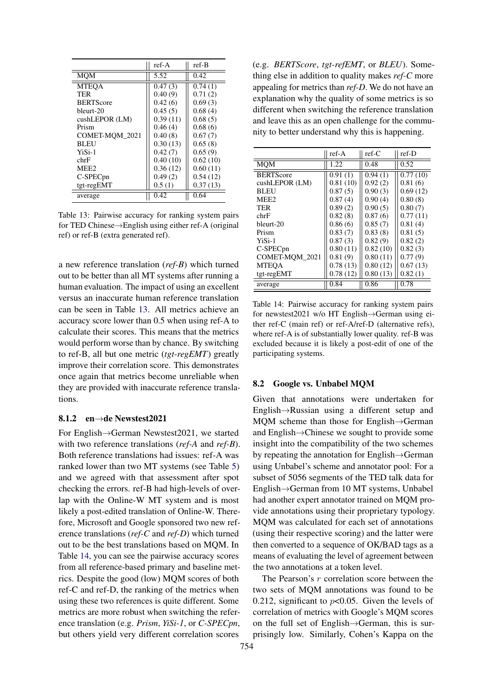<span id="page-16-0"></span>

|                  | ref-A    | ref-B    |
|------------------|----------|----------|
| <b>MOM</b>       | 5.52     | 0.42     |
| <b>MTEOA</b>     | 0.47(3)  | 0.74(1)  |
| TER              | 0.40(9)  | 0.71(2)  |
| <b>BERTScore</b> | 0.42(6)  | 0.69(3)  |
| bleurt-20        | 0.45(5)  | 0.68(4)  |
| $cushLEPOR$ (LM) | 0.39(11) | 0.68(5)  |
| Prism            | 0.46(4)  | 0.68(6)  |
| COMET-MOM 2021   | 0.40(8)  | 0.67(7)  |
| <b>BLEU</b>      | 0.30(13) | 0.65(8)  |
| YiSi-1           | 0.42(7)  | 0.65(9)  |
| chrF             | 0.40(10) | 0.62(10) |
| MEE <sub>2</sub> | 0.36(12) | 0.60(11) |
| C-SPECpn         | 0.49(2)  | 0.54(12) |
| tgt-regEMT       | 0.5(1)   | 0.37(13) |
| average          | 0.42     | 0.64     |

Table 13: Pairwise accuracy for ranking system pairs for TED Chinese→English using either ref-A (original ref) or ref-B (extra generated ref).

a new reference translation (*ref-B*) which turned out to be better than all MT systems after running a human evaluation. The impact of using an excellent versus an inaccurate human reference translation can be seen in Table [13.](#page-16-0) All metrics achieve an accuracy score lower than 0.5 when using ref-A to calculate their scores. This means that the metrics would perform worse than by chance. By switching to ref-B, all but one metric (*tgt-regEMT*) greatly improve their correlation score. This demonstrates once again that metrics become unreliable when they are provided with inaccurate reference translations.

#### <span id="page-16-3"></span>8.1.2 en→de Newstest2021

For English→German Newstest2021, we started with two reference translations (*ref-A* and *ref-B*). Both reference translations had issues: ref-A was ranked lower than two MT systems (see Table [5\)](#page-5-0) and we agreed with that assessment after spot checking the errors. ref-B had high-levels of overlap with the Online-W MT system and is most likely a post-edited translation of Online-W. Therefore, Microsoft and Google sponsored two new reference translations (*ref-C* and *ref-D*) which turned out to be the best translations based on MQM. In Table [14,](#page-16-1) you can see the pairwise accuracy scores from all reference-based primary and baseline metrics. Despite the good (low) MQM scores of both ref-C and ref-D, the ranking of the metrics when using these two references is quite different. Some metrics are more robust when switching the reference translation (e.g. *Prism*, *YiSi-1*, or *C-SPECpn*, but others yield very different correlation scores

(e.g. *BERTScore*, *tgt-refEMT*, or *BLEU*). Something else in addition to quality makes *ref-C* more appealing for metrics than *ref-D*. We do not have an explanation why the quality of some metrics is so different when switching the reference translation and leave this as an open challenge for the community to better understand why this is happening.

<span id="page-16-1"></span>

|                      | $ref-A$  | $ref-C$  | $ref-D$  |
|----------------------|----------|----------|----------|
| MOM                  | 1.22     | 0.48     | 0.52     |
| <b>BERTScore</b>     | 0.91(1)  | 0.94(1)  | 0.77(10) |
| $cushLEPOR$ (LM)     | 0.81(10) | 0.92(2)  | 0.81(6)  |
| <b>BLEU</b>          | 0.87(5)  | 0.90(3)  | 0.69(12) |
| MEE <sub>2</sub>     | 0.87(4)  | 0.90(4)  | 0.80(8)  |
| TER                  | 0.89(2)  | 0.90(5)  | 0.80(7)  |
| chrF                 | 0.82(8)  | 0.87(6)  | 0.77(11) |
| bleurt-20            | 0.86(6)  | 0.85(7)  | 0.81(4)  |
| Prism                | 0.83(7)  | 0.83(8)  | 0.81(5)  |
| $Y_i$ Si-1           | 0.87(3)  | 0.82(9)  | 0.82(2)  |
| C-SPEC <sub>pn</sub> | 0.80(11) | 0.82(10) | 0.82(3)  |
| COMET-MOM 2021       | 0.81(9)  | 0.80(11) | 0.77(9)  |
| <b>MTEOA</b>         | 0.78(13) | 0.80(12) | 0.67(13) |
| tgt-regEMT           | 0.78(12) | 0.80(13) | 0.82(1)  |
| average              | 0.84     | 0.86     | 0.78     |

Table 14: Pairwise accuracy for ranking system pairs for newstest2021 w/o HT English→German using either ref-C (main ref) or ref-A/ref-D (alternative refs), where ref-A is of substantially lower quality. ref-B was excluded because it is likely a post-edit of one of the participating systems.

#### <span id="page-16-2"></span>8.2 Google vs. Unbabel MQM

Given that annotations were undertaken for English→Russian using a different setup and MQM scheme than those for English→German and English→Chinese we sought to provide some insight into the compatibility of the two schemes by repeating the annotation for English→German using Unbabel's scheme and annotator pool: For a subset of 5056 segments of the TED talk data for English→German from 10 MT systems, Unbabel had another expert annotator trained on MQM provide annotations using their proprietary typology. MQM was calculated for each set of annotations (using their respective scoring) and the latter were then converted to a sequence of OK/BAD tags as a means of evaluating the level of agreement between the two annotations at a token level.

The Pearson's r correlation score between the two sets of MQM annotations was found to be 0.212, significant to  $p<0.05$ . Given the levels of correlation of metrics with Google's MQM scores on the full set of English→German, this is surprisingly low. Similarly, Cohen's Kappa on the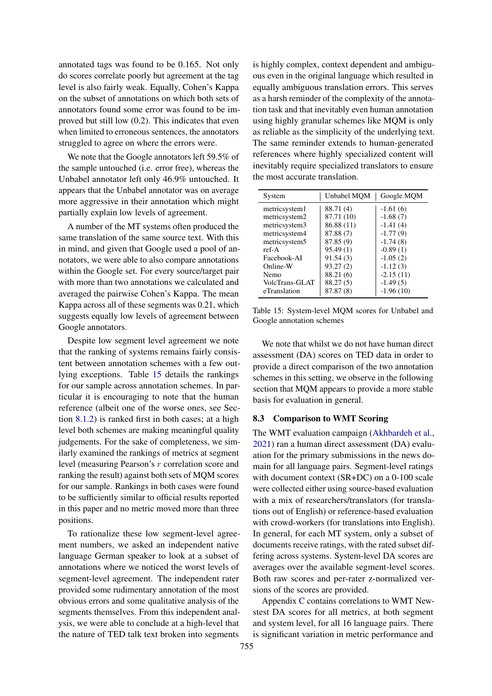annotated tags was found to be 0.165. Not only do scores correlate poorly but agreement at the tag level is also fairly weak. Equally, Cohen's Kappa on the subset of annotations on which both sets of annotators found some error was found to be improved but still low (0.2). This indicates that even when limited to erroneous sentences, the annotators struggled to agree on where the errors were.

We note that the Google annotators left 59.5% of the sample untouched (i.e. error free), whereas the Unbabel annotator left only 46.9% untouched. It appears that the Unbabel annotator was on average more aggressive in their annotation which might partially explain low levels of agreement.

A number of the MT systems often produced the same translation of the same source text. With this in mind, and given that Google used a pool of annotators, we were able to also compare annotations within the Google set. For every source/target pair with more than two annotations we calculated and averaged the pairwise Cohen's Kappa. The mean Kappa across all of these segments was 0.21, which suggests equally low levels of agreement between Google annotators.

Despite low segment level agreement we note that the ranking of systems remains fairly consistent between annotation schemes with a few outlying exceptions. Table [15](#page-17-1) details the rankings for our sample across annotation schemes. In particular it is encouraging to note that the human reference (albeit one of the worse ones, see Section [8.1.2\)](#page-16-3) is ranked first in both cases; at a high level both schemes are making meaningful quality judgements. For the sake of completeness, we similarly examined the rankings of metrics at segment level (measuring Pearson's r correlation score and ranking the result) against both sets of MQM scores for our sample. Rankings in both cases were found to be sufficiently similar to official results reported in this paper and no metric moved more than three positions.

To rationalize these low segment-level agreement numbers, we asked an independent native language German speaker to look at a subset of annotations where we noticed the worst levels of segment-level agreement. The independent rater provided some rudimentary annotation of the most obvious errors and some qualitative analysis of the segments themselves. From this independent analysis, we were able to conclude at a high-level that the nature of TED talk text broken into segments

is highly complex, context dependent and ambiguous even in the original language which resulted in equally ambiguous translation errors. This serves as a harsh reminder of the complexity of the annotation task and that inevitably even human annotation using highly granular schemes like MQM is only as reliable as the simplicity of the underlying text. The same reminder extends to human-generated references where highly specialized content will inevitably require specialized translators to ensure the most accurate translation.

<span id="page-17-1"></span>

| System         | Unbabel MOM | Google MQM  |
|----------------|-------------|-------------|
| metricsystem1  | 88.71 (4)   | $-1.61(6)$  |
| metricsystem2  | 87.71 (10)  | $-1.68(7)$  |
| metricsystem3  | 86.88 (11)  | $-1.41(4)$  |
| metricsystem4  | 87.88 (7)   | $-1.77(9)$  |
| metricsystem5  | 87.85(9)    | $-1.74(8)$  |
| $ref-A$        | 95.49(1)    | $-0.89(1)$  |
| Facebook-AI    | 91.54(3)    | $-1.05(2)$  |
| Online-W       | 93.27(2)    | $-1.12(3)$  |
| Nemo           | 88.21 (6)   | $-2.15(11)$ |
| VolcTrans-GLAT | 88.27 (5)   | $-1.49(5)$  |
| eTranslation   | 87.87 (8)   | $-1.96(10)$ |

Table 15: System-level MQM scores for Unbabel and Google annotation schemes

We note that whilst we do not have human direct assessment (DA) scores on TED data in order to provide a direct comparison of the two annotation schemes in this setting, we observe in the following section that MQM appears to provide a more stable basis for evaluation in general.

#### <span id="page-17-0"></span>8.3 Comparison to WMT Scoring

The WMT evaluation campaign [\(Akhbardeh et al.,](#page-20-10) [2021\)](#page-20-10) ran a human direct assessment (DA) evaluation for the primary submissions in the news domain for all language pairs. Segment-level ratings with document context (SR+DC) on a 0-100 scale were collected either using source-based evaluation with a mix of researchers/translators (for translations out of English) or reference-based evaluation with crowd-workers (for translations into English). In general, for each MT system, only a subset of documents receive ratings, with the rated subset differing across systems. System-level DA scores are averages over the available segment-level scores. Both raw scores and per-rater z-normalized versions of the scores are provided.

Appendix [C](#page-31-0) contains correlations to WMT Newstest DA scores for all metrics, at both segment and system level, for all 16 language pairs. There is significant variation in metric performance and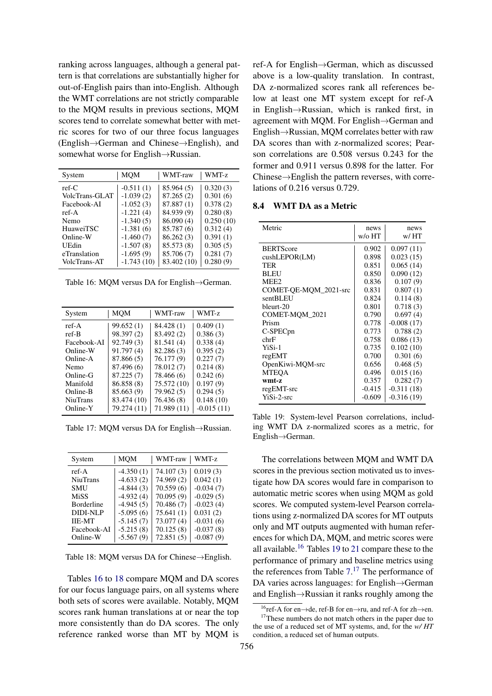ranking across languages, although a general pattern is that correlations are substantially higher for out-of-English pairs than into-English. Although the WMT correlations are not strictly comparable to the MQM results in previous sections, MQM scores tend to correlate somewhat better with metric scores for two of our three focus languages (English→German and Chinese→English), and somewhat worse for English→Russian.

<span id="page-18-0"></span>

| System           | <b>MOM</b>   | WMT-raw     | WMT-z     |
|------------------|--------------|-------------|-----------|
| $ref-C$          | $-0.511(1)$  | 85.964 (5)  | 0.320(3)  |
| VolcTrans-GLAT   | $-1.039(2)$  | 87.265(2)   | 0.301(6)  |
| Facebook-AI      | $-1.052(3)$  | 87.887(1)   | 0.378(2)  |
| ref-A            | $-1.221(4)$  | 84.939 (9)  | 0.280(8)  |
| Nemo             | $-1.340(5)$  | 86.090 (4)  | 0.250(10) |
| <b>HuaweiTSC</b> | $-1.381(6)$  | 85.787 (6)  | 0.312(4)  |
| Online-W         | $-1.460(7)$  | 86.262(3)   | 0.391(1)  |
| UEdin            | $-1.507(8)$  | 85.573 (8)  | 0.305(5)  |
| eTranslation     | $-1.695(9)$  | 85.706 (7)  | 0.281(7)  |
| VolcTrans-AT     | $-1.743(10)$ | 83.402 (10) | 0.280(9)  |

Table 16: MQM versus DA for English→German.

| System          | MOM         | WMT-raw     | WMT-z        |
|-----------------|-------------|-------------|--------------|
| $ref-A$         | 99.652(1)   | 84.428 (1)  | 0.409(1)     |
| ref-B           | 98.397 (2)  | 83.492 (2)  | 0.386(3)     |
| Facebook-AI     | 92.749 (3)  | 81.541 (4)  | 0.338(4)     |
| Online-W        | 91.797(4)   | 82.286 (3)  | 0.395(2)     |
| Online-A        | 87.866 (5)  | 76.177 (9)  | 0.227(7)     |
| Nemo            | 87.496 (6)  | 78.012 (7)  | 0.214(8)     |
| Online-G        | 87.225 (7)  | 78.466 (6)  | 0.242(6)     |
| Manifold        | 86.858 (8)  | 75.572 (10) | 0.197(9)     |
| Online-B        | 85.663 (9)  | 79.962 (5)  | 0.294(5)     |
| <b>NiuTrans</b> | 83.474 (10) | 76.436 (8)  | 0.148(10)    |
| Online-Y        | 79.274 (11) | 71.989 (11) | $-0.015(11)$ |

Table 17: MQM versus DA for English→Russian.

<span id="page-18-1"></span>

| System          | <b>MOM</b>  | WMT-raw    | WMT-z       |
|-----------------|-------------|------------|-------------|
| ref-A           | $-4.350(1)$ | 74.107(3)  | 0.019(3)    |
| <b>NiuTrans</b> | $-4.633(2)$ | 74.969 (2) | 0.042(1)    |
| <b>SMU</b>      | $-4.844(3)$ | 70.559(6)  | $-0.034(7)$ |
| <b>MiSS</b>     | $-4.932(4)$ | 70.095(9)  | $-0.029(5)$ |
| Borderline      | $-4.945(5)$ | 70.486(7)  | $-0.023(4)$ |
| DIDI-NLP        | $-5.095(6)$ | 75.641(1)  | 0.031(2)    |
| <b>IIE-MT</b>   | $-5.145(7)$ | 73.077(4)  | $-0.031(6)$ |
| Facebook-AI     | $-5.215(8)$ | 70.125(8)  | $-0.037(8)$ |
| Online-W        | $-5.567(9)$ | 72.851(5)  | $-0.087(9)$ |
|                 |             |            |             |

Table 18: MQM versus DA for Chinese→English.

Tables [16](#page-18-0) to [18](#page-18-1) compare MQM and DA scores for our focus language pairs, on all systems where both sets of scores were available. Notably, MQM scores rank human translations at or near the top more consistently than do DA scores. The only reference ranked worse than MT by MQM is

ref-A for English→German, which as discussed above is a low-quality translation. In contrast, DA z-normalized scores rank all references below at least one MT system except for ref-A in English→Russian, which is ranked first, in agreement with MQM. For English→German and English→Russian, MQM correlates better with raw DA scores than with z-normalized scores; Pearson correlations are 0.508 versus 0.243 for the former and 0.911 versus 0.898 for the latter. For Chinese→English the pattern reverses, with correlations of 0.216 versus 0.729.

#### 8.4 WMT DA as a Metric

<span id="page-18-3"></span>

| Metric                | news<br>w/o HT | news<br>w/ HT |
|-----------------------|----------------|---------------|
| <b>BERTScore</b>      | 0.902          | 0.097(11)     |
| cushLEPORT(LM)        | 0.898          | 0.023(15)     |
| TER                   | 0.851          | 0.065(14)     |
| <b>BLEU</b>           | 0.850          | 0.090(12)     |
| MEE <sub>2</sub>      | 0.836          | 0.107(9)      |
| COMET-QE-MQM_2021-src | 0.831          | 0.807(1)      |
| sentBLEU              | 0.824          | 0.114(8)      |
| bleurt-20             | 0.801          | 0.718(3)      |
| COMET-MQM_2021        | 0.790          | 0.697(4)      |
| Prism                 | 0.778          | $-0.008(17)$  |
| C-SPEC <sub>pn</sub>  | 0.773          | 0.788(2)      |
| chrF                  | 0.758          | 0.086(13)     |
| YiSi-1                | 0.735          | 0.102(10)     |
| regEMT                | 0.700          | 0.301(6)      |
| OpenKiwi-MQM-src      | 0.656          | 0.468(5)      |
| <b>MTEQA</b>          | 0.496          | 0.015(16)     |
| wmt-z                 | 0.357          | 0.282(7)      |
| regEMT-src            | $-0.415$       | $-0.311(18)$  |
| YiSi-2-src            | $-0.609$       | $-0.316(19)$  |

Table 19: System-level Pearson correlations, including WMT DA z-normalized scores as a metric, for English→German.

The correlations between MQM and WMT DA scores in the previous section motivated us to investigate how DA scores would fare in comparison to automatic metric scores when using MQM as gold scores. We computed system-level Pearson correlations using z-normalized DA scores for MT outputs only and MT outputs augmented with human references for which DA, MQM, and metric scores were all available.[16](#page-18-2) Tables [19](#page-18-3) to [21](#page-19-0) compare these to the performance of primary and baseline metrics using the references from Table  $7<sup>17</sup>$  $7<sup>17</sup>$  $7<sup>17</sup>$ . The performance of DA varies across languages: for English→German and English→Russian it ranks roughly among the

<span id="page-18-4"></span><span id="page-18-2"></span><sup>16</sup>ref-A for en→de, ref-B for en→ru, and ref-A for zh→en. <sup>17</sup>These numbers do not match others in the paper due to

the use of a reduced set of MT systems, and, for the *w/ HT* condition, a reduced set of human outputs.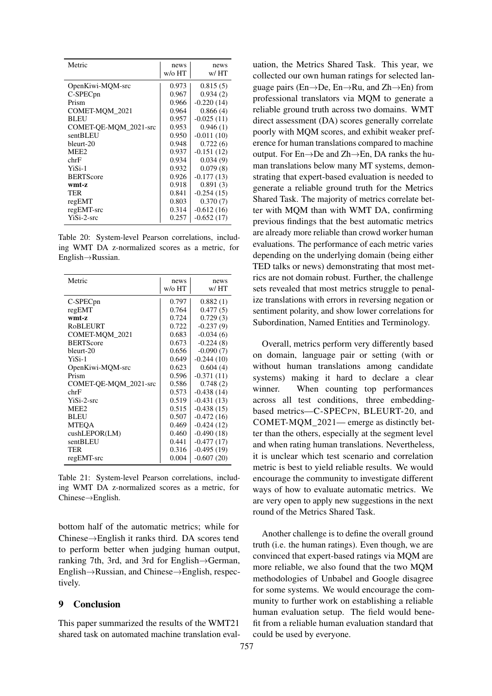| Metric                | news<br>w/o HT | news<br>w/HT |
|-----------------------|----------------|--------------|
| OpenKiwi-MQM-src      | 0.973          | 0.815(5)     |
| C-SPEC <sub>pn</sub>  | 0.967          | 0.934(2)     |
| Prism                 | 0.966          | $-0.220(14)$ |
| COMET-MQM_2021        | 0.964          | 0.866(4)     |
| <b>BLEU</b>           | 0.957          | $-0.025(11)$ |
| COMET-QE-MQM_2021-src | 0.953          | 0.946(1)     |
| sentBLEU              | 0.950          | $-0.011(10)$ |
| bleurt-20             | 0.948          | 0.722(6)     |
| MEE <sub>2</sub>      | 0.937          | $-0.151(12)$ |
| chrF                  | 0.934          | 0.034(9)     |
| YiSi-1                | 0.932          | 0.079(8)     |
| <b>BERTScore</b>      | 0.926          | $-0.177(13)$ |
| wmt-z                 | 0.918          | 0.891(3)     |
| TER                   | 0.841          | $-0.254(15)$ |
| regEMT                | 0.803          | 0.370(7)     |
| regEMT-src            | 0.314          | $-0.612(16)$ |
| YiSi-2-src            | 0.257          | $-0.652(17)$ |

Table 20: System-level Pearson correlations, including WMT DA z-normalized scores as a metric, for English→Russian.

<span id="page-19-0"></span>

| Metric                | news<br>w/o HT | news<br>w/HT |
|-----------------------|----------------|--------------|
| C-SPEC <sub>pn</sub>  | 0.797          | 0.882(1)     |
| regEMT                | 0.764          | 0.477(5)     |
| wmt-z                 | 0.724          | 0.729(3)     |
| <b>RoBLEURT</b>       | 0.722          | $-0.237(9)$  |
| COMET-MQM_2021        | 0.683          | $-0.034(6)$  |
| <b>BERTScore</b>      | 0.673          | $-0.224(8)$  |
| bleurt-20             | 0.656          | $-0.090(7)$  |
| YiSi-1                | 0.649          | $-0.244(10)$ |
| OpenKiwi-MQM-src      | 0.623          | 0.604(4)     |
| Prism                 | 0.596          | $-0.371(11)$ |
| COMET-QE-MQM_2021-src | 0.586          | 0.748(2)     |
| chrF                  | 0.573          | $-0.438(14)$ |
| YiSi-2-src            | 0.519          | $-0.431(13)$ |
| MEE <sub>2</sub>      | 0.515          | $-0.438(15)$ |
| <b>BLEU</b>           | 0.507          | $-0.472(16)$ |
| <b>MTEQA</b>          | 0.469          | $-0.424(12)$ |
| cushLEPORT(LM)        | 0.460          | $-0.490(18)$ |
| sentBLEU              | 0.441          | $-0.477(17)$ |
| TER                   | 0.316          | $-0.495(19)$ |
| regEMT-src            | 0.004          | $-0.607(20)$ |

Table 21: System-level Pearson correlations, including WMT DA z-normalized scores as a metric, for Chinese→English.

bottom half of the automatic metrics; while for Chinese→English it ranks third. DA scores tend to perform better when judging human output, ranking 7th, 3rd, and 3rd for English→German, English→Russian, and Chinese→English, respectively.

# 9 Conclusion

This paper summarized the results of the WMT21 shared task on automated machine translation evaluation, the Metrics Shared Task. This year, we collected our own human ratings for selected language pairs (En→De, En→Ru, and Zh→En) from professional translators via MQM to generate a reliable ground truth across two domains. WMT direct assessment (DA) scores generally correlate poorly with MQM scores, and exhibit weaker preference for human translations compared to machine output. For En→De and Zh→En, DA ranks the human translations below many MT systems, demonstrating that expert-based evaluation is needed to generate a reliable ground truth for the Metrics Shared Task. The majority of metrics correlate better with MQM than with WMT DA, confirming previous findings that the best automatic metrics are already more reliable than crowd worker human evaluations. The performance of each metric varies depending on the underlying domain (being either TED talks or news) demonstrating that most metrics are not domain robust. Further, the challenge sets revealed that most metrics struggle to penalize translations with errors in reversing negation or sentiment polarity, and show lower correlations for Subordination, Named Entities and Terminology.

Overall, metrics perform very differently based on domain, language pair or setting (with or without human translations among candidate systems) making it hard to declare a clear winner. When counting top performances across all test conditions, three embeddingbased metrics—C-SPECPN, BLEURT-20, and COMET-MQM\_2021— emerge as distinctly better than the others, especially at the segment level and when rating human translations. Nevertheless, it is unclear which test scenario and correlation metric is best to yield reliable results. We would encourage the community to investigate different ways of how to evaluate automatic metrics. We are very open to apply new suggestions in the next round of the Metrics Shared Task.

Another challenge is to define the overall ground truth (i.e. the human ratings). Even though, we are convinced that expert-based ratings via MQM are more reliable, we also found that the two MQM methodologies of Unbabel and Google disagree for some systems. We would encourage the community to further work on establishing a reliable human evaluation setup. The field would benefit from a reliable human evaluation standard that could be used by everyone.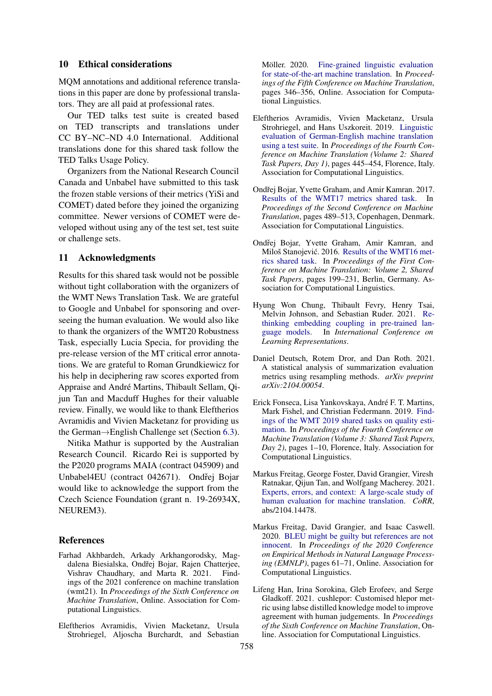### 10 Ethical considerations

MQM annotations and additional reference translations in this paper are done by professional translators. They are all paid at professional rates.

Our TED talks test suite is created based on TED transcripts and translations under CC BY–NC–ND 4.0 International. Additional translations done for this shared task follow the TED Talks Usage Policy.

Organizers from the National Research Council Canada and Unbabel have submitted to this task the frozen stable versions of their metrics (YiSi and COMET) dated before they joined the organizing committee. Newer versions of COMET were developed without using any of the test set, test suite or challenge sets.

#### 11 Acknowledgments

Results for this shared task would not be possible without tight collaboration with the organizers of the WMT News Translation Task. We are grateful to Google and Unbabel for sponsoring and overseeing the human evaluation. We would also like to thank the organizers of the WMT20 Robustness Task, especially Lucia Specia, for providing the pre-release version of the MT critical error annotations. We are grateful to Roman Grundkiewicz for his help in deciphering raw scores exported from Appraise and André Martins, Thibault Sellam, Qijun Tan and Macduff Hughes for their valuable review. Finally, we would like to thank Eleftherios Avramidis and Vivien Macketanz for providing us the German→English Challenge set (Section [6.3\)](#page-12-2).

Nitika Mathur is supported by the Australian Research Council. Ricardo Rei is supported by the P2020 programs MAIA (contract 045909) and Unbabel4EU (contract 042671). Ondřej Bojar would like to acknowledge the support from the Czech Science Foundation (grant n. 19-26934X, NEUREM3).

### References

- <span id="page-20-10"></span>Farhad Akhbardeh, Arkady Arkhangorodsky, Magdalena Biesialska, Ondřej Bojar, Rajen Chatterjee, Vishrav Chaudhary, and Marta R. 2021. Findings of the 2021 conference on machine translation (wmt21). In *Proceedings of the Sixth Conference on Machine Translation*, Online. Association for Computational Linguistics.
- <span id="page-20-7"></span>Eleftherios Avramidis, Vivien Macketanz, Ursula Strohriegel, Aljoscha Burchardt, and Sebastian

Möller. 2020. [Fine-grained linguistic evaluation](https://aclanthology.org/2020.wmt-1.38) [for state-of-the-art machine translation.](https://aclanthology.org/2020.wmt-1.38) In *Proceedings of the Fifth Conference on Machine Translation*, pages 346–356, Online. Association for Computational Linguistics.

- <span id="page-20-8"></span>Eleftherios Avramidis, Vivien Macketanz, Ursula Strohriegel, and Hans Uszkoreit. 2019. [Linguistic](https://doi.org/10.18653/v1/W19-5351) [evaluation of German-English machine translation](https://doi.org/10.18653/v1/W19-5351) [using a test suite.](https://doi.org/10.18653/v1/W19-5351) In *Proceedings of the Fourth Conference on Machine Translation (Volume 2: Shared Task Papers, Day 1)*, pages 445–454, Florence, Italy. Association for Computational Linguistics.
- <span id="page-20-6"></span>Ondřej Bojar, Yvette Graham, and Amir Kamran. 2017. [Results of the WMT17 metrics shared task.](https://doi.org/10.18653/v1/W17-4755) In *Proceedings of the Second Conference on Machine Translation*, pages 489–513, Copenhagen, Denmark. Association for Computational Linguistics.
- <span id="page-20-1"></span>Ondřej Bojar, Yvette Graham, Amir Kamran, and Miloš Stanojević. 2016. [Results of the WMT16 met](https://doi.org/10.18653/v1/W16-2302)[rics shared task.](https://doi.org/10.18653/v1/W16-2302) In *Proceedings of the First Conference on Machine Translation: Volume 2, Shared Task Papers*, pages 199–231, Berlin, Germany. Association for Computational Linguistics.
- <span id="page-20-4"></span>Hyung Won Chung, Thibault Fevry, Henry Tsai, Melvin Johnson, and Sebastian Ruder. 2021. [Re](https://openreview.net/forum?id=xpFFI_NtgpW)[thinking embedding coupling in pre-trained lan](https://openreview.net/forum?id=xpFFI_NtgpW)[guage models.](https://openreview.net/forum?id=xpFFI_NtgpW) In *International Conference on Learning Representations*.
- <span id="page-20-5"></span>Daniel Deutsch, Rotem Dror, and Dan Roth. 2021. A statistical analysis of summarization evaluation metrics using resampling methods. *arXiv preprint arXiv:2104.00054*.
- <span id="page-20-2"></span>Erick Fonseca, Lisa Yankovskaya, André F. T. Martins, Mark Fishel, and Christian Federmann. 2019. [Find](https://doi.org/10.18653/v1/W19-5401)[ings of the WMT 2019 shared tasks on quality esti](https://doi.org/10.18653/v1/W19-5401)[mation.](https://doi.org/10.18653/v1/W19-5401) In *Proceedings of the Fourth Conference on Machine Translation (Volume 3: Shared Task Papers, Day 2)*, pages 1–10, Florence, Italy. Association for Computational Linguistics.
- <span id="page-20-0"></span>Markus Freitag, George Foster, David Grangier, Viresh Ratnakar, Qijun Tan, and Wolfgang Macherey. 2021. [Experts, errors, and context: A large-scale study of](http://arxiv.org/abs/2104.14478) [human evaluation for machine translation.](http://arxiv.org/abs/2104.14478) *CoRR*, abs/2104.14478.
- <span id="page-20-9"></span>Markus Freitag, David Grangier, and Isaac Caswell. 2020. [BLEU might be guilty but references are not](https://doi.org/10.18653/v1/2020.emnlp-main.5) [innocent.](https://doi.org/10.18653/v1/2020.emnlp-main.5) In *Proceedings of the 2020 Conference on Empirical Methods in Natural Language Processing (EMNLP)*, pages 61–71, Online. Association for Computational Linguistics.
- <span id="page-20-3"></span>Lifeng Han, Irina Sorokina, Gleb Erofeev, and Serge Gladkoff. 2021. cushlepor: Customised hlepor metric using labse distilled knowledge model to improve agreement with human judgements. In *Proceedings of the Sixth Conference on Machine Translation*, Online. Association for Computational Linguistics.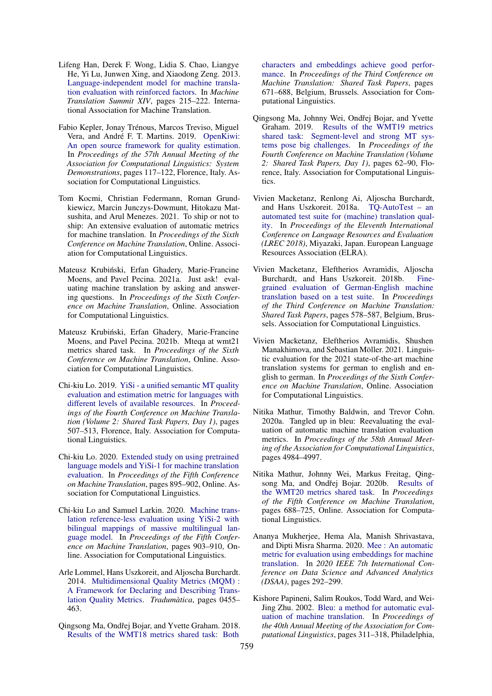- <span id="page-21-11"></span>Lifeng Han, Derek F. Wong, Lidia S. Chao, Liangye He, Yi Lu, Junwen Xing, and Xiaodong Zeng. 2013. [Language-independent model for machine transla](https://repository.um.edu.mo/handle/10692/18190)[tion evaluation with reinforced factors.](https://repository.um.edu.mo/handle/10692/18190) In *Machine Translation Summit XIV*, pages 215–222. International Association for Machine Translation.
- <span id="page-21-4"></span>Fabio Kepler, Jonay Trénous, Marcos Treviso, Miguel Vera, and André F. T. Martins. 2019. [OpenKiwi:](https://doi.org/10.18653/v1/P19-3020) [An open source framework for quality estimation.](https://doi.org/10.18653/v1/P19-3020) In *Proceedings of the 57th Annual Meeting of the Association for Computational Linguistics: System Demonstrations*, pages 117–122, Florence, Italy. Association for Computational Linguistics.
- <span id="page-21-1"></span>Tom Kocmi, Christian Federmann, Roman Grundkiewicz, Marcin Junczys-Dowmunt, Hitokazu Matsushita, and Arul Menezes. 2021. To ship or not to ship: An extensive evaluation of automatic metrics for machine translation. In *Proceedings of the Sixth Conference on Machine Translation*, Online. Association for Computational Linguistics.
- <span id="page-21-6"></span>Mateusz Krubiński, Erfan Ghadery, Marie-Francine Moens, and Pavel Pecina. 2021a. Just ask! evaluating machine translation by asking and answering questions. In *Proceedings of the Sixth Conference on Machine Translation*, Online. Association for Computational Linguistics.
- <span id="page-21-10"></span>Mateusz Krubiński, Erfan Ghadery, Marie-Francine Moens, and Pavel Pecina. 2021b. Mteqa at wmt21 metrics shared task. In *Proceedings of the Sixth Conference on Machine Translation*, Online. Association for Computational Linguistics.
- <span id="page-21-5"></span>Chi-kiu Lo. 2019. [YiSi - a unified semantic MT quality](https://doi.org/10.18653/v1/W19-5358) [evaluation and estimation metric for languages with](https://doi.org/10.18653/v1/W19-5358) [different levels of available resources.](https://doi.org/10.18653/v1/W19-5358) In *Proceedings of the Fourth Conference on Machine Translation (Volume 2: Shared Task Papers, Day 1)*, pages 507–513, Florence, Italy. Association for Computational Linguistics.
- <span id="page-21-8"></span>Chi-kiu Lo. 2020. [Extended study on using pretrained](https://aclanthology.org/2020.wmt-1.99) [language models and YiSi-1 for machine translation](https://aclanthology.org/2020.wmt-1.99) [evaluation.](https://aclanthology.org/2020.wmt-1.99) In *Proceedings of the Fifth Conference on Machine Translation*, pages 895–902, Online. Association for Computational Linguistics.
- <span id="page-21-9"></span>Chi-kiu Lo and Samuel Larkin. 2020. [Machine trans](https://aclanthology.org/2020.wmt-1.100)[lation reference-less evaluation using YiSi-2 with](https://aclanthology.org/2020.wmt-1.100) [bilingual mappings of massive multilingual lan](https://aclanthology.org/2020.wmt-1.100)[guage model.](https://aclanthology.org/2020.wmt-1.100) In *Proceedings of the Fifth Conference on Machine Translation*, pages 903–910, Online. Association for Computational Linguistics.
- <span id="page-21-0"></span>Arle Lommel, Hans Uszkoreit, and Aljoscha Burchardt. 2014. [Multidimensional Quality Metrics \(MQM\) :](https://ddd.uab.cat/record/130144) [A Framework for Declaring and Describing Trans](https://ddd.uab.cat/record/130144)[lation Quality Metrics.](https://ddd.uab.cat/record/130144) *Tradumàtica*, pages 0455– 463.
- <span id="page-21-12"></span>Qingsong Ma, Ondřej Bojar, and Yvette Graham. 2018. [Results of the WMT18 metrics shared task: Both](https://doi.org/10.18653/v1/W18-6450)

[characters and embeddings achieve good perfor](https://doi.org/10.18653/v1/W18-6450)[mance.](https://doi.org/10.18653/v1/W18-6450) In *Proceedings of the Third Conference on Machine Translation: Shared Task Papers*, pages 671–688, Belgium, Brussels. Association for Computational Linguistics.

- <span id="page-21-13"></span>Qingsong Ma, Johnny Wei, Ondřej Bojar, and Yvette Graham. 2019. [Results of the WMT19 metrics](https://doi.org/10.18653/v1/W19-5302) [shared task: Segment-level and strong MT sys](https://doi.org/10.18653/v1/W19-5302)[tems pose big challenges.](https://doi.org/10.18653/v1/W19-5302) In *Proceedings of the Fourth Conference on Machine Translation (Volume 2: Shared Task Papers, Day 1)*, pages 62–90, Florence, Italy. Association for Computational Linguistics.
- <span id="page-21-14"></span>Vivien Macketanz, Renlong Ai, Aljoscha Burchardt, and Hans Uszkoreit. 2018a. [TQ-AutoTest – an](https://aclanthology.org/L18-1142) [automated test suite for \(machine\) translation qual](https://aclanthology.org/L18-1142)[ity.](https://aclanthology.org/L18-1142) In *Proceedings of the Eleventh International Conference on Language Resources and Evaluation (LREC 2018)*, Miyazaki, Japan. European Language Resources Association (ELRA).
- <span id="page-21-15"></span>Vivien Macketanz, Eleftherios Avramidis, Aljoscha Burchardt, and Hans Uszkoreit. 2018b. [Fine](https://doi.org/10.18653/v1/W18-6436)[grained evaluation of German-English machine](https://doi.org/10.18653/v1/W18-6436) [translation based on a test suite.](https://doi.org/10.18653/v1/W18-6436) In *Proceedings of the Third Conference on Machine Translation: Shared Task Papers*, pages 578–587, Belgium, Brussels. Association for Computational Linguistics.
- <span id="page-21-16"></span>Vivien Macketanz, Eleftherios Avramidis, Shushen Manakhimova, and Sebastian Möller. 2021. Linguistic evaluation for the 2021 state-of-the-art machine translation systems for german to english and english to german. In *Proceedings of the Sixth Conference on Machine Translation*, Online. Association for Computational Linguistics.
- <span id="page-21-17"></span>Nitika Mathur, Timothy Baldwin, and Trevor Cohn. 2020a. Tangled up in bleu: Reevaluating the evaluation of automatic machine translation evaluation metrics. In *Proceedings of the 58th Annual Meeting of the Association for Computational Linguistics*, pages 4984–4997.
- <span id="page-21-3"></span>Nitika Mathur, Johnny Wei, Markus Freitag, Qing-song Ma, and Ondřej Bojar. 2020b. [Results of](https://aclanthology.org/2020.wmt-1.77) [the WMT20 metrics shared task.](https://aclanthology.org/2020.wmt-1.77) In *Proceedings of the Fifth Conference on Machine Translation*, pages 688–725, Online. Association for Computational Linguistics.
- <span id="page-21-7"></span>Ananya Mukherjee, Hema Ala, Manish Shrivastava, and Dipti Misra Sharma. 2020. [Mee : An automatic](https://doi.org/10.1109/DSAA49011.2020.00042) [metric for evaluation using embeddings for machine](https://doi.org/10.1109/DSAA49011.2020.00042) [translation.](https://doi.org/10.1109/DSAA49011.2020.00042) In *2020 IEEE 7th International Conference on Data Science and Advanced Analytics (DSAA)*, pages 292–299.
- <span id="page-21-2"></span>Kishore Papineni, Salim Roukos, Todd Ward, and Wei-Jing Zhu. 2002. [Bleu: a method for automatic eval](https://doi.org/10.3115/1073083.1073135)[uation of machine translation.](https://doi.org/10.3115/1073083.1073135) In *Proceedings of the 40th Annual Meeting of the Association for Computational Linguistics*, pages 311–318, Philadelphia,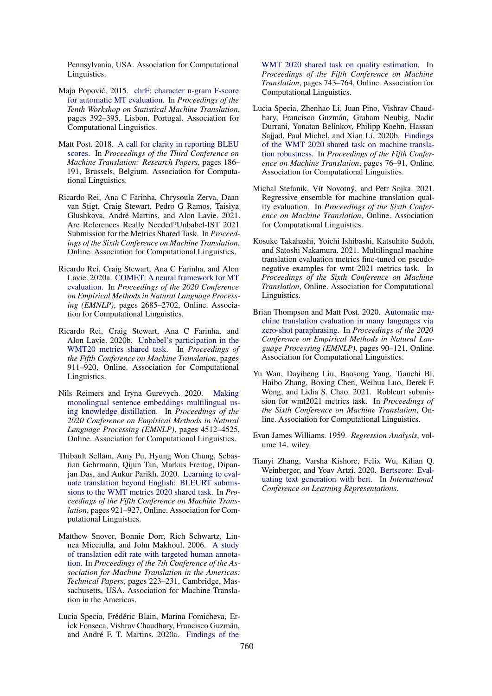Pennsylvania, USA. Association for Computational Linguistics.

- <span id="page-22-5"></span>Maja Popović. 2015. [chrF: character n-gram F-score](https://doi.org/10.18653/v1/W15-3049) [for automatic MT evaluation.](https://doi.org/10.18653/v1/W15-3049) In *Proceedings of the Tenth Workshop on Statistical Machine Translation*, pages 392–395, Lisbon, Portugal. Association for Computational Linguistics.
- <span id="page-22-3"></span>Matt Post. 2018. [A call for clarity in reporting BLEU](https://doi.org/10.18653/v1/W18-6319) [scores.](https://doi.org/10.18653/v1/W18-6319) In *Proceedings of the Third Conference on Machine Translation: Research Papers*, pages 186– 191, Brussels, Belgium. Association for Computational Linguistics.
- <span id="page-22-8"></span>Ricardo Rei, Ana C Farinha, Chrysoula Zerva, Daan van Stigt, Craig Stewart, Pedro G Ramos, Taisiya Glushkova, André Martins, and Alon Lavie. 2021. Are References Really Needed?Unbabel-IST 2021 Submission for the Metrics Shared Task. In *Proceedings of the Sixth Conference on Machine Translation*, Online. Association for Computational Linguistics.
- <span id="page-22-9"></span>Ricardo Rei, Craig Stewart, Ana C Farinha, and Alon Lavie. 2020a. [COMET: A neural framework for MT](https://doi.org/10.18653/v1/2020.emnlp-main.213) [evaluation.](https://doi.org/10.18653/v1/2020.emnlp-main.213) In *Proceedings of the 2020 Conference on Empirical Methods in Natural Language Processing (EMNLP)*, pages 2685–2702, Online. Association for Computational Linguistics.
- <span id="page-22-10"></span>Ricardo Rei, Craig Stewart, Ana C Farinha, and Alon Lavie. 2020b. [Unbabel's participation in the](https://aclanthology.org/2020.wmt-1.101) [WMT20 metrics shared task.](https://aclanthology.org/2020.wmt-1.101) In *Proceedings of the Fifth Conference on Machine Translation*, pages 911–920, Online. Association for Computational Linguistics.
- <span id="page-22-1"></span>Nils Reimers and Iryna Gurevych. 2020. [Making](https://doi.org/10.18653/v1/2020.emnlp-main.365) [monolingual sentence embeddings multilingual us](https://doi.org/10.18653/v1/2020.emnlp-main.365)[ing knowledge distillation.](https://doi.org/10.18653/v1/2020.emnlp-main.365) In *Proceedings of the 2020 Conference on Empirical Methods in Natural Language Processing (EMNLP)*, pages 4512–4525, Online. Association for Computational Linguistics.
- <span id="page-22-0"></span>Thibault Sellam, Amy Pu, Hyung Won Chung, Sebastian Gehrmann, Qijun Tan, Markus Freitag, Dipanjan Das, and Ankur Parikh. 2020. [Learning to eval](https://aclanthology.org/2020.wmt-1.102)[uate translation beyond English: BLEURT submis](https://aclanthology.org/2020.wmt-1.102)[sions to the WMT metrics 2020 shared task.](https://aclanthology.org/2020.wmt-1.102) In *Proceedings of the Fifth Conference on Machine Translation*, pages 921–927, Online. Association for Computational Linguistics.
- <span id="page-22-4"></span>Matthew Snover, Bonnie Dorr, Rich Schwartz, Linnea Micciulla, and John Makhoul. 2006. [A study](https://aclanthology.org/2006.amta-papers.25) [of translation edit rate with targeted human annota](https://aclanthology.org/2006.amta-papers.25)[tion.](https://aclanthology.org/2006.amta-papers.25) In *Proceedings of the 7th Conference of the Association for Machine Translation in the Americas: Technical Papers*, pages 223–231, Cambridge, Massachusetts, USA. Association for Machine Translation in the Americas.
- <span id="page-22-2"></span>Lucia Specia, Frédéric Blain, Marina Fomicheva, Erick Fonseca, Vishrav Chaudhary, Francisco Guzmán, and André F. T. Martins. 2020a. [Findings of the](https://aclanthology.org/2020.wmt-1.79)

[WMT 2020 shared task on quality estimation.](https://aclanthology.org/2020.wmt-1.79) In *Proceedings of the Fifth Conference on Machine Translation*, pages 743–764, Online. Association for Computational Linguistics.

- <span id="page-22-15"></span>Lucia Specia, Zhenhao Li, Juan Pino, Vishrav Chaudhary, Francisco Guzmán, Graham Neubig, Nadir Durrani, Yonatan Belinkov, Philipp Koehn, Hassan Sajjad, Paul Michel, and Xian Li. 2020b. [Findings](https://aclanthology.org/2020.wmt-1.4) [of the WMT 2020 shared task on machine transla](https://aclanthology.org/2020.wmt-1.4)[tion robustness.](https://aclanthology.org/2020.wmt-1.4) In *Proceedings of the Fifth Conference on Machine Translation*, pages 76–91, Online. Association for Computational Linguistics.
- <span id="page-22-11"></span>Michal Stefanik, Vít Novotný, and Petr Sojka. 2021. Regressive ensemble for machine translation quality evaluation. In *Proceedings of the Sixth Conference on Machine Translation*, Online. Association for Computational Linguistics.
- <span id="page-22-13"></span>Kosuke Takahashi, Yoichi Ishibashi, Katsuhito Sudoh, and Satoshi Nakamura. 2021. Multilingual machine translation evaluation metrics fine-tuned on pseudonegative examples for wmt 2021 metrics task. In *Proceedings of the Sixth Conference on Machine Translation*, Online. Association for Computational Linguistics.
- <span id="page-22-7"></span>Brian Thompson and Matt Post. 2020. [Automatic ma](https://doi.org/10.18653/v1/2020.emnlp-main.8)[chine translation evaluation in many languages via](https://doi.org/10.18653/v1/2020.emnlp-main.8) [zero-shot paraphrasing.](https://doi.org/10.18653/v1/2020.emnlp-main.8) In *Proceedings of the 2020 Conference on Empirical Methods in Natural Language Processing (EMNLP)*, pages 90–121, Online. Association for Computational Linguistics.
- <span id="page-22-12"></span>Yu Wan, Dayiheng Liu, Baosong Yang, Tianchi Bi, Haibo Zhang, Boxing Chen, Weihua Luo, Derek F. Wong, and Lidia S. Chao. 2021. Robleurt submission for wmt2021 metrics task. In *Proceedings of the Sixth Conference on Machine Translation*, Online. Association for Computational Linguistics.
- <span id="page-22-14"></span>Evan James Williams. 1959. *Regression Analysis*, volume 14. wiley.
- <span id="page-22-6"></span>Tianyi Zhang, Varsha Kishore, Felix Wu, Kilian Q. Weinberger, and Yoav Artzi. 2020. [Bertscore: Eval](https://openreview.net/forum?id=SkeHuCVFDr)[uating text generation with bert.](https://openreview.net/forum?id=SkeHuCVFDr) In *International Conference on Learning Representations*.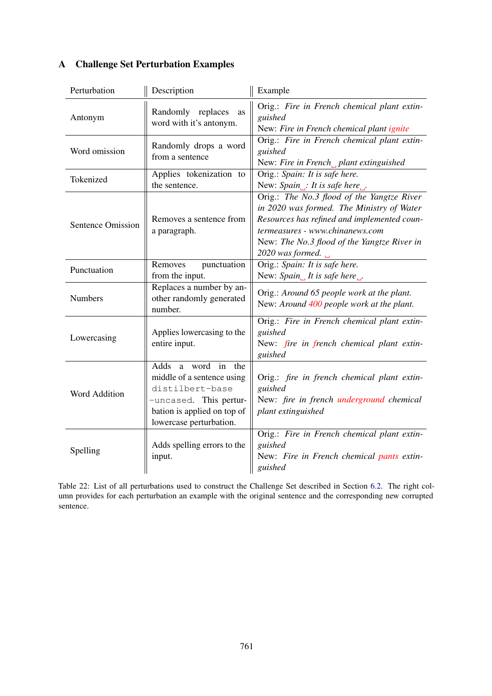<span id="page-23-0"></span>

| Perturbation             | Description                                                                                                                                                             | Example                                                                                                                                                                                                                                      |
|--------------------------|-------------------------------------------------------------------------------------------------------------------------------------------------------------------------|----------------------------------------------------------------------------------------------------------------------------------------------------------------------------------------------------------------------------------------------|
| Antonym                  | Randomly replaces<br>as<br>word with it's antonym.                                                                                                                      | Orig.: Fire in French chemical plant extin-<br>guished<br>New: Fire in French chemical plant ignite                                                                                                                                          |
| Word omission            | Randomly drops a word<br>from a sentence                                                                                                                                | Orig.: Fire in French chemical plant extin-<br>guished<br>New: Fire in French_plant extinguished                                                                                                                                             |
| Tokenized                | Applies tokenization to<br>the sentence.                                                                                                                                | Orig.: Spain: It is safe here.<br>New: $Spin_{\square}$ : It is safe here                                                                                                                                                                    |
| <b>Sentence Omission</b> | Removes a sentence from<br>a paragraph.                                                                                                                                 | Orig.: The No.3 flood of the Yangtze River<br>in 2020 was formed. The Ministry of Water<br>Resources has refined and implemented coun-<br>termeasures - www.chinanews.com<br>New: The No.3 flood of the Yangtze River in<br>2020 was formed. |
| Punctuation              | punctuation<br>Removes<br>from the input.                                                                                                                               | Orig.: Spain: It is safe here.<br>New: $Spin_{\square}$ It is safe here                                                                                                                                                                      |
| Numbers                  | Replaces a number by an-<br>other randomly generated<br>number.                                                                                                         | Orig.: Around 65 people work at the plant.<br>New: Around 400 people work at the plant.                                                                                                                                                      |
| Lowercasing              | Applies lowercasing to the<br>entire input.                                                                                                                             | Orig.: Fire in French chemical plant extin-<br>guished<br>New: fire in french chemical plant extin-<br>guished                                                                                                                               |
| Word Addition            | $\bar{m}$<br>Adds<br>a word<br>the<br>middle of a sentence using<br>distilbert-base<br>-uncased. This pertur-<br>bation is applied on top of<br>lowercase perturbation. | Orig.: fire in french chemical plant extin-<br>guished<br>New: fire in french underground chemical<br>plant extinguished                                                                                                                     |
| Spelling                 | Adds spelling errors to the<br>input.                                                                                                                                   | Orig.: Fire in French chemical plant extin-<br>guished<br>New: Fire in French chemical pants extin-<br>guished                                                                                                                               |

# <span id="page-23-1"></span>A Challenge Set Perturbation Examples

Table 22: List of all perturbations used to construct the Challenge Set described in Section [6.2.](#page-11-2) The right column provides for each perturbation an example with the original sentence and the corresponding new corrupted sentence.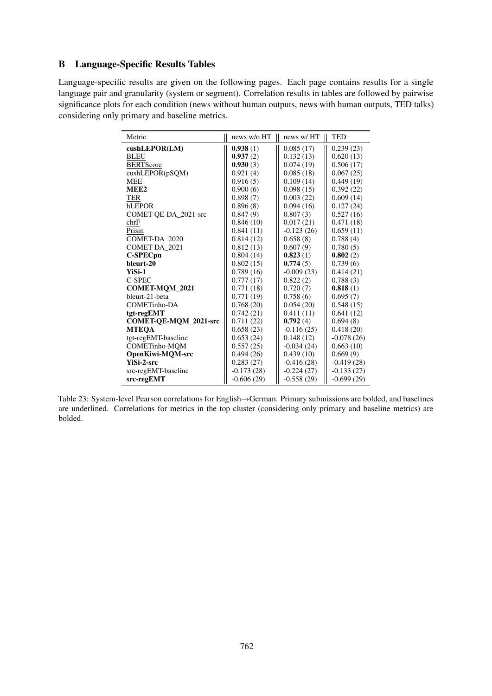# B Language-Specific Results Tables

<span id="page-24-0"></span>Language-specific results are given on the following pages. Each page contains results for a single language pair and granularity (system or segment). Correlation results in tables are followed by pairwise significance plots for each condition (news without human outputs, news with human outputs, TED talks) considering only primary and baseline metrics.

| Metric                       | news w/o HT  | news w/HT    | <b>TED</b>   |
|------------------------------|--------------|--------------|--------------|
| $\cosh\text{LEPOR(LM)}$      | 0.938(1)     | 0.085(17)    | 0.239(23)    |
| <b>BLEU</b>                  | 0.937(2)     | 0.132(13)    | 0.620(13)    |
| <b>BERTScore</b>             | 0.930(3)     | 0.074(19)    | 0.506(17)    |
| cushLEPOR(pSQM)              | 0.921(4)     | 0.085(18)    | 0.067(25)    |
| <b>MEE</b>                   | 0.916(5)     | 0.109(14)    | 0.449(19)    |
| MEE <sub>2</sub>             | 0.900(6)     | 0.098(15)    | 0.392(22)    |
| TER                          | 0.898(7)     | 0.003(22)    | 0.609(14)    |
| hLEPOR                       | 0.896(8)     | 0.094(16)    | 0.127(24)    |
| COMET-QE-DA_2021-src         | 0.847(9)     | 0.807(3)     | 0.527(16)    |
| chrF                         | 0.846(10)    | 0.017(21)    | 0.471(18)    |
| Prism                        | 0.841(11)    | $-0.123(26)$ | 0.659(11)    |
| COMET-DA 2020                | 0.814(12)    | 0.658(8)     | 0.788(4)     |
| COMET-DA 2021                | 0.812(13)    | 0.607(9)     | 0.780(5)     |
| C-SPECpn                     | 0.804(14)    | 0.823(1)     | 0.802(2)     |
| bleurt-20                    | 0.802(15)    | 0.774(5)     | 0.739(6)     |
| YiSi-1                       | 0.789(16)    | $-0.009(23)$ | 0.414(21)    |
| C-SPEC                       | 0.777(17)    | 0.822(2)     | 0.788(3)     |
| <b>COMET-MOM 2021</b>        | 0.771(18)    | 0.720(7)     | 0.818(1)     |
| bleurt-21-beta               | 0.771(19)    | 0.758(6)     | 0.695(7)     |
| COMETinho-DA                 | 0.768(20)    | 0.054(20)    | 0.548(15)    |
| tgt-regEMT                   | 0.742(21)    | 0.411(11)    | 0.641(12)    |
| <b>COMET-OE-MOM 2021-src</b> | 0.711(22)    | 0.792(4)     | 0.694(8)     |
| <b>MTEOA</b>                 | 0.658(23)    | $-0.116(25)$ | 0.418(20)    |
| tgt-regEMT-baseline          | 0.653(24)    | 0.148(12)    | $-0.078(26)$ |
| <b>COMETinho-MOM</b>         | 0.557(25)    | $-0.034(24)$ | 0.663(10)    |
| OpenKiwi-MQM-src             | 0.494(26)    | 0.439(10)    | 0.669(9)     |
| <b>YiSi-2-src</b>            | 0.283(27)    | $-0.416(28)$ | $-0.419(28)$ |
| src-regEMT-baseline          | $-0.173(28)$ | $-0.224(27)$ | $-0.133(27)$ |
| src-regEMT                   | $-0.606(29)$ | $-0.558(29)$ | $-0.699(29)$ |

Table 23: System-level Pearson correlations for English→German. Primary submissions are bolded, and baselines are underlined. Correlations for metrics in the top cluster (considering only primary and baseline metrics) are bolded.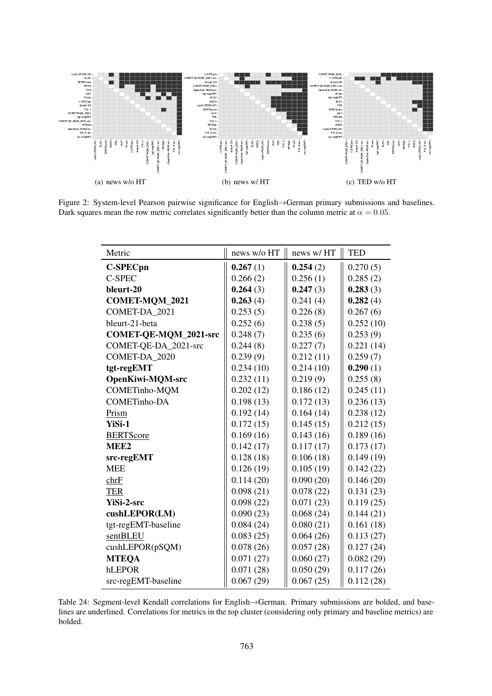<span id="page-25-0"></span>

Figure 2: System-level Pearson pairwise significance for English→German primary submissions and baselines. Dark squares mean the row metric correlates significantly better than the column metric at  $\alpha = 0.05$ .

| Metric                       | news w/o HT | news w/HT | <b>TED</b> |
|------------------------------|-------------|-----------|------------|
| <b>C-SPECpn</b>              | 0.267(1)    | 0.254(2)  | 0.270(5)   |
| <b>C-SPEC</b>                | 0.266(2)    | 0.256(1)  | 0.285(2)   |
| bleurt-20                    | 0.264(3)    | 0.247(3)  | 0.283(3)   |
| COMET-MQM_2021               | 0.263(4)    | 0.241(4)  | 0.282(4)   |
| COMET-DA 2021                | 0.253(5)    | 0.226(8)  | 0.267(6)   |
| bleurt-21-beta               | 0.252(6)    | 0.238(5)  | 0.252(10)  |
| <b>COMET-QE-MQM_2021-src</b> | 0.248(7)    | 0.235(6)  | 0.253(9)   |
| COMET-QE-DA_2021-src         | 0.244(8)    | 0.227(7)  | 0.221(14)  |
| COMET-DA_2020                | 0.239(9)    | 0.212(11) | 0.259(7)   |
| tgt-regEMT                   | 0.234(10)   | 0.214(10) | 0.290(1)   |
| <b>OpenKiwi-MQM-src</b>      | 0.232(11)   | 0.219(9)  | 0.255(8)   |
| COMETinho-MQM                | 0.202(12)   | 0.186(12) | 0.245(11)  |
| <b>COMETinho-DA</b>          | 0.198(13)   | 0.172(13) | 0.236(13)  |
| Prism                        | 0.192(14)   | 0.164(14) | 0.238(12)  |
| YiSi-1                       | 0.172(15)   | 0.145(15) | 0.212(15)  |
| <b>BERTScore</b>             | 0.169(16)   | 0.143(16) | 0.189(16)  |
| MEE <sub>2</sub>             | 0.142(17)   | 0.117(17) | 0.173(17)  |
| src-regEMT                   | 0.128(18)   | 0.106(18) | 0.149(19)  |
| <b>MEE</b>                   | 0.126(19)   | 0.105(19) | 0.142(22)  |
| chrF                         | 0.114(20)   | 0.090(20) | 0.146(20)  |
| <b>TER</b>                   | 0.098(21)   | 0.078(22) | 0.131(23)  |
| <b>YiSi-2-src</b>            | 0.098(22)   | 0.071(23) | 0.119(25)  |
| cushLEPOR(LM)                | 0.090(23)   | 0.068(24) | 0.144(21)  |
| tgt-regEMT-baseline          | 0.084(24)   | 0.080(21) | 0.161(18)  |
| sentBLEU                     | 0.083(25)   | 0.064(26) | 0.113(27)  |
| cushLEPOR(pSQM)              | 0.078(26)   | 0.057(28) | 0.127(24)  |
| <b>MTEQA</b>                 | 0.071(27)   | 0.060(27) | 0.082(29)  |
| hLEPOR                       | 0.071(28)   | 0.050(29) | 0.117(26)  |
| src-regEMT-baseline          | 0.067(29)   | 0.067(25) | 0.112(28)  |

Table 24: Segment-level Kendall correlations for English→German. Primary submissions are bolded, and baselines are underlined. Correlations for metrics in the top cluster (considering only primary and baseline metrics) are bolded.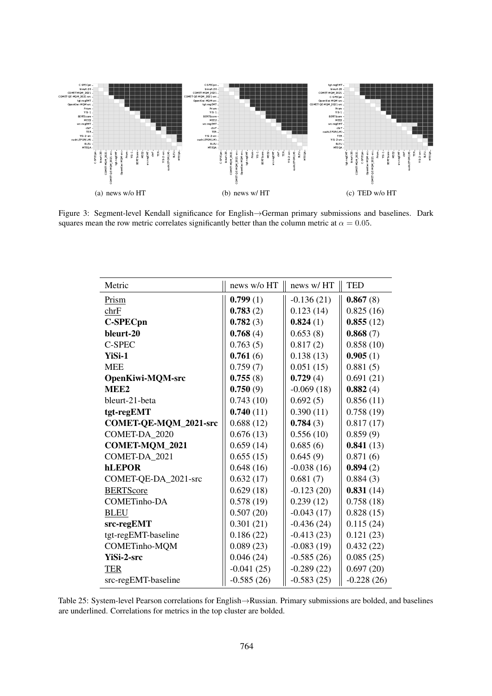

Figure 3: Segment-level Kendall significance for English→German primary submissions and baselines. Dark squares mean the row metric correlates significantly better than the column metric at  $\alpha = 0.05$ .

| Metric                  | news w/o HT  | news w/HT    | <b>TED</b>   |
|-------------------------|--------------|--------------|--------------|
| Prism                   | 0.799(1)     | $-0.136(21)$ | 0.867(8)     |
| chrF                    | 0.783(2)     | 0.123(14)    | 0.825(16)    |
| <b>C-SPECpn</b>         | 0.782(3)     | 0.824(1)     | 0.855(12)    |
| bleurt-20               | 0.768(4)     | 0.653(8)     | 0.868(7)     |
| C-SPEC                  | 0.763(5)     | 0.817(2)     | 0.858(10)    |
| YiSi-1                  | 0.761(6)     | 0.138(13)    | 0.905(1)     |
| <b>MEE</b>              | 0.759(7)     | 0.051(15)    | 0.881(5)     |
| <b>OpenKiwi-MQM-src</b> | 0.755(8)     | 0.729(4)     | 0.691(21)    |
| MEE <sub>2</sub>        | 0.750(9)     | $-0.069(18)$ | 0.882(4)     |
| bleurt-21-beta          | 0.743(10)    | 0.692(5)     | 0.856(11)    |
| tgt-regEMT              | 0.740(11)    | 0.390(11)    | 0.758(19)    |
| COMET-QE-MQM_2021-src   | 0.688(12)    | 0.784(3)     | 0.817(17)    |
| COMET-DA 2020           | 0.676(13)    | 0.556(10)    | 0.859(9)     |
| <b>COMET-MQM_2021</b>   | 0.659(14)    | 0.685(6)     | 0.841(13)    |
| COMET-DA 2021           | 0.655(15)    | 0.645(9)     | 0.871(6)     |
| <b>hLEPOR</b>           | 0.648(16)    | $-0.038(16)$ | 0.894(2)     |
| COMET-QE-DA_2021-src    | 0.632(17)    | 0.681(7)     | 0.884(3)     |
| <b>BERTScore</b>        | 0.629(18)    | $-0.123(20)$ | 0.831(14)    |
| <b>COMETinho-DA</b>     | 0.578(19)    | 0.239(12)    | 0.758(18)    |
| <b>BLEU</b>             | 0.507(20)    | $-0.043(17)$ | 0.828(15)    |
| src-regEMT              | 0.301(21)    | $-0.436(24)$ | 0.115(24)    |
| tgt-regEMT-baseline     | 0.186(22)    | $-0.413(23)$ | 0.121(23)    |
| COMETinho-MQM           | 0.089(23)    | $-0.083(19)$ | 0.432(22)    |
| <b>YiSi-2-src</b>       | 0.046(24)    | $-0.585(26)$ | 0.085(25)    |
| <b>TER</b>              | $-0.041(25)$ | $-0.289(22)$ | 0.697(20)    |
| src-regEMT-baseline     | $-0.585(26)$ | $-0.583(25)$ | $-0.228(26)$ |

Table 25: System-level Pearson correlations for English→Russian. Primary submissions are bolded, and baselines are underlined. Correlations for metrics in the top cluster are bolded.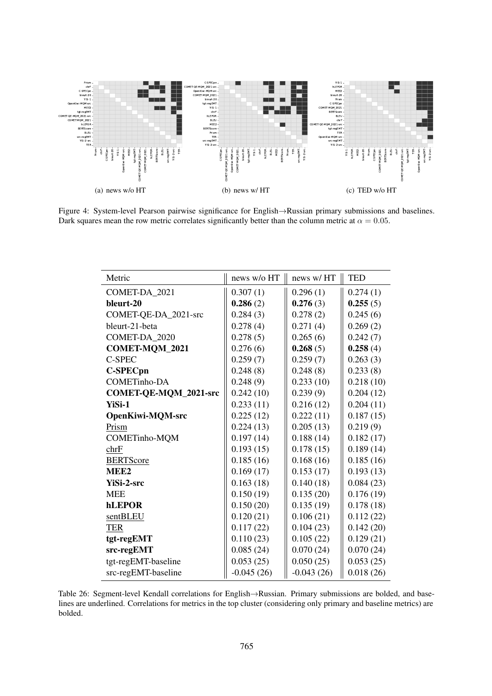

Figure 4: System-level Pearson pairwise significance for English→Russian primary submissions and baselines. Dark squares mean the row metric correlates significantly better than the column metric at  $\alpha = 0.05$ .

| Metric                  | news w/o HT  | news w/HT    | <b>TED</b> |
|-------------------------|--------------|--------------|------------|
| COMET-DA 2021           | 0.307(1)     | 0.296(1)     | 0.274(1)   |
| bleurt-20               | 0.286(2)     | 0.276(3)     | 0.255(5)   |
| COMET-QE-DA_2021-src    | 0.284(3)     | 0.278(2)     | 0.245(6)   |
| bleurt-21-beta          | 0.278(4)     | 0.271(4)     | 0.269(2)   |
| COMET-DA 2020           | 0.278(5)     | 0.265(6)     | 0.242(7)   |
| COMET-MQM_2021          | 0.276(6)     | 0.268(5)     | 0.258(4)   |
| C-SPEC                  | 0.259(7)     | 0.259(7)     | 0.263(3)   |
| <b>C-SPECpn</b>         | 0.248(8)     | 0.248(8)     | 0.233(8)   |
| <b>COMETinho-DA</b>     | 0.248(9)     | 0.233(10)    | 0.218(10)  |
| COMET-QE-MQM_2021-src   | 0.242(10)    | 0.239(9)     | 0.204(12)  |
| YiSi-1                  | 0.233(11)    | 0.216(12)    | 0.204(11)  |
| <b>OpenKiwi-MQM-src</b> | 0.225(12)    | 0.222(11)    | 0.187(15)  |
| Prism                   | 0.224(13)    | 0.205(13)    | 0.219(9)   |
| COMETinho-MQM           | 0.197(14)    | 0.188(14)    | 0.182(17)  |
| chrF                    | 0.193(15)    | 0.178(15)    | 0.189(14)  |
| <b>BERTScore</b>        | 0.185(16)    | 0.168(16)    | 0.185(16)  |
| MEE <sub>2</sub>        | 0.169(17)    | 0.153(17)    | 0.193(13)  |
| YiSi-2-src              | 0.163(18)    | 0.140(18)    | 0.084(23)  |
| <b>MEE</b>              | 0.150(19)    | 0.135(20)    | 0.176(19)  |
| <b>hLEPOR</b>           | 0.150(20)    | 0.135(19)    | 0.178(18)  |
| sentBLEU                | 0.120(21)    | 0.106(21)    | 0.112(22)  |
| <b>TER</b>              | 0.117(22)    | 0.104(23)    | 0.142(20)  |
| tgt-regEMT              | 0.110(23)    | 0.105(22)    | 0.129(21)  |
| src-regEMT              | 0.085(24)    | 0.070(24)    | 0.070(24)  |
| tgt-regEMT-baseline     | 0.053(25)    | 0.050(25)    | 0.053(25)  |
| src-regEMT-baseline     | $-0.045(26)$ | $-0.043(26)$ | 0.018(26)  |

Table 26: Segment-level Kendall correlations for English→Russian. Primary submissions are bolded, and baselines are underlined. Correlations for metrics in the top cluster (considering only primary and baseline metrics) are bolded.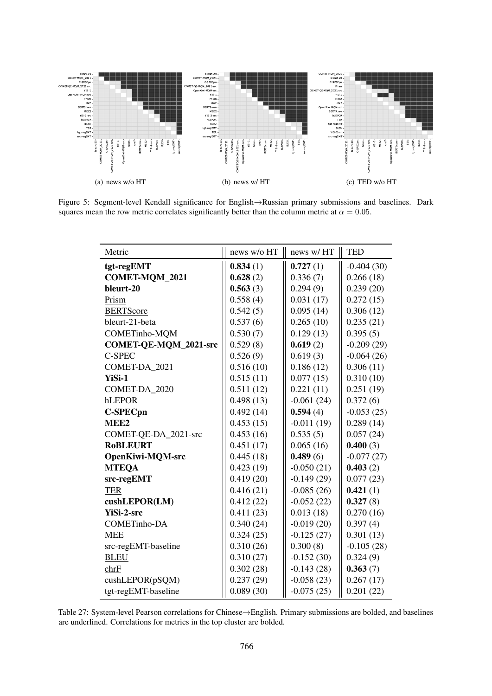

Figure 5: Segment-level Kendall significance for English→Russian primary submissions and baselines. Dark squares mean the row metric correlates significantly better than the column metric at  $\alpha = 0.05$ .

| Metric                       | news w/o HT | news w/HT    | <b>TED</b>   |
|------------------------------|-------------|--------------|--------------|
| tgt-regEMT                   | 0.834(1)    | 0.727(1)     | $-0.404(30)$ |
| <b>COMET-MQM_2021</b>        | 0.628(2)    | 0.336(7)     | 0.266(18)    |
| bleurt-20                    | 0.563(3)    | 0.294(9)     | 0.239(20)    |
| Prism                        | 0.558(4)    | 0.031(17)    | 0.272(15)    |
| <b>BERTScore</b>             | 0.542(5)    | 0.095(14)    | 0.306(12)    |
| bleurt-21-beta               | 0.537(6)    | 0.265(10)    | 0.235(21)    |
| COMETinho-MQM                | 0.530(7)    | 0.129(13)    | 0.395(5)     |
| <b>COMET-QE-MQM_2021-src</b> | 0.529(8)    | 0.619(2)     | $-0.209(29)$ |
| <b>C-SPEC</b>                | 0.526(9)    | 0.619(3)     | $-0.064(26)$ |
| COMET-DA_2021                | 0.516(10)   | 0.186(12)    | 0.306(11)    |
| YiSi-1                       | 0.515(11)   | 0.077(15)    | 0.310(10)    |
| COMET-DA 2020                | 0.511(12)   | 0.221(11)    | 0.251(19)    |
| hLEPOR                       | 0.498(13)   | $-0.061(24)$ | 0.372(6)     |
| <b>C-SPECpn</b>              | 0.492(14)   | 0.594(4)     | $-0.053(25)$ |
| MEE <sub>2</sub>             | 0.453(15)   | $-0.011(19)$ | 0.289(14)    |
| COMET-QE-DA_2021-src         | 0.453(16)   | 0.535(5)     | 0.057(24)    |
| <b>RoBLEURT</b>              | 0.451(17)   | 0.065(16)    | 0.400(3)     |
| <b>OpenKiwi-MQM-src</b>      | 0.445(18)   | 0.489(6)     | $-0.077(27)$ |
| <b>MTEQA</b>                 | 0.423(19)   | $-0.050(21)$ | 0.403(2)     |
| src-regEMT                   | 0.419(20)   | $-0.149(29)$ | 0.077(23)    |
| <b>TER</b>                   | 0.416(21)   | $-0.085(26)$ | 0.421(1)     |
| cushLEPOR(LM)                | 0.412(22)   | $-0.052(22)$ | 0.327(8)     |
| YiSi-2-src                   | 0.411(23)   | 0.013(18)    | 0.270(16)    |
| <b>COMETinho-DA</b>          | 0.340(24)   | $-0.019(20)$ | 0.397(4)     |
| <b>MEE</b>                   | 0.324(25)   | $-0.125(27)$ | 0.301(13)    |
| src-regEMT-baseline          | 0.310(26)   | 0.300(8)     | $-0.105(28)$ |
| <b>BLEU</b>                  | 0.310(27)   | $-0.152(30)$ | 0.324(9)     |
| chrF                         | 0.302(28)   | $-0.143(28)$ | 0.363(7)     |
| cushLEPOR(pSQM)              | 0.237(29)   | $-0.058(23)$ | 0.267(17)    |
| tgt-regEMT-baseline          | 0.089(30)   | $-0.075(25)$ | 0.201(22)    |

Table 27: System-level Pearson correlations for Chinese→English. Primary submissions are bolded, and baselines are underlined. Correlations for metrics in the top cluster are bolded.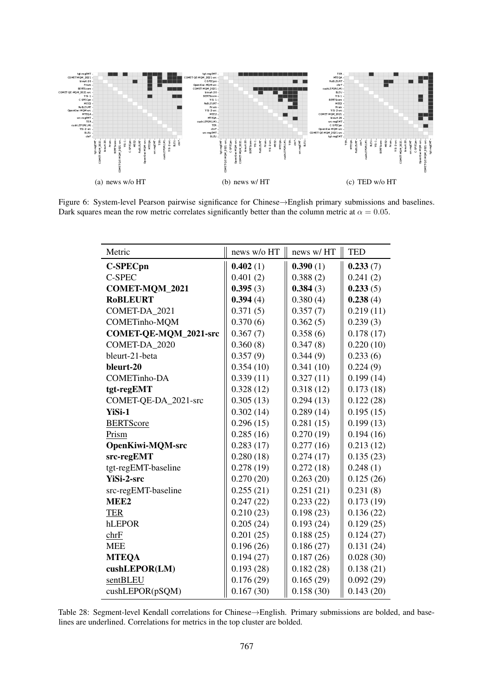

<span id="page-29-0"></span>Figure 6: System-level Pearson pairwise significance for Chinese→English primary submissions and baselines. Dark squares mean the row metric correlates significantly better than the column metric at  $\alpha = 0.05$ .

| Metric                       | news w/o HT | news w/HT | <b>TED</b> |
|------------------------------|-------------|-----------|------------|
| <b>C-SPECpn</b>              | 0.402(1)    | 0.390(1)  | 0.233(7)   |
| <b>C-SPEC</b>                | 0.401(2)    | 0.388(2)  | 0.241(2)   |
| <b>COMET-MQM_2021</b>        | 0.395(3)    | 0.384(3)  | 0.233(5)   |
| <b>RoBLEURT</b>              | 0.394(4)    | 0.380(4)  | 0.238(4)   |
| COMET-DA_2021                | 0.371(5)    | 0.357(7)  | 0.219(11)  |
| COMETinho-MQM                | 0.370(6)    | 0.362(5)  | 0.239(3)   |
| <b>COMET-QE-MQM 2021-src</b> | 0.367(7)    | 0.358(6)  | 0.178(17)  |
| COMET-DA 2020                | 0.360(8)    | 0.347(8)  | 0.220(10)  |
| bleurt-21-beta               | 0.357(9)    | 0.344(9)  | 0.233(6)   |
| bleurt-20                    | 0.354(10)   | 0.341(10) | 0.224(9)   |
| <b>COMETinho-DA</b>          | 0.339(11)   | 0.327(11) | 0.199(14)  |
| tgt-regEMT                   | 0.328(12)   | 0.318(12) | 0.173(18)  |
| COMET-QE-DA_2021-src         | 0.305(13)   | 0.294(13) | 0.122(28)  |
| YiSi-1                       | 0.302(14)   | 0.289(14) | 0.195(15)  |
| <b>BERTScore</b>             | 0.296(15)   | 0.281(15) | 0.199(13)  |
| Prism                        | 0.285(16)   | 0.270(19) | 0.194(16)  |
| <b>OpenKiwi-MQM-src</b>      | 0.283(17)   | 0.277(16) | 0.213(12)  |
| src-regEMT                   | 0.280(18)   | 0.274(17) | 0.135(23)  |
| tgt-regEMT-baseline          | 0.278(19)   | 0.272(18) | 0.248(1)   |
| YiSi-2-src                   | 0.270(20)   | 0.263(20) | 0.125(26)  |
| src-regEMT-baseline          | 0.255(21)   | 0.251(21) | 0.231(8)   |
| MEE <sub>2</sub>             | 0.247(22)   | 0.233(22) | 0.173(19)  |
| <b>TER</b>                   | 0.210(23)   | 0.198(23) | 0.136(22)  |
| hLEPOR                       | 0.205(24)   | 0.193(24) | 0.129(25)  |
| chrF                         | 0.201(25)   | 0.188(25) | 0.124(27)  |
| <b>MEE</b>                   | 0.196(26)   | 0.186(27) | 0.131(24)  |
| <b>MTEQA</b>                 | 0.194(27)   | 0.187(26) | 0.028(30)  |
| cushLEPOR(LM)                | 0.193(28)   | 0.182(28) | 0.138(21)  |
| sentBLEU                     | 0.176(29)   | 0.165(29) | 0.092(29)  |
| cushLEPOR(pSQM)              | 0.167(30)   | 0.158(30) | 0.143(20)  |

Table 28: Segment-level Kendall correlations for Chinese→English. Primary submissions are bolded, and baselines are underlined. Correlations for metrics in the top cluster are bolded.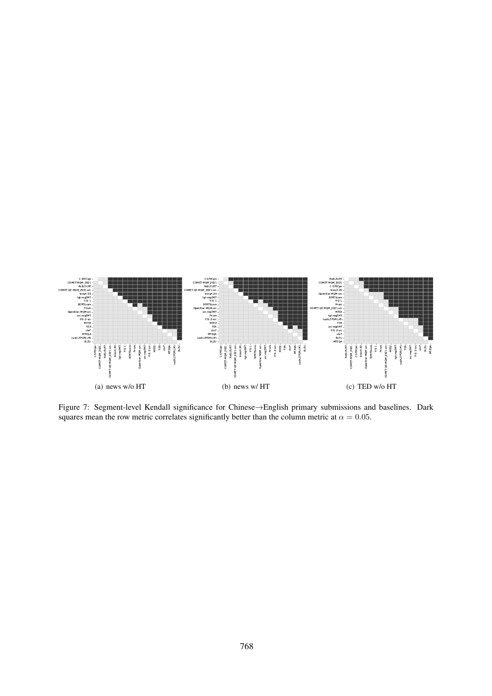<span id="page-30-0"></span>

Figure 7: Segment-level Kendall significance for Chinese→English primary submissions and baselines. Dark squares mean the row metric correlates significantly better than the column metric at  $\alpha = 0.05$ .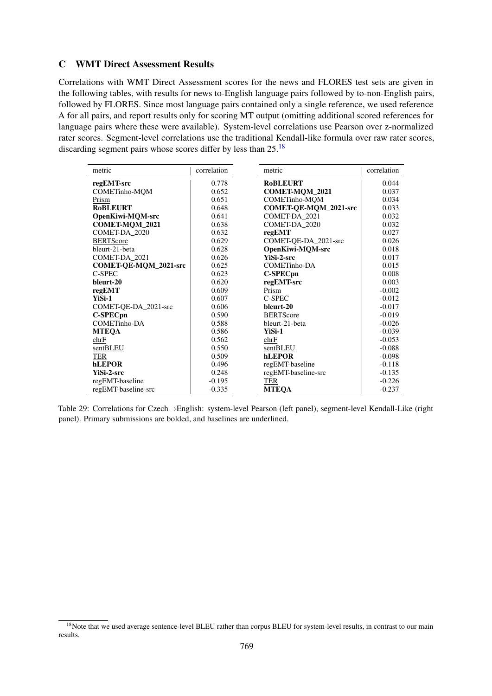# <span id="page-31-0"></span>C WMT Direct Assessment Results

Correlations with WMT Direct Assessment scores for the news and FLORES test sets are given in the following tables, with results for news to-English language pairs followed by to-non-English pairs, followed by FLORES. Since most language pairs contained only a single reference, we used reference A for all pairs, and report results only for scoring MT output (omitting additional scored references for language pairs where these were available). System-level correlations use Pearson over z-normalized rater scores. Segment-level correlations use the traditional Kendall-like formula over raw rater scores, discarding segment pairs whose scores differ by less than 25.<sup>[18](#page-31-1)</sup>

| metric                       | correlation | metric                | correlation |
|------------------------------|-------------|-----------------------|-------------|
| regEMT-src                   | 0.778       | <b>ROBLEURT</b>       | 0.044       |
| COMETinho-MQM                | 0.652       | COMET-MQM_2021        | 0.037       |
| Prism                        | 0.651       | <b>COMETinho-MOM</b>  | 0.034       |
| <b>RoBLEURT</b>              | 0.648       | COMET-QE-MQM_2021-src | 0.033       |
| <b>OpenKiwi-MQM-src</b>      | 0.641       | COMET-DA_2021         | 0.032       |
| COMET-MQM_2021               | 0.638       | COMET-DA 2020         | 0.032       |
| COMET-DA 2020                | 0.632       | regEMT                | 0.027       |
| <b>BERTScore</b>             | 0.629       | COMET-QE-DA_2021-src  | 0.026       |
| bleurt-21-beta               | 0.628       | OpenKiwi-MOM-src      | 0.018       |
| COMET-DA 2021                | 0.626       | <b>YiSi-2-src</b>     | 0.017       |
| <b>COMET-QE-MQM_2021-src</b> | 0.625       | COMETinho-DA          | 0.015       |
| C-SPEC                       | 0.623       | C-SPECpn              | 0.008       |
| bleurt-20                    | 0.620       | regEMT-src            | 0.003       |
| regEMT                       | 0.609       | Prism                 | $-0.002$    |
| YiSi-1                       | 0.607       | C-SPEC                | $-0.012$    |
| COMET-QE-DA_2021-src         | 0.606       | bleurt-20             | $-0.017$    |
| <b>C-SPECpn</b>              | 0.590       | <b>BERTScore</b>      | $-0.019$    |
| COMETinho-DA                 | 0.588       | bleurt-21-beta        | $-0.026$    |
| <b>MTEQA</b>                 | 0.586       | YiSi-1                | $-0.039$    |
| chrF                         | 0.562       | chrF                  | $-0.053$    |
| sentBLEU                     | 0.550       | sentBLEU              | $-0.088$    |
| TER                          | 0.509       | <b>hLEPOR</b>         | $-0.098$    |
| hLEPOR                       | 0.496       | regEMT-baseline       | $-0.118$    |
| YiSi-2-src                   | 0.248       | regEMT-baseline-src   | $-0.135$    |
| regEMT-baseline              | $-0.195$    | TER                   | $-0.226$    |
| regEMT-baseline-src          | $-0.335$    | <b>MTEQA</b>          | $-0.237$    |

Table 29: Correlations for Czech→English: system-level Pearson (left panel), segment-level Kendall-Like (right panel). Primary submissions are bolded, and baselines are underlined.

<span id="page-31-1"></span><sup>&</sup>lt;sup>18</sup>Note that we used average sentence-level BLEU rather than corpus BLEU for system-level results, in contrast to our main results.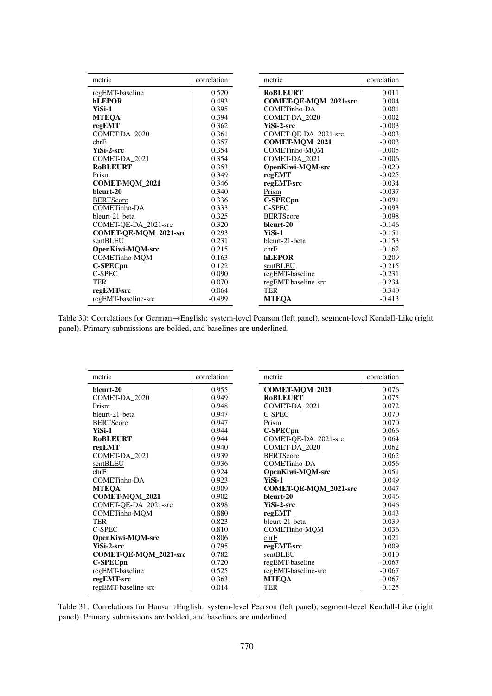| metric                | correlation | metric                | correlation |
|-----------------------|-------------|-----------------------|-------------|
| regEMT-baseline       | 0.520       | <b>ROBLEURT</b>       | 0.011       |
| <b>hLEPOR</b>         | 0.493       | COMET-QE-MQM_2021-src | 0.004       |
| YiSi-1                | 0.395       | COMETinho-DA          | 0.001       |
| <b>MTEQA</b>          | 0.394       | COMET-DA_2020         | $-0.002$    |
| regEMT                | 0.362       | <b>YiSi-2-src</b>     | $-0.003$    |
| COMET-DA_2020         | 0.361       | COMET-QE-DA_2021-src  | $-0.003$    |
| chrF                  | 0.357       | <b>COMET-MOM 2021</b> | $-0.003$    |
| YiSi-2-src            | 0.354       | COMETinho-MQM         | $-0.005$    |
| COMET-DA 2021         | 0.354       | COMET-DA 2021         | $-0.006$    |
| <b>RoBLEURT</b>       | 0.353       | OpenKiwi-MQM-src      | $-0.020$    |
| Prism                 | 0.349       | regEMT                | $-0.025$    |
| COMET-MQM_2021        | 0.346       | regEMT-src            | $-0.034$    |
| bleurt-20             | 0.340       | Prism                 | $-0.037$    |
| <b>BERTScore</b>      | 0.336       | <b>C-SPECpn</b>       | $-0.091$    |
| COMETinho-DA          | 0.333       | C-SPEC                | $-0.093$    |
| bleurt-21-beta        | 0.325       | <b>BERTScore</b>      | $-0.098$    |
| COMET-QE-DA_2021-src  | 0.320       | bleurt-20             | $-0.146$    |
| COMET-QE-MQM_2021-src | 0.293       | YiSi-1                | $-0.151$    |
| sentBLEU              | 0.231       | bleurt-21-beta        | $-0.153$    |
| OpenKiwi-MQM-src      | 0.215       | chrF                  | $-0.162$    |
| COMETinho-MQM         | 0.163       | <b>hLEPOR</b>         | $-0.209$    |
| <b>C-SPECpn</b>       | 0.122       | sentBLEU              | $-0.215$    |
| C-SPEC                | 0.090       | regEMT-baseline       | $-0.231$    |
| <b>TER</b>            | 0.070       | regEMT-baseline-src   | $-0.234$    |
| regEMT-src            | 0.064       | <b>TER</b>            | $-0.340$    |
| regEMT-baseline-src   | $-0.499$    | <b>MTEQA</b>          | $-0.413$    |

Table 30: Correlations for German→English: system-level Pearson (left panel), segment-level Kendall-Like (right panel). Primary submissions are bolded, and baselines are underlined.

| metric                | correlation | metric                | correlation |
|-----------------------|-------------|-----------------------|-------------|
| bleurt-20             | 0.955       | COMET-MQM_2021        | 0.076       |
| COMET-DA 2020         | 0.949       | <b>RoBLEURT</b>       | 0.075       |
| Prism                 | 0.948       | COMET-DA_2021         | 0.072       |
| bleurt-21-beta        | 0.947       | C-SPEC                | 0.070       |
| <b>BERTScore</b>      | 0.947       | Prism                 | 0.070       |
| YiSi-1                | 0.944       | C-SPECpn              | 0.066       |
| <b>ROBLEURT</b>       | 0.944       | COMET-QE-DA_2021-src  | 0.064       |
| regEMT                | 0.940       | COMET-DA 2020         | 0.062       |
| COMET-DA 2021         | 0.939       | <b>BERTScore</b>      | 0.062       |
| sentBLEU              | 0.936       | COMETinho-DA          | 0.056       |
| chrF                  | 0.924       | OpenKiwi-MQM-src      | 0.051       |
| COMETinho-DA          | 0.923       | YiSi-1                | 0.049       |
| <b>MTEQA</b>          | 0.909       | COMET-QE-MQM_2021-src | 0.047       |
| COMET-MQM_2021        | 0.902       | bleurt-20             | 0.046       |
| COMET-QE-DA_2021-src  | 0.898       | <b>YiSi-2-src</b>     | 0.046       |
| <b>COMETinho-MOM</b>  | 0.880       | regEMT                | 0.043       |
| <b>TER</b>            | 0.823       | bleurt-21-beta        | 0.039       |
| C-SPEC                | 0.810       | <b>COMETinho-MQM</b>  | 0.036       |
| OpenKiwi-MQM-src      | 0.806       | chrF                  | 0.021       |
| <b>YiSi-2-src</b>     | 0.795       | regEMT-src            | 0.009       |
| COMET-QE-MQM_2021-src | 0.782       | sentBLEU              | $-0.010$    |
| C-SPECpn              | 0.720       | regEMT-baseline       | $-0.067$    |
| regEMT-baseline       | 0.525       | regEMT-baseline-src   | $-0.067$    |
| regEMT-src            | 0.363       | <b>MTEOA</b>          | $-0.067$    |
| regEMT-baseline-src   | 0.014       | <b>TER</b>            | $-0.125$    |

Table 31: Correlations for Hausa→English: system-level Pearson (left panel), segment-level Kendall-Like (right panel). Primary submissions are bolded, and baselines are underlined.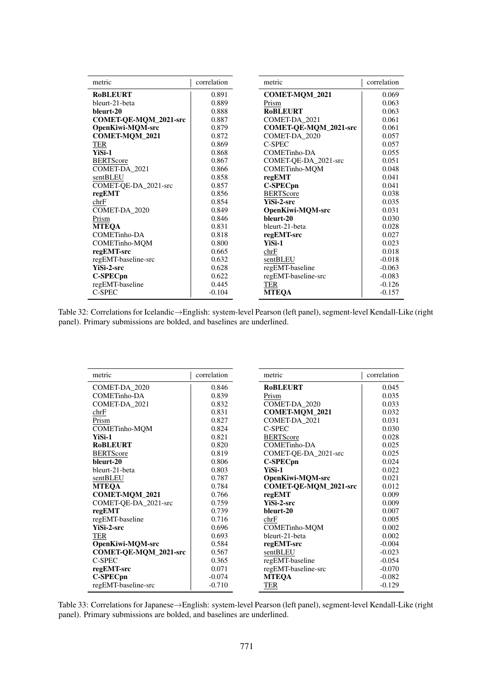| metric                | correlation | metric                | correlation |
|-----------------------|-------------|-----------------------|-------------|
| <b>ROBLEURT</b>       | 0.891       | COMET-MQM_2021        | 0.069       |
| bleurt-21-beta        | 0.889       | Prism                 | 0.063       |
| bleurt-20             | 0.888       | <b>RoBLEURT</b>       | 0.063       |
| COMET-QE-MQM_2021-src | 0.887       | COMET-DA 2021         | 0.061       |
| OpenKiwi-MQM-src      | 0.879       | COMET-QE-MQM_2021-src | 0.061       |
| COMET-MQM_2021        | 0.872       | COMET-DA_2020         | 0.057       |
| <b>TER</b>            | 0.869       | C-SPEC                | 0.057       |
| YiSi-1                | 0.868       | COMETinho-DA          | 0.055       |
| <b>BERTScore</b>      | 0.867       | COMET-OE-DA 2021-src  | 0.051       |
| COMET-DA_2021         | 0.866       | COMETinho-MQM         | 0.048       |
| sentBLEU              | 0.858       | regEMT                | 0.041       |
| COMET-QE-DA_2021-src  | 0.857       | C-SPECpn              | 0.041       |
| regEMT                | 0.856       | <b>BERTScore</b>      | 0.038       |
| chrF                  | 0.854       | <b>YiSi-2-src</b>     | 0.035       |
| COMET-DA_2020         | 0.849       | OpenKiwi-MQM-src      | 0.031       |
| Prism                 | 0.846       | bleurt-20             | 0.030       |
| <b>MTEQA</b>          | 0.831       | bleurt-21-beta        | 0.028       |
| COMETinho-DA          | 0.818       | regEMT-src            | 0.027       |
| COMETinho-MQM         | 0.800       | YiSi-1                | 0.023       |
| regEMT-src            | 0.665       | chrF                  | 0.018       |
| regEMT-baseline-src   | 0.632       | sentBLEU              | $-0.018$    |
| YiSi-2-src            | 0.628       | regEMT-baseline       | $-0.063$    |
| <b>C-SPECpn</b>       | 0.622       | regEMT-baseline-src   | $-0.083$    |
| regEMT-baseline       | 0.445       | TER                   | $-0.126$    |
| C-SPEC                | $-0.104$    | <b>MTEQA</b>          | $-0.157$    |

Table 32: Correlations for Icelandic→English: system-level Pearson (left panel), segment-level Kendall-Like (right panel). Primary submissions are bolded, and baselines are underlined.

| metric                | correlation | correlation<br>metric |          |
|-----------------------|-------------|-----------------------|----------|
| COMET-DA 2020         | 0.846       | <b>RoBLEURT</b>       | 0.045    |
| COMETinho-DA          | 0.839       | Prism                 | 0.035    |
| COMET-DA_2021         | 0.832       | COMET-DA_2020         | 0.033    |
| chrF                  | 0.831       | COMET-MQM_2021        | 0.032    |
| Prism                 | 0.827       | COMET-DA_2021         | 0.031    |
| COMETinho-MQM         | 0.824       | C-SPEC                | 0.030    |
| YiSi-1                | 0.821       | <b>BERTScore</b>      | 0.028    |
| <b>RoBLEURT</b>       | 0.820       | <b>COMETinho-DA</b>   | 0.025    |
| <b>BERTScore</b>      | 0.819       | COMET-QE-DA_2021-src  | 0.025    |
| bleurt-20             | 0.806       | C-SPECpn              | 0.024    |
| bleurt-21-beta        | 0.803       | YiSi-1                | 0.022    |
| sentBLEU              | 0.787       | OpenKiwi-MQM-src      | 0.021    |
| <b>MTEOA</b>          | 0.784       | COMET-QE-MQM_2021-src | 0.012    |
| COMET-MQM_2021        | 0.766       | regEMT                | 0.009    |
| COMET-OE-DA 2021-src  | 0.759       | YiSi-2-src            | 0.009    |
| regEMT                | 0.739       | bleurt-20             | 0.007    |
| regEMT-baseline       | 0.716       | chrF                  | 0.005    |
| YiSi-2-src            | 0.696       | <b>COMETinho-MQM</b>  | 0.002    |
| TER                   | 0.693       | bleurt-21-beta        | 0.002    |
| OpenKiwi-MOM-src      | 0.584       | regEMT-src            | $-0.004$ |
| COMET-QE-MQM_2021-src | 0.567       | sentBLEU              | $-0.023$ |
| C-SPEC                | 0.365       | regEMT-baseline       | $-0.054$ |
| regEMT-src            | 0.071       | regEMT-baseline-src   | $-0.070$ |
| <b>C-SPECpn</b>       | $-0.074$    | <b>MTEOA</b>          | $-0.082$ |
| regEMT-baseline-src   | $-0.710$    | TER                   | $-0.129$ |

Table 33: Correlations for Japanese→English: system-level Pearson (left panel), segment-level Kendall-Like (right panel). Primary submissions are bolded, and baselines are underlined.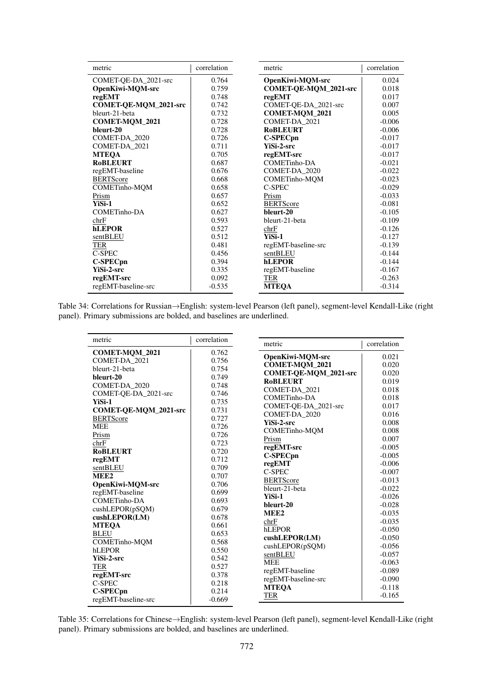| metric                | correlation | metric                  | correlation |
|-----------------------|-------------|-------------------------|-------------|
| COMET-QE-DA_2021-src  | 0.764       | <b>OpenKiwi-MQM-src</b> | 0.024       |
| OpenKiwi-MQM-src      | 0.759       | COMET-QE-MQM_2021-src   | 0.018       |
| regEMT                | 0.748       | regEMT                  | 0.017       |
| COMET-QE-MQM_2021-src | 0.742       | COMET-QE-DA_2021-src    | 0.007       |
| bleurt-21-beta        | 0.732       | COMET-MQM_2021          | 0.005       |
| COMET-MQM_2021        | 0.728       | COMET-DA 2021           | $-0.006$    |
| bleurt-20             | 0.728       | <b>RoBLEURT</b>         | $-0.006$    |
| COMET-DA 2020         | 0.726       | <b>C-SPECpn</b>         | $-0.017$    |
| COMET-DA_2021         | 0.711       | <b>YiSi-2-src</b>       | $-0.017$    |
| <b>MTEQA</b>          | 0.705       | regEMT-src              | $-0.017$    |
| <b>RoBLEURT</b>       | 0.687       | COMETinho-DA            | $-0.021$    |
| regEMT-baseline       | 0.676       | COMET-DA_2020           | $-0.022$    |
| <b>BERTScore</b>      | 0.668       | COMETinho-MQM           | $-0.023$    |
| COMETinho-MQM         | 0.658       | C-SPEC                  | $-0.029$    |
| Prism                 | 0.657       | Prism                   | $-0.033$    |
| YiSi-1                | 0.652       | <b>BERTScore</b>        | $-0.081$    |
| COMETinho-DA          | 0.627       | bleurt-20               | $-0.105$    |
| chrF                  | 0.593       | bleurt-21-beta          | $-0.109$    |
| <b>hLEPOR</b>         | 0.527       | chrF                    | $-0.126$    |
| sentBLEU              | 0.512       | YiSi-1                  | $-0.127$    |
| TER                   | 0.481       | regEMT-baseline-src     | $-0.139$    |
| C-SPEC                | 0.456       | sentBLEU                | $-0.144$    |
| <b>C-SPECpn</b>       | 0.394       | <b>hLEPOR</b>           | $-0.144$    |
| YiSi-2-src            | 0.335       | regEMT-baseline         | $-0.167$    |
| regEMT-src            | 0.092       | TER                     | $-0.263$    |
| regEMT-baseline-src   | $-0.535$    | <b>MTEQA</b>            | $-0.314$    |

Table 34: Correlations for Russian→English: system-level Pearson (left panel), segment-level Kendall-Like (right panel). Primary submissions are bolded, and baselines are underlined.

| metric                | correlation | metric                  | correlation |
|-----------------------|-------------|-------------------------|-------------|
| <b>COMET-MOM 2021</b> | 0.762       |                         |             |
| COMET-DA 2021         | 0.756       | <b>OpenKiwi-MQM-src</b> | 0.021       |
| bleurt-21-beta        | 0.754       | <b>COMET-MOM_2021</b>   | 0.020       |
| bleurt-20             | 0.749       | COMET-QE-MQM_2021-src   | 0.020       |
| COMET-DA 2020         | 0.748       | <b>RoBLEURT</b>         | 0.019       |
| COMET-QE-DA_2021-src  | 0.746       | COMET-DA 2021           | 0.018       |
| YiSi-1                | 0.735       | <b>COMETinho-DA</b>     | 0.018       |
| COMET-QE-MQM_2021-src | 0.731       | COMET-QE-DA_2021-src    | 0.017       |
| <b>BERTScore</b>      | 0.727       | COMET-DA 2020           | 0.016       |
| <b>MEE</b>            | 0.726       | <b>YiSi-2-src</b>       | 0.008       |
| Prism                 | 0.726       | <b>COMETinho-MQM</b>    | 0.008       |
| chrF                  | 0.723       | Prism                   | 0.007       |
| <b>ROBLEURT</b>       | 0.720       | regEMT-src              | $-0.005$    |
| regEMT                | 0.712       | <b>C-SPECpn</b>         | $-0.005$    |
| sentBLEU              | 0.709       | regEMT                  | $-0.006$    |
| MEE <sub>2</sub>      | 0.707       | <b>C-SPEC</b>           | $-0.007$    |
| OpenKiwi-MQM-src      | 0.706       | <b>BERTScore</b>        | $-0.013$    |
| regEMT-baseline       | 0.699       | bleurt-21-beta          | $-0.022$    |
| <b>COMETinho-DA</b>   | 0.693       | YiSi-1                  | $-0.026$    |
| cushLEPOR(pSQM)       | 0.679       | bleurt-20               | $-0.028$    |
| cushLEPOR(LM)         | 0.678       | MEE <sub>2</sub>        | $-0.035$    |
| <b>MTEOA</b>          | 0.661       | chrF                    | $-0.035$    |
| <b>BLEU</b>           | 0.653       | hLEPOR                  | $-0.050$    |
| <b>COMETinho-MOM</b>  | 0.568       | cushLEPOR(LM)           | $-0.050$    |
| hLEPOR                | 0.550       | cushLEPOR(pSQM)         | $-0.056$    |
| YiSi-2-src            | 0.542       | sentBLEU                | $-0.057$    |
| TER                   | 0.527       | <b>MEE</b>              | $-0.063$    |
| regEMT-src            | 0.378       | regEMT-baseline         | $-0.089$    |
| C-SPEC                | 0.218       | regEMT-baseline-src     | $-0.090$    |
| <b>C-SPECpn</b>       | 0.214       | <b>MTEOA</b>            | $-0.118$    |
| regEMT-baseline-src   | $-0.669$    | <b>TER</b>              | $-0.165$    |
|                       |             |                         |             |

Table 35: Correlations for Chinese→English: system-level Pearson (left panel), segment-level Kendall-Like (right panel). Primary submissions are bolded, and baselines are underlined.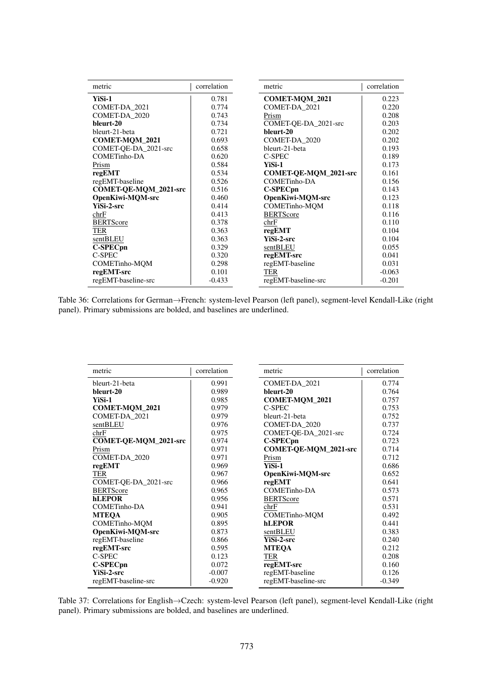| metric                | correlation | metric                       | correlation |
|-----------------------|-------------|------------------------------|-------------|
| YiSi-1                | 0.781       | <b>COMET-MOM 2021</b>        | 0.223       |
| COMET-DA_2021         | 0.774       | COMET-DA 2021                | 0.220       |
| COMET-DA 2020         | 0.743       | Prism                        | 0.208       |
| bleurt-20             | 0.734       | COMET-QE-DA_2021-src         | 0.203       |
| bleurt-21-beta        | 0.721       | bleurt-20                    | 0.202       |
| <b>COMET-MQM_2021</b> | 0.693       | COMET-DA_2020                | 0.202       |
| COMET-OE-DA 2021-src  | 0.658       | bleurt-21-beta               | 0.193       |
| COMETinho-DA          | 0.620       | C-SPEC                       | 0.189       |
| Prism                 | 0.584       | YiSi-1                       | 0.173       |
| regEMT                | 0.534       | <b>COMET-OE-MOM 2021-src</b> | 0.161       |
| regEMT-baseline       | 0.526       | <b>COMETinho-DA</b>          | 0.156       |
| COMET-QE-MQM_2021-src | 0.516       | C-SPECpn                     | 0.143       |
| OpenKiwi-MQM-src      | 0.460       | OpenKiwi-MQM-src             | 0.123       |
| YiSi-2-src            | 0.414       | <b>COMETinho-MOM</b>         | 0.118       |
| chrF                  | 0.413       | <b>BERTScore</b>             | 0.116       |
| <b>BERTScore</b>      | 0.378       | chrF                         | 0.110       |
| TER                   | 0.363       | regEMT                       | 0.104       |
| sentBLEU              | 0.363       | YiSi-2-src                   | 0.104       |
| <b>C-SPECpn</b>       | 0.329       | sentBLEU                     | 0.055       |
| C-SPEC                | 0.320       | regEMT-src                   | 0.041       |
| COMETinho-MQM         | 0.298       | regEMT-baseline              | 0.031       |
| regEMT-src            | 0.101       | <b>TER</b>                   | $-0.063$    |
| regEMT-baseline-src   | $-0.433$    | regEMT-baseline-src          | $-0.201$    |

Table 36: Correlations for German→French: system-level Pearson (left panel), segment-level Kendall-Like (right panel). Primary submissions are bolded, and baselines are underlined.

| metric                | correlation | metric                | correlation |
|-----------------------|-------------|-----------------------|-------------|
| bleurt-21-beta        | 0.991       | COMET-DA 2021         | 0.774       |
| bleurt-20             | 0.989       | bleurt-20             | 0.764       |
| YiSi-1                | 0.985       | COMET-MQM_2021        | 0.757       |
| COMET-MQM_2021        | 0.979       | C-SPEC                | 0.753       |
| COMET-DA 2021         | 0.979       | bleurt-21-beta        | 0.752       |
| sentBLEU              | 0.976       | COMET-DA 2020         | 0.737       |
| chrF                  | 0.975       | COMET-QE-DA_2021-src  | 0.724       |
| COMET-QE-MQM_2021-src | 0.974       | <b>C-SPECpn</b>       | 0.723       |
| Prism                 | 0.971       | COMET-QE-MQM_2021-src | 0.714       |
| COMET-DA_2020         | 0.971       | Prism                 | 0.712       |
| regEMT                | 0.969       | YiSi-1                | 0.686       |
| <b>TER</b>            | 0.967       | OpenKiwi-MQM-src      | 0.652       |
| COMET-QE-DA_2021-src  | 0.966       | regEMT                | 0.641       |
| <b>BERTScore</b>      | 0.965       | <b>COMETinho-DA</b>   | 0.573       |
| <b>hLEPOR</b>         | 0.956       | <b>BERTScore</b>      | 0.571       |
| COMETinho-DA          | 0.941       | chrF                  | 0.531       |
| <b>MTEOA</b>          | 0.905       | <b>COMETinho-MOM</b>  | 0.492       |
| <b>COMETinho-MOM</b>  | 0.895       | <b>hLEPOR</b>         | 0.441       |
| OpenKiwi-MQM-src      | 0.873       | sentBLEU              | 0.383       |
| regEMT-baseline       | 0.866       | YiSi-2-src            | 0.240       |
| regEMT-src            | 0.595       | <b>MTEOA</b>          | 0.212       |
| C-SPEC                | 0.123       | TER                   | 0.208       |
| C-SPECpn              | 0.072       | regEMT-src            | 0.160       |
| YiSi-2-src            | $-0.007$    | regEMT-baseline       | 0.126       |
| regEMT-baseline-src   | $-0.920$    | regEMT-baseline-src   | $-0.349$    |

Table 37: Correlations for English→Czech: system-level Pearson (left panel), segment-level Kendall-Like (right panel). Primary submissions are bolded, and baselines are underlined.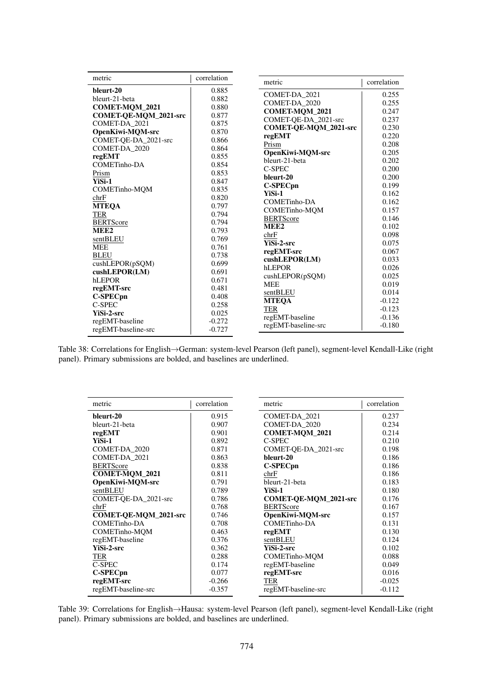| metric                  | correlation | metric                  | correlation |
|-------------------------|-------------|-------------------------|-------------|
| bleurt-20               | 0.885       |                         |             |
| bleurt-21-beta          | 0.882       | COMET-DA 2021           | 0.255       |
| <b>COMET-MOM 2021</b>   | 0.880       | COMET-DA 2020           | 0.255       |
| COMET-QE-MQM_2021-src   | 0.877       | <b>COMET-MOM 2021</b>   | 0.247       |
| COMET-DA_2021           | 0.875       | COMET-OE-DA 2021-src    | 0.237       |
| <b>OpenKiwi-MOM-src</b> | 0.870       | COMET-QE-MQM_2021-src   | 0.230       |
| COMET-QE-DA_2021-src    | 0.866       | regEMT                  | 0.220       |
| COMET-DA 2020           | 0.864       | Prism                   | 0.208       |
| regEMT                  | 0.855       | <b>OpenKiwi-MOM-src</b> | 0.205       |
| COMETinho-DA            | 0.854       | bleurt-21-beta          | 0.202       |
| Prism                   | 0.853       | <b>C-SPEC</b>           | 0.200       |
| YiSi-1                  | 0.847       | bleurt-20               | 0.200       |
| COMETinho-MQM           | 0.835       | <b>C-SPECpn</b>         | 0.199       |
| chrF                    | 0.820       | YiSi-1                  | 0.162       |
| <b>MTEOA</b>            | 0.797       | <b>COMETinho-DA</b>     | 0.162       |
| TER                     | 0.794       | <b>COMETinho-MOM</b>    | 0.157       |
| <b>BERTScore</b>        | 0.794       | <b>BERTScore</b>        | 0.146       |
| MEE <sub>2</sub>        | 0.793       | MEE <sub>2</sub>        | 0.102       |
| sentBLEU                | 0.769       | chrF                    | 0.098       |
| <b>MEE</b>              | 0.761       | YiSi-2-src              | 0.075       |
| <b>BLEU</b>             | 0.738       | regEMT-src              | 0.067       |
| cushLEPOR(pSQM)         | 0.699       | cushLEPOR(LM)           | 0.033       |
| cushLEPOR(LM)           | 0.691       | hLEPOR                  | 0.026       |
| hLEPOR                  | 0.671       | cushLEPOR(pSQM)         | 0.025       |
| regEMT-src              | 0.481       | <b>MEE</b>              | 0.019       |
| <b>C-SPECpn</b>         | 0.408       | sentBLEU                | 0.014       |
| C-SPEC                  | 0.258       | <b>MTEOA</b>            | $-0.122$    |
| <b>YiSi-2-src</b>       | 0.025       | <b>TER</b>              | $-0.123$    |
| regEMT-baseline         | $-0.272$    | regEMT-baseline         | $-0.136$    |
| regEMT-baseline-src     | $-0.727$    | regEMT-baseline-src     | $-0.180$    |

Table 38: Correlations for English→German: system-level Pearson (left panel), segment-level Kendall-Like (right panel). Primary submissions are bolded, and baselines are underlined.

| metric                       | correlation | correlation<br>metric                 |
|------------------------------|-------------|---------------------------------------|
| bleurt-20                    | 0.915       | COMET-DA_2021<br>0.237                |
| bleurt-21-beta               | 0.907       | COMET-DA_2020<br>0.234                |
| regEMT                       | 0.901       | COMET-MQM_2021<br>0.214               |
| YiSi-1                       | 0.892       | C-SPEC<br>0.210                       |
| COMET-DA_2020                | 0.871       | COMET-QE-DA_2021-src<br>0.198         |
| COMET-DA 2021                | 0.863       | bleurt-20<br>0.186                    |
| <b>BERTScore</b>             | 0.838       | C-SPECpn<br>0.186                     |
| <b>COMET-MOM 2021</b>        | 0.811       | 0.186<br>chrF                         |
| OpenKiwi-MOM-src             | 0.791       | bleurt-21-beta<br>0.183               |
| sentBLEU                     | 0.789       | YiSi-1<br>0.180                       |
| COMET-OE-DA 2021-src         | 0.786       | <b>COMET-OE-MOM 2021-src</b><br>0.176 |
| chrF                         | 0.768       | <b>BERTScore</b><br>0.167             |
| <b>COMET-OE-MOM 2021-src</b> | 0.746       | <b>OpenKiwi-MOM-src</b><br>0.157      |
| COMETinho-DA                 | 0.708       | COMETinho-DA<br>0.131                 |
| <b>COMETinho-MOM</b>         | 0.463       | regEMT<br>0.130                       |
| regEMT-baseline              | 0.376       | sentBLEU<br>0.124                     |
| <b>YiSi-2-src</b>            | 0.362       | <b>YiSi-2-src</b><br>0.102            |
| TER                          | 0.288       | <b>COMETinho-MOM</b><br>0.088         |
| C-SPEC                       | 0.174       | regEMT-baseline<br>0.049              |
| <b>C-SPECpn</b>              | 0.077       | regEMT-src<br>0.016                   |
| regEMT-src                   | $-0.266$    | TER<br>$-0.025$                       |
| regEMT-baseline-src          | $-0.357$    | regEMT-baseline-src<br>$-0.112$       |

Table 39: Correlations for English→Hausa: system-level Pearson (left panel), segment-level Kendall-Like (right panel). Primary submissions are bolded, and baselines are underlined.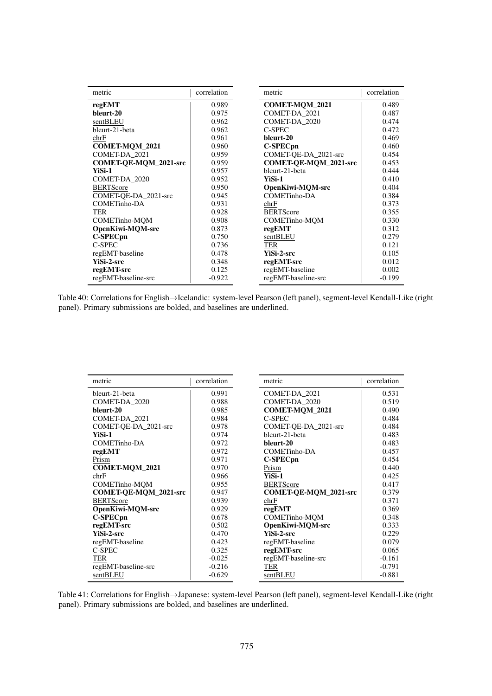| metric                | correlation | metric                | correlation |
|-----------------------|-------------|-----------------------|-------------|
| regEMT                | 0.989       | COMET-MQM_2021        | 0.489       |
| bleurt-20             | 0.975       | COMET-DA_2021         | 0.487       |
| sentBLEU              | 0.962       | COMET-DA_2020         | 0.474       |
| bleurt-21-beta        | 0.962       | C-SPEC                | 0.472       |
| chrF                  | 0.961       | bleurt-20             | 0.469       |
| <b>COMET-MOM 2021</b> | 0.960       | C-SPECpn              | 0.460       |
| COMET-DA 2021         | 0.959       | COMET-OE-DA 2021-src  | 0.454       |
| COMET-QE-MQM_2021-src | 0.959       | COMET-QE-MQM_2021-src | 0.453       |
| YiSi-1                | 0.957       | bleurt-21-beta        | 0.444       |
| COMET-DA_2020         | 0.952       | YiSi-1                | 0.410       |
| <b>BERTScore</b>      | 0.950       | OpenKiwi-MQM-src      | 0.404       |
| COMET-QE-DA_2021-src  | 0.945       | <b>COMETinho-DA</b>   | 0.384       |
| <b>COMETinho-DA</b>   | 0.931       | chrF                  | 0.373       |
| TER                   | 0.928       | <b>BERTScore</b>      | 0.355       |
| COMETinho-MQM         | 0.908       | <b>COMETinho-MOM</b>  | 0.330       |
| OpenKiwi-MQM-src      | 0.873       | regEMT                | 0.312       |
| <b>C-SPECpn</b>       | 0.750       | sentBLEU              | 0.279       |
| C-SPEC                | 0.736       | <b>TER</b>            | 0.121       |
| regEMT-baseline       | 0.478       | <b>YiSi-2-src</b>     | 0.105       |
| <b>YiSi-2-src</b>     | 0.348       | regEMT-src            | 0.012       |
| regEMT-src            | 0.125       | regEMT-baseline       | 0.002       |
| regEMT-baseline-src   | $-0.922$    | regEMT-baseline-src   | $-0.199$    |

Table 40: Correlations for English→Icelandic: system-level Pearson (left panel), segment-level Kendall-Like (right panel). Primary submissions are bolded, and baselines are underlined.

| metric                | correlation | correlation<br>metric                 |
|-----------------------|-------------|---------------------------------------|
| bleurt-21-beta        | 0.991       | COMET-DA_2021<br>0.531                |
| COMET-DA_2020         | 0.988       | COMET-DA 2020<br>0.519                |
| bleurt-20             | 0.985       | <b>COMET-MOM 2021</b><br>0.490        |
| COMET-DA_2021         | 0.984       | C-SPEC<br>0.484                       |
| COMET-QE-DA_2021-src  | 0.978       | COMET-QE-DA_2021-src<br>0.484         |
| YiSi-1                | 0.974       | bleurt-21-beta<br>0.483               |
| COMETinho-DA          | 0.972       | bleurt-20<br>0.483                    |
| regEMT                | 0.972       | COMETinho-DA<br>0.457                 |
| Prism                 | 0.971       | C-SPECpn<br>0.454                     |
| <b>COMET-MOM 2021</b> | 0.970       | 0.440<br>Prism                        |
| chrF                  | 0.966       | YiSi-1<br>0.425                       |
| <b>COMETinho-MOM</b>  | 0.955       | <b>BERTScore</b><br>0.417             |
| COMET-QE-MQM_2021-src | 0.947       | <b>COMET-QE-MQM_2021-src</b><br>0.379 |
| <b>BERTScore</b>      | 0.939       | 0.371<br>chrF                         |
| OpenKiwi-MQM-src      | 0.929       | regEMT<br>0.369                       |
| <b>C-SPECpn</b>       | 0.678       | <b>COMETinho-MOM</b><br>0.348         |
| regEMT-src            | 0.502       | OpenKiwi-MQM-src<br>0.333             |
| YiSi-2-src            | 0.470       | YiSi-2-src<br>0.229                   |
| regEMT-baseline       | 0.423       | regEMT-baseline<br>0.079              |
| C-SPEC                | 0.325       | regEMT-src<br>0.065                   |
| TER                   | $-0.025$    | regEMT-baseline-src<br>$-0.161$       |
| regEMT-baseline-src   | $-0.216$    | TER<br>$-0.791$                       |
| sentBLEU              | $-0.629$    | $-0.881$<br>sentBLEU                  |

Table 41: Correlations for English→Japanese: system-level Pearson (left panel), segment-level Kendall-Like (right panel). Primary submissions are bolded, and baselines are underlined.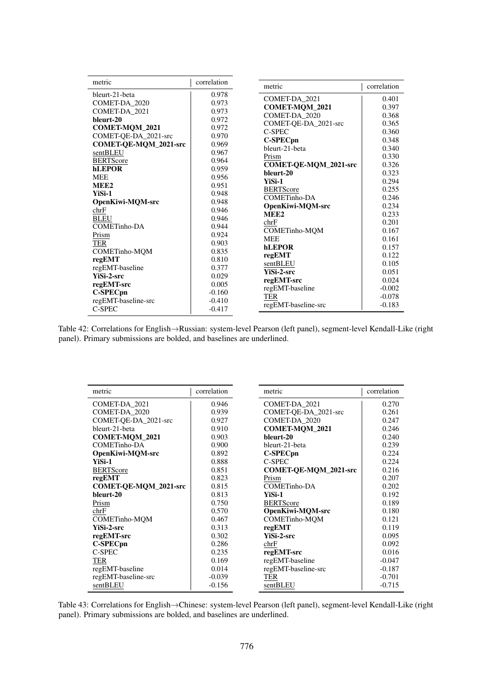| metric                | correlation | metric                               | correlation    |
|-----------------------|-------------|--------------------------------------|----------------|
| bleurt-21-beta        | 0.978       |                                      |                |
| COMET-DA_2020         | 0.973       | COMET-DA 2021                        | 0.401          |
| COMET-DA_2021         | 0.973       | <b>COMET-MOM 2021</b>                | 0.397          |
| bleurt-20             | 0.972       | COMET-DA 2020                        | 0.368          |
| COMET-MQM_2021        | 0.972       | COMET-QE-DA_2021-src                 | 0.365          |
| COMET-QE-DA_2021-src  | 0.970       | C-SPEC                               | 0.360          |
| COMET-QE-MQM_2021-src | 0.969       | C-SPECpn<br>bleurt-21-beta           | 0.348<br>0.340 |
| sentBLEU              | 0.967       |                                      | 0.330          |
| <b>BERTScore</b>      | 0.964       | Prism                                |                |
| <b>hLEPOR</b>         | 0.959       | COMET-QE-MQM_2021-src<br>bleurt-20   | 0.326          |
| <b>MEE</b>            | 0.956       | YiSi-1                               | 0.323<br>0.294 |
| MEE <sub>2</sub>      | 0.951       |                                      | 0.255          |
| YiSi-1                | 0.948       | <b>BERTScore</b><br>COMETinho-DA     | 0.246          |
| OpenKiwi-MQM-src      | 0.948       |                                      | 0.234          |
| chrF                  | 0.946       | OpenKiwi-MQM-src<br>MEE <sub>2</sub> | 0.233          |
| <b>BLEU</b>           | 0.946       | chrF                                 | 0.201          |
| COMETinho-DA          | 0.944       | COMETinho-MQM                        | 0.167          |
| Prism                 | 0.924       | <b>MEE</b>                           | 0.161          |
| TER                   | 0.903       | <b>hLEPOR</b>                        | 0.157          |
| COMETinho-MQM         | 0.835       | regEMT                               | 0.122          |
| regEMT                | 0.810       | sentBLEU                             | 0.105          |
| regEMT-baseline       | 0.377       | <b>YiSi-2-src</b>                    | 0.051          |
| <b>YiSi-2-src</b>     | 0.029       | regEMT-src                           | 0.024          |
| regEMT-src            | 0.005       | regEMT-baseline                      | $-0.002$       |
| <b>C-SPECpn</b>       | $-0.160$    | <b>TER</b>                           | $-0.078$       |
| regEMT-baseline-src   | $-0.410$    | regEMT-baseline-src                  | $-0.183$       |
| C-SPEC                | $-0.417$    |                                      |                |

Table 42: Correlations for English→Russian: system-level Pearson (left panel), segment-level Kendall-Like (right panel). Primary submissions are bolded, and baselines are underlined.

| metric                       | correlation | metric                       | correlation |
|------------------------------|-------------|------------------------------|-------------|
| COMET-DA_2021                | 0.946       | COMET-DA 2021                | 0.270       |
| COMET-DA 2020                | 0.939       | COMET-OE-DA 2021-src         | 0.261       |
| COMET-QE-DA_2021-src         | 0.927       | COMET-DA 2020                | 0.247       |
| bleurt-21-beta               | 0.910       | COMET-MQM_2021               | 0.246       |
| <b>COMET-MOM 2021</b>        | 0.903       | bleurt-20                    | 0.240       |
| COMETinho-DA                 | 0.900       | bleurt-21-beta               | 0.239       |
| <b>OpenKiwi-MOM-src</b>      | 0.892       | <b>C-SPECpn</b>              | 0.224       |
| YiSi-1                       | 0.888       | C-SPEC                       | 0.224       |
| <b>BERTScore</b>             | 0.851       | <b>COMET-QE-MQM_2021-src</b> | 0.216       |
| regEMT                       | 0.823       | Prism                        | 0.207       |
| <b>COMET-OE-MOM 2021-src</b> | 0.815       | COMETinho-DA                 | 0.202       |
| bleurt-20                    | 0.813       | YiSi-1                       | 0.192       |
| Prism                        | 0.750       | <b>BERTScore</b>             | 0.189       |
| chrF                         | 0.570       | OpenKiwi-MOM-src             | 0.180       |
| <b>COMETinho-MOM</b>         | 0.467       | <b>COMETinho-MOM</b>         | 0.121       |
| <b>YiSi-2-src</b>            | 0.313       | regEMT                       | 0.119       |
| regEMT-src                   | 0.302       | YiSi-2-src                   | 0.095       |
| <b>C-SPECpn</b>              | 0.286       | chrF                         | 0.092       |
| C-SPEC                       | 0.235       | regEMT-src                   | 0.016       |
| TER                          | 0.169       | regEMT-baseline              | $-0.047$    |
| regEMT-baseline              | 0.014       | regEMT-baseline-src          | $-0.187$    |
| regEMT-baseline-src          | $-0.039$    | TER                          | $-0.701$    |
| sentBLEU                     | $-0.156$    | sentBLEU                     | $-0.715$    |

Table 43: Correlations for English→Chinese: system-level Pearson (left panel), segment-level Kendall-Like (right panel). Primary submissions are bolded, and baselines are underlined.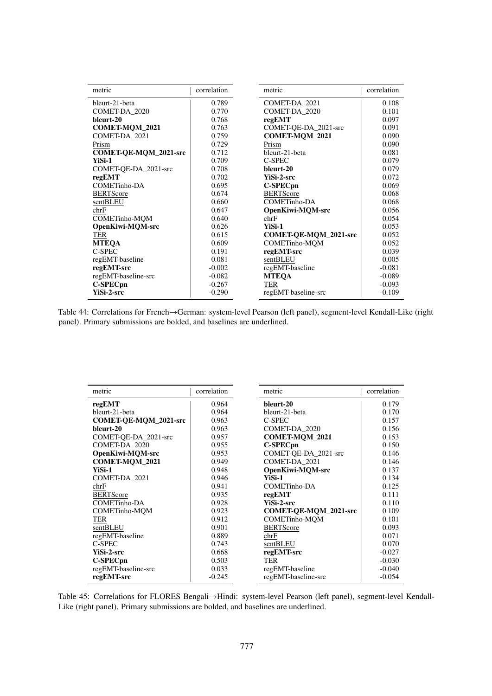| metric                | correlation | metric                       | correlation |
|-----------------------|-------------|------------------------------|-------------|
| bleurt-21-beta        | 0.789       | COMET-DA_2021                | 0.108       |
| COMET-DA 2020         | 0.770       | COMET-DA_2020                | 0.101       |
| bleurt-20             | 0.768       | regEMT                       | 0.097       |
| COMET-MQM_2021        | 0.763       | COMET-QE-DA_2021-src         | 0.091       |
| COMET-DA_2021         | 0.759       | <b>COMET-MOM 2021</b>        | 0.090       |
| Prism                 | 0.729       | Prism                        | 0.090       |
| COMET-QE-MQM_2021-src | 0.712       | bleurt-21-beta               | 0.081       |
| YiSi-1                | 0.709       | C-SPEC                       | 0.079       |
| COMET-QE-DA_2021-src  | 0.708       | bleurt-20                    | 0.079       |
| regEMT                | 0.702       | <b>YiSi-2-src</b>            | 0.072       |
| COMETinho-DA          | 0.695       | C-SPECpn                     | 0.069       |
| <b>BERTScore</b>      | 0.674       | <b>BERTScore</b>             | 0.068       |
| sentBLEU              | 0.660       | COMETinho-DA                 | 0.068       |
| chrF                  | 0.647       | OpenKiwi-MQM-src             | 0.056       |
| <b>COMETinho-MOM</b>  | 0.640       | chrF                         | 0.054       |
| OpenKiwi-MOM-src      | 0.626       | YiSi-1                       | 0.053       |
| TER                   | 0.615       | <b>COMET-OE-MOM 2021-src</b> | 0.052       |
| <b>MTEOA</b>          | 0.609       | <b>COMETinho-MOM</b>         | 0.052       |
| C-SPEC                | 0.191       | regEMT-src                   | 0.039       |
| regEMT-baseline       | 0.081       | sentBLEU                     | 0.005       |
| regEMT-src            | $-0.002$    | regEMT-baseline              | $-0.081$    |
| regEMT-baseline-src   | $-0.082$    | <b>MTEOA</b>                 | $-0.089$    |
| <b>C-SPECpn</b>       | $-0.267$    | <b>TER</b>                   | $-0.093$    |
| <b>YiSi-2-src</b>     | $-0.290$    | regEMT-baseline-src          | $-0.109$    |

Table 44: Correlations for French→German: system-level Pearson (left panel), segment-level Kendall-Like (right panel). Primary submissions are bolded, and baselines are underlined.

| metric                       | correlation | metric                       | correlation |
|------------------------------|-------------|------------------------------|-------------|
| regEMT                       | 0.964       | bleurt-20                    | 0.179       |
| bleurt-21-beta               | 0.964       | bleurt-21-beta               | 0.170       |
| <b>COMET-OE-MOM 2021-src</b> | 0.963       | C-SPEC                       | 0.157       |
| bleurt-20                    | 0.963       | COMET-DA_2020                | 0.156       |
| COMET-OE-DA 2021-src         | 0.957       | COMET-MQM_2021               | 0.153       |
| COMET-DA_2020                | 0.955       | C-SPECpn                     | 0.150       |
| OpenKiwi-MQM-src             | 0.953       | COMET-QE-DA_2021-src         | 0.146       |
| <b>COMET-MOM 2021</b>        | 0.949       | COMET-DA 2021                | 0.146       |
| YiSi-1                       | 0.948       | OpenKiwi-MQM-src             | 0.137       |
| COMET-DA_2021                | 0.946       | YiSi-1                       | 0.134       |
| chrF                         | 0.941       | COMETinho-DA                 | 0.125       |
| <b>BERTScore</b>             | 0.935       | regEMT                       | 0.111       |
| COMETinho-DA                 | 0.928       | YiSi-2-src                   | 0.110       |
| <b>COMETinho-MOM</b>         | 0.923       | <b>COMET-OE-MOM 2021-src</b> | 0.109       |
| <b>TER</b>                   | 0.912       | <b>COMETinho-MOM</b>         | 0.101       |
| sentBLEU                     | 0.901       | <b>BERTScore</b>             | 0.093       |
| regEMT-baseline              | 0.889       | chrF                         | 0.071       |
| C-SPEC                       | 0.743       | sentBLEU                     | 0.070       |
| <b>YiSi-2-src</b>            | 0.668       | regEMT-src                   | $-0.027$    |
| C-SPEC <sub>pn</sub>         | 0.503       | <b>TER</b>                   | $-0.030$    |
| regEMT-baseline-src          | 0.033       | regEMT-baseline              | $-0.040$    |
| regEMT-src                   | $-0.245$    | regEMT-baseline-src          | $-0.054$    |

Table 45: Correlations for FLORES Bengali→Hindi: system-level Pearson (left panel), segment-level Kendall-Like (right panel). Primary submissions are bolded, and baselines are underlined.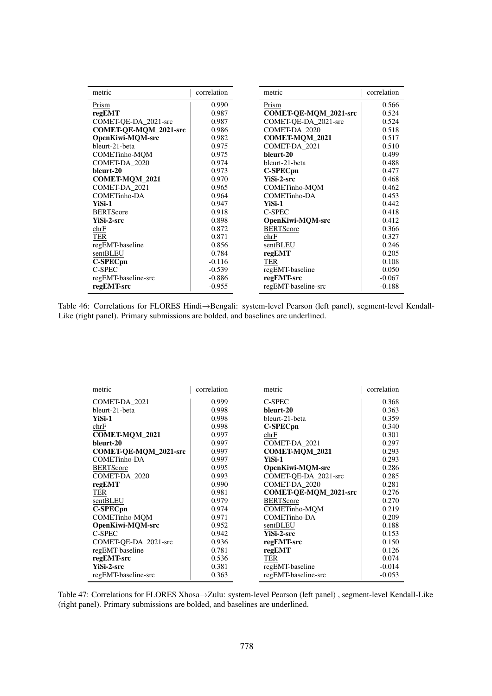| metric                | correlation | metric                  | correlation |
|-----------------------|-------------|-------------------------|-------------|
| Prism                 | 0.990       | Prism                   | 0.566       |
| regEMT                | 0.987       | COMET-QE-MQM_2021-src   | 0.524       |
| COMET-QE-DA_2021-src  | 0.987       | COMET-QE-DA_2021-src    | 0.524       |
| COMET-QE-MQM_2021-src | 0.986       | COMET-DA_2020           | 0.518       |
| OpenKiwi-MQM-src      | 0.982       | COMET-MQM_2021          | 0.517       |
| bleurt-21-beta        | 0.975       | COMET-DA_2021           | 0.510       |
| <b>COMETinho-MOM</b>  | 0.975       | bleurt-20               | 0.499       |
| COMET-DA 2020         | 0.974       | bleurt-21-beta          | 0.488       |
| bleurt-20             | 0.973       | <b>C-SPECpn</b>         | 0.477       |
| COMET-MQM_2021        | 0.970       | <b>YiSi-2-src</b>       | 0.468       |
| COMET-DA 2021         | 0.965       | <b>COMETinho-MQM</b>    | 0.462       |
| COMETinho-DA          | 0.964       | COMETinho-DA            | 0.453       |
| YiSi-1                | 0.947       | YiSi-1                  | 0.442       |
| <b>BERTScore</b>      | 0.918       | C-SPEC                  | 0.418       |
| <b>YiSi-2-src</b>     | 0.898       | <b>OpenKiwi-MOM-src</b> | 0.412       |
| chrF                  | 0.872       | <b>BERTScore</b>        | 0.366       |
| TER                   | 0.871       | chrF                    | 0.327       |
| regEMT-baseline       | 0.856       | sentBLEU                | 0.246       |
| sentBLEU              | 0.784       | regEMT                  | 0.205       |
| <b>C-SPECpn</b>       | $-0.116$    | TER                     | 0.108       |
| C-SPEC                | $-0.539$    | regEMT-baseline         | 0.050       |
| regEMT-baseline-src   | $-0.886$    | regEMT-src              | $-0.067$    |
| regEMT-src            | $-0.955$    | regEMT-baseline-src     | $-0.188$    |

Table 46: Correlations for FLORES Hindi→Bengali: system-level Pearson (left panel), segment-level Kendall-Like (right panel). Primary submissions are bolded, and baselines are underlined.

| metric                | correlation | metric                       | correlation |
|-----------------------|-------------|------------------------------|-------------|
| COMET-DA_2021         | 0.999       | C-SPEC                       | 0.368       |
| bleurt-21-beta        | 0.998       | bleurt-20                    | 0.363       |
| YiSi-1                | 0.998       | bleurt-21-beta               | 0.359       |
| chrF                  | 0.998       | C-SPECpn                     | 0.340       |
| <b>COMET-MQM_2021</b> | 0.997       | chrF                         | 0.301       |
| bleurt-20             | 0.997       | COMET-DA_2021                | 0.297       |
| COMET-QE-MQM_2021-src | 0.997       | COMET-MQM_2021               | 0.293       |
| COMETinho-DA          | 0.997       | YiSi-1                       | 0.293       |
| <b>BERTScore</b>      | 0.995       | OpenKiwi-MQM-src             | 0.286       |
| COMET-DA_2020         | 0.993       | COMET-OE-DA 2021-src         | 0.285       |
| regEMT                | 0.990       | COMET-DA 2020                | 0.281       |
| <b>TER</b>            | 0.981       | <b>COMET-OE-MOM 2021-src</b> | 0.276       |
| sentBLEU              | 0.979       | <b>BERTScore</b>             | 0.270       |
| <b>C-SPECpn</b>       | 0.974       | <b>COMETinho-MOM</b>         | 0.219       |
| <b>COMETinho-MOM</b>  | 0.971       | <b>COMETinho-DA</b>          | 0.209       |
| OpenKiwi-MQM-src      | 0.952       | sentBLEU                     | 0.188       |
| C-SPEC                | 0.942       | <b>YiSi-2-src</b>            | 0.153       |
| COMET-QE-DA_2021-src  | 0.936       | regEMT-src                   | 0.150       |
| regEMT-baseline       | 0.781       | regEMT                       | 0.126       |
| regEMT-src            | 0.536       | TER                          | 0.074       |
| YiSi-2-src            | 0.381       | regEMT-baseline              | $-0.014$    |
| regEMT-baseline-src   | 0.363       | regEMT-baseline-src          | $-0.053$    |

Table 47: Correlations for FLORES Xhosa→Zulu: system-level Pearson (left panel) , segment-level Kendall-Like (right panel). Primary submissions are bolded, and baselines are underlined.